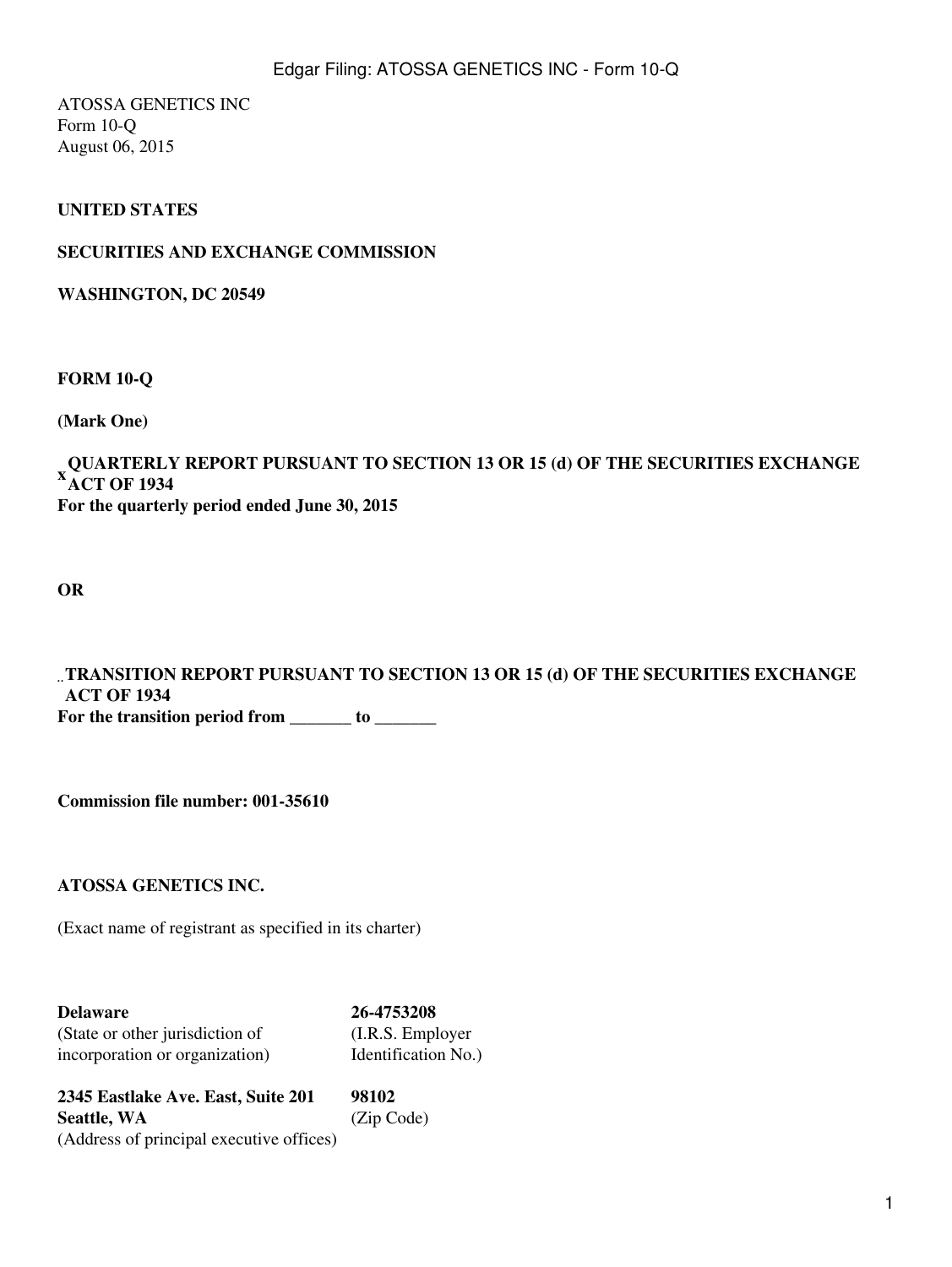ATOSSA GENETICS INC Form 10-Q August 06, 2015

### **UNITED STATES**

### **SECURITIES AND EXCHANGE COMMISSION**

**WASHINGTON, DC 20549**

**FORM 10-Q**

**(Mark One)**

#### **QUARTERLY REPORT PURSUANT TO SECTION 13 OR 15 (d) OF THE SECURITIES EXCHANGE**<br><sup>X</sup> + CT OF 1934 **ACT OF 1934 For the quarterly period ended June 30, 2015**

**OR**

¨ **TRANSITION REPORT PURSUANT TO SECTION 13 OR 15 (d) OF THE SECURITIES EXCHANGE ACT OF 1934** For the transition period from **Letter** to **Letter** 

**Commission file number: 001-35610**

**ATOSSA GENETICS INC.**

(Exact name of registrant as specified in its charter)

**Delaware 26-4753208** (State or other jurisdiction of (I.R.S. Employer incorporation or organization) Identification No.)

**2345 Eastlake Ave. East, Suite 201 98102 Seattle, WA** (Zip Code) (Address of principal executive offices)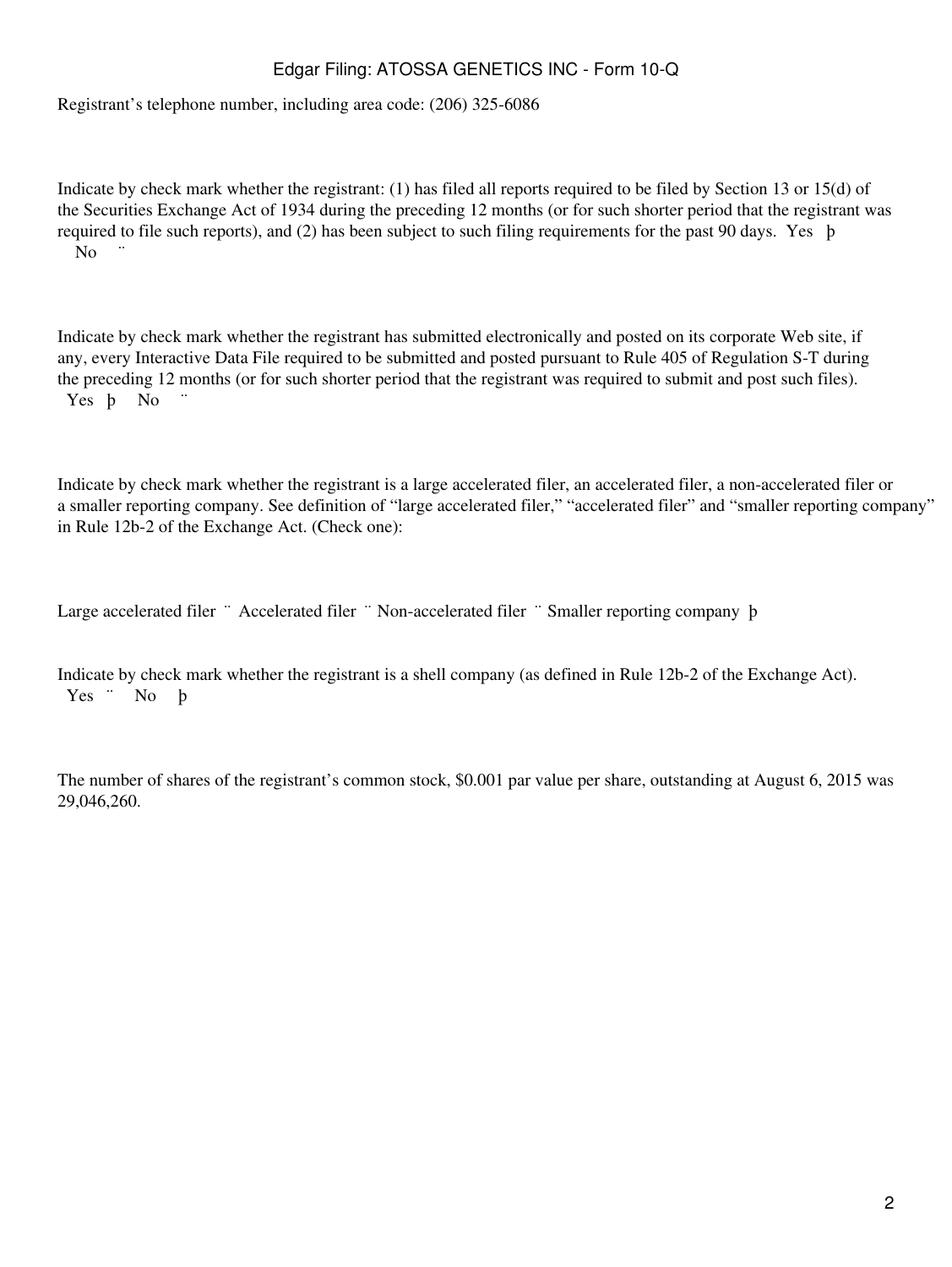Registrant's telephone number, including area code: (206) 325-6086

Indicate by check mark whether the registrant: (1) has filed all reports required to be filed by Section 13 or 15(d) of the Securities Exchange Act of 1934 during the preceding 12 months (or for such shorter period that the registrant was required to file such reports), and (2) has been subject to such filing requirements for the past 90 days. Yes þ N<sub>o</sub>

Indicate by check mark whether the registrant has submitted electronically and posted on its corporate Web site, if any, every Interactive Data File required to be submitted and posted pursuant to Rule 405 of Regulation S-T during the preceding 12 months (or for such shorter period that the registrant was required to submit and post such files). Yes **b** No

Indicate by check mark whether the registrant is a large accelerated filer, an accelerated filer, a non-accelerated filer or a smaller reporting company. See definition of "large accelerated filer," "accelerated filer" and "smaller reporting company" in Rule 12b-2 of the Exchange Act. (Check one):

Large accelerated filer ¨ Accelerated filer ¨ Non-accelerated filer ¨ Smaller reporting company þ

Indicate by check mark whether the registrant is a shell company (as defined in Rule 12b-2 of the Exchange Act). Yes ¨ No þ

The number of shares of the registrant's common stock, \$0.001 par value per share, outstanding at August 6, 2015 was 29,046,260.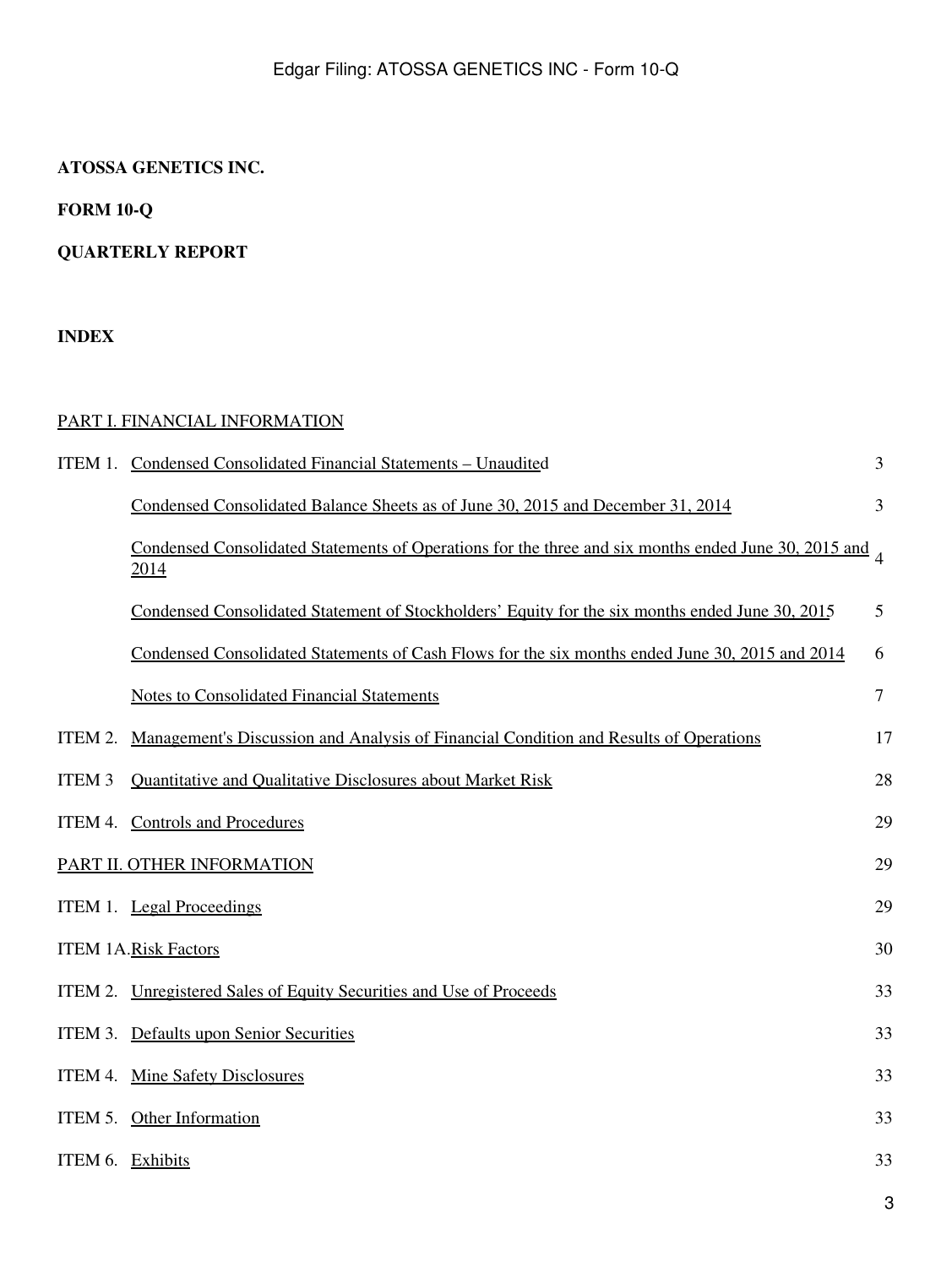## **ATOSSA GENETICS INC.**

**FORM 10-Q**

# **QUARTERLY REPORT**

## **INDEX**

## [PART I. FINANCIAL INFORMATION](#page-4-0)

|                  | ITEM 1. Condensed Consolidated Financial Statements - Unaudited                                                       | 3      |
|------------------|-----------------------------------------------------------------------------------------------------------------------|--------|
|                  | Condensed Consolidated Balance Sheets as of June 30, 2015 and December 31, 2014                                       | 3      |
|                  | Condensed Consolidated Statements of Operations for the three and six months ended June 30, 2015 and $\alpha$<br>2014 |        |
|                  | Condensed Consolidated Statement of Stockholders' Equity for the six months ended June 30, 2015                       | 5      |
|                  | Condensed Consolidated Statements of Cash Flows for the six months ended June 30, 2015 and 2014                       | 6      |
|                  | <b>Notes to Consolidated Financial Statements</b>                                                                     | $\tau$ |
| ITEM 2.          | Management's Discussion and Analysis of Financial Condition and Results of Operations                                 | 17     |
| <b>ITEM 3</b>    | Quantitative and Qualitative Disclosures about Market Risk                                                            | 28     |
|                  | ITEM 4. Controls and Procedures                                                                                       | 29     |
|                  | PART II. OTHER INFORMATION                                                                                            | 29     |
|                  | ITEM 1. Legal Proceedings                                                                                             | 29     |
|                  | <b>ITEM 1A.Risk Factors</b>                                                                                           | 30     |
|                  | ITEM 2. Unregistered Sales of Equity Securities and Use of Proceeds                                                   | 33     |
|                  | ITEM 3. Defaults upon Senior Securities                                                                               | 33     |
|                  | ITEM 4. Mine Safety Disclosures                                                                                       | 33     |
|                  | ITEM 5. Other Information                                                                                             | 33     |
| ITEM 6. Exhibits |                                                                                                                       | 33     |
|                  |                                                                                                                       | 3      |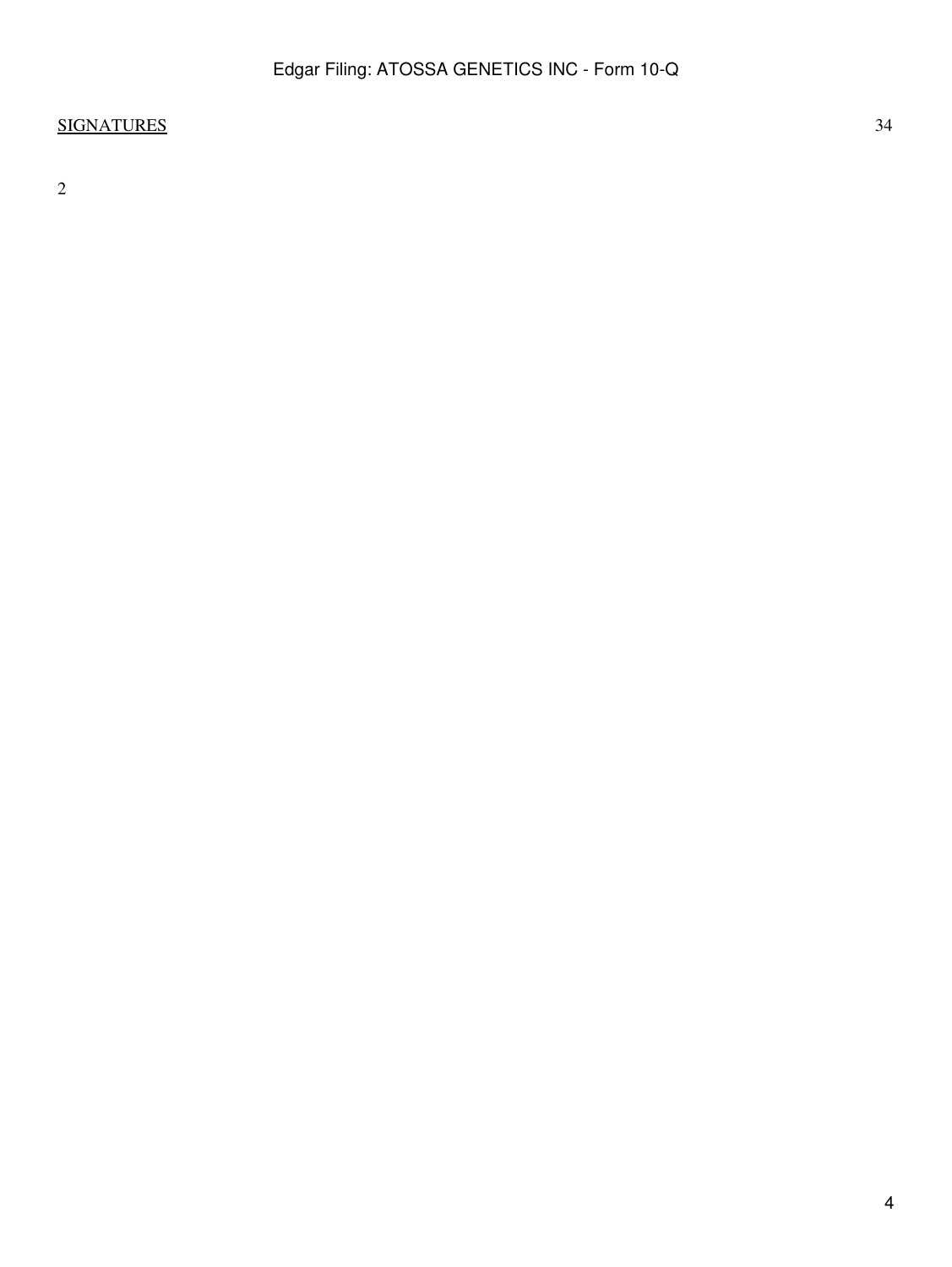# [SIGNATURES](#page-63-0) 34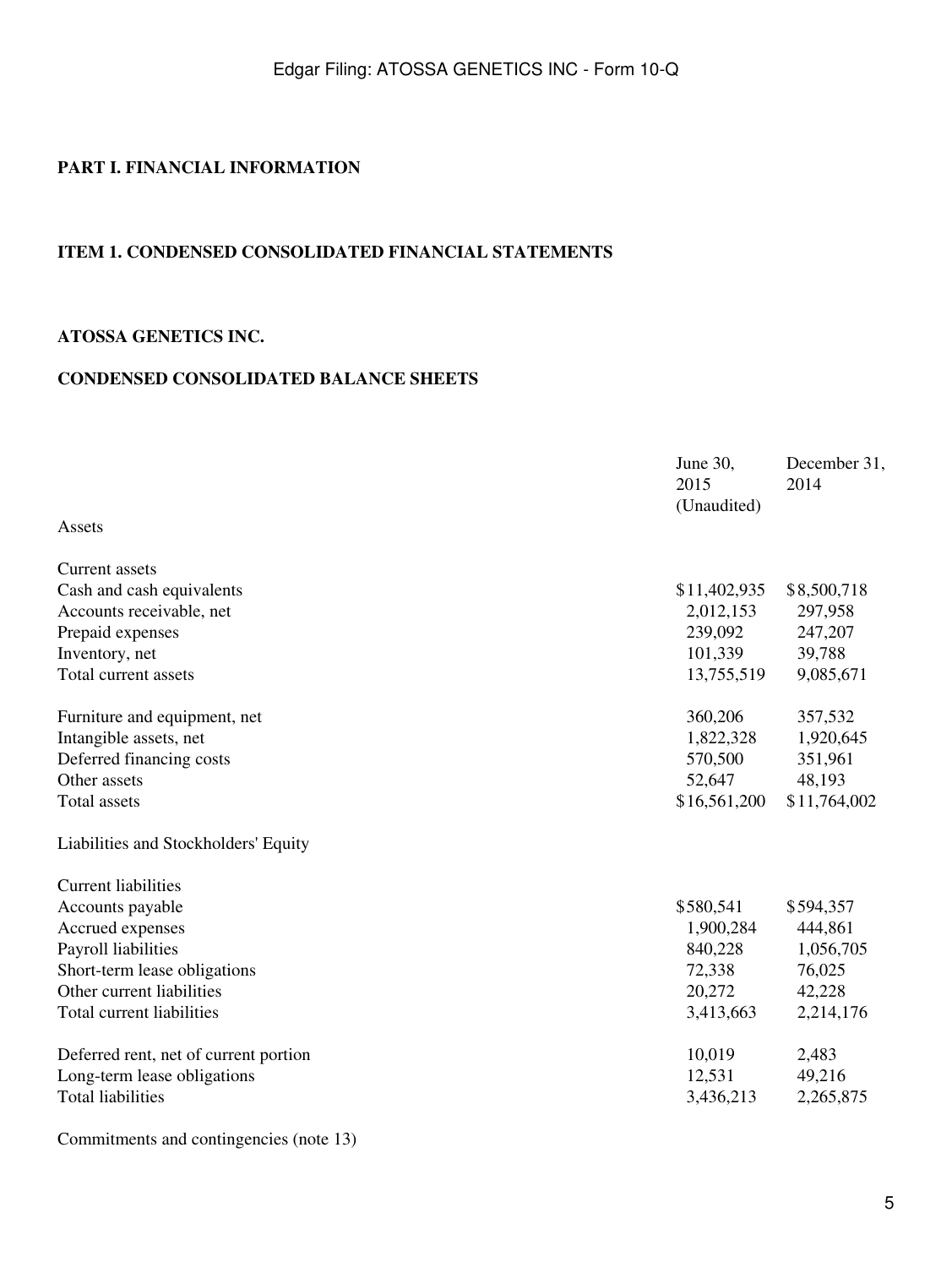### <span id="page-4-0"></span>**PART I. FINANCIAL INFORMATION**

### <span id="page-4-1"></span>**ITEM 1. CONDENSED CONSOLIDATED FINANCIAL STATEMENTS**

## <span id="page-4-2"></span>**ATOSSA GENETICS INC.**

## **CONDENSED CONSOLIDATED BALANCE SHEETS**

|                                       | June 30,<br>2015<br>(Unaudited) | December 31,<br>2014 |
|---------------------------------------|---------------------------------|----------------------|
| Assets                                |                                 |                      |
| Current assets                        |                                 |                      |
| Cash and cash equivalents             | \$11,402,935                    | \$8,500,718          |
| Accounts receivable, net              | 2,012,153                       | 297,958              |
| Prepaid expenses                      | 239,092                         | 247,207              |
| Inventory, net                        | 101,339                         | 39,788               |
| Total current assets                  | 13,755,519                      | 9,085,671            |
| Furniture and equipment, net          | 360,206                         | 357,532              |
| Intangible assets, net                | 1,822,328                       | 1,920,645            |
| Deferred financing costs              | 570,500                         | 351,961              |
| Other assets                          | 52,647                          | 48,193               |
| <b>Total assets</b>                   | \$16,561,200                    | \$11,764,002         |
| Liabilities and Stockholders' Equity  |                                 |                      |
| <b>Current liabilities</b>            |                                 |                      |
| Accounts payable                      | \$580,541                       | \$594,357            |
| Accrued expenses                      | 1,900,284                       | 444,861              |
| Payroll liabilities                   | 840,228                         | 1,056,705            |
| Short-term lease obligations          | 72,338                          | 76,025               |
| Other current liabilities             | 20,272                          | 42,228               |
| Total current liabilities             | 3,413,663                       | 2,214,176            |
| Deferred rent, net of current portion | 10,019                          | 2,483                |
| Long-term lease obligations           | 12,531                          | 49,216               |
| <b>Total liabilities</b>              | 3,436,213                       | 2,265,875            |
|                                       |                                 |                      |

Commitments and contingencies (note 13)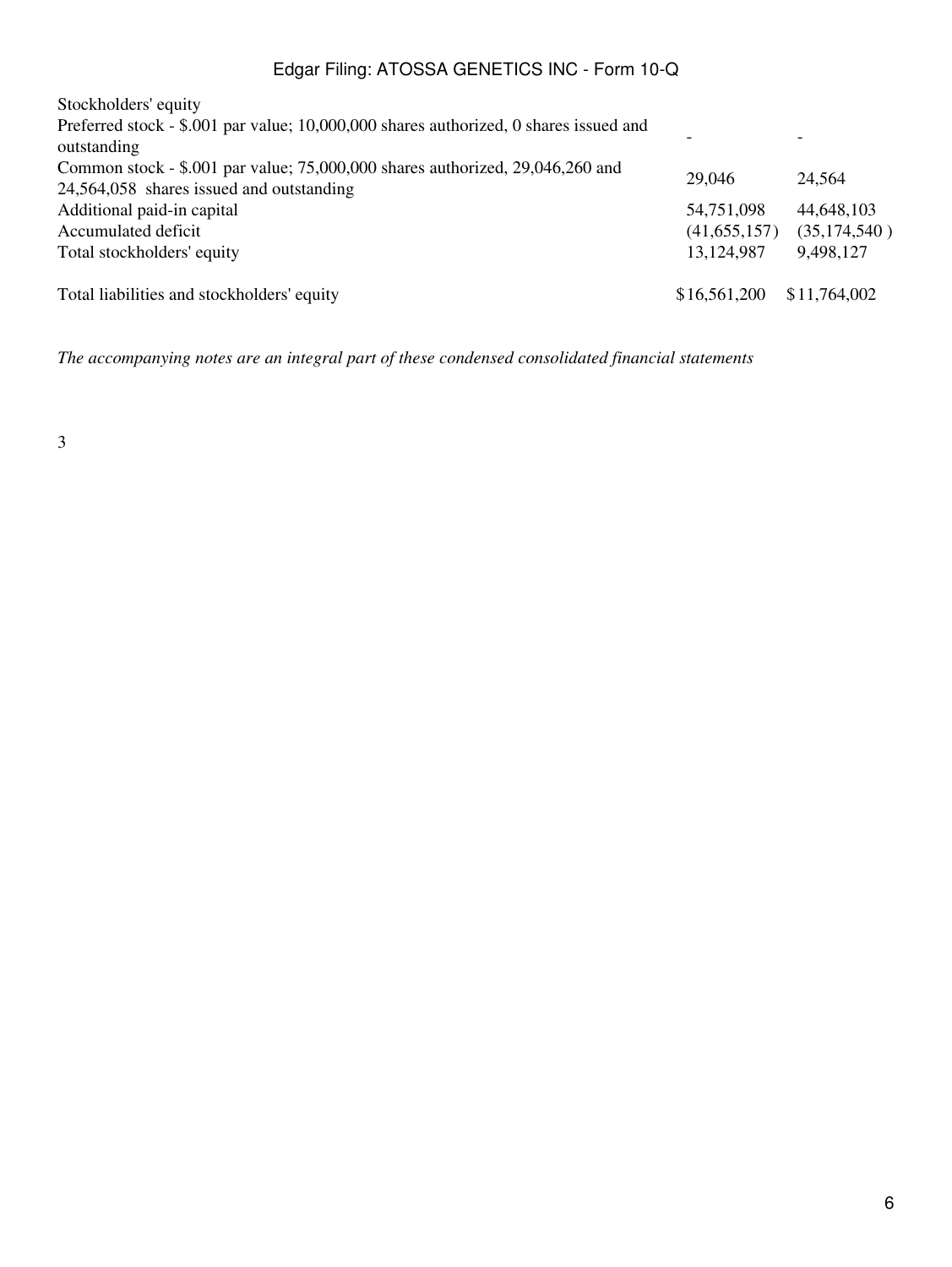| Stockholders' equity                                                                                                      |                |                          |
|---------------------------------------------------------------------------------------------------------------------------|----------------|--------------------------|
| Preferred stock - \$.001 par value; 10,000,000 shares authorized, 0 shares issued and<br>outstanding                      |                | $\overline{\phantom{0}}$ |
| Common stock - \$.001 par value; 75,000,000 shares authorized, 29,046,260 and<br>24,564,058 shares issued and outstanding | 29,046         | 24,564                   |
| Additional paid-in capital                                                                                                | 54,751,098     | 44,648,103               |
| Accumulated deficit                                                                                                       | (41, 655, 157) | (35,174,540)             |
| Total stockholders' equity                                                                                                | 13,124,987     | 9,498,127                |
| Total liabilities and stockholders' equity                                                                                | \$16,561,200   | \$11,764,002             |

*The accompanying notes are an integral part of these condensed consolidated financial statements*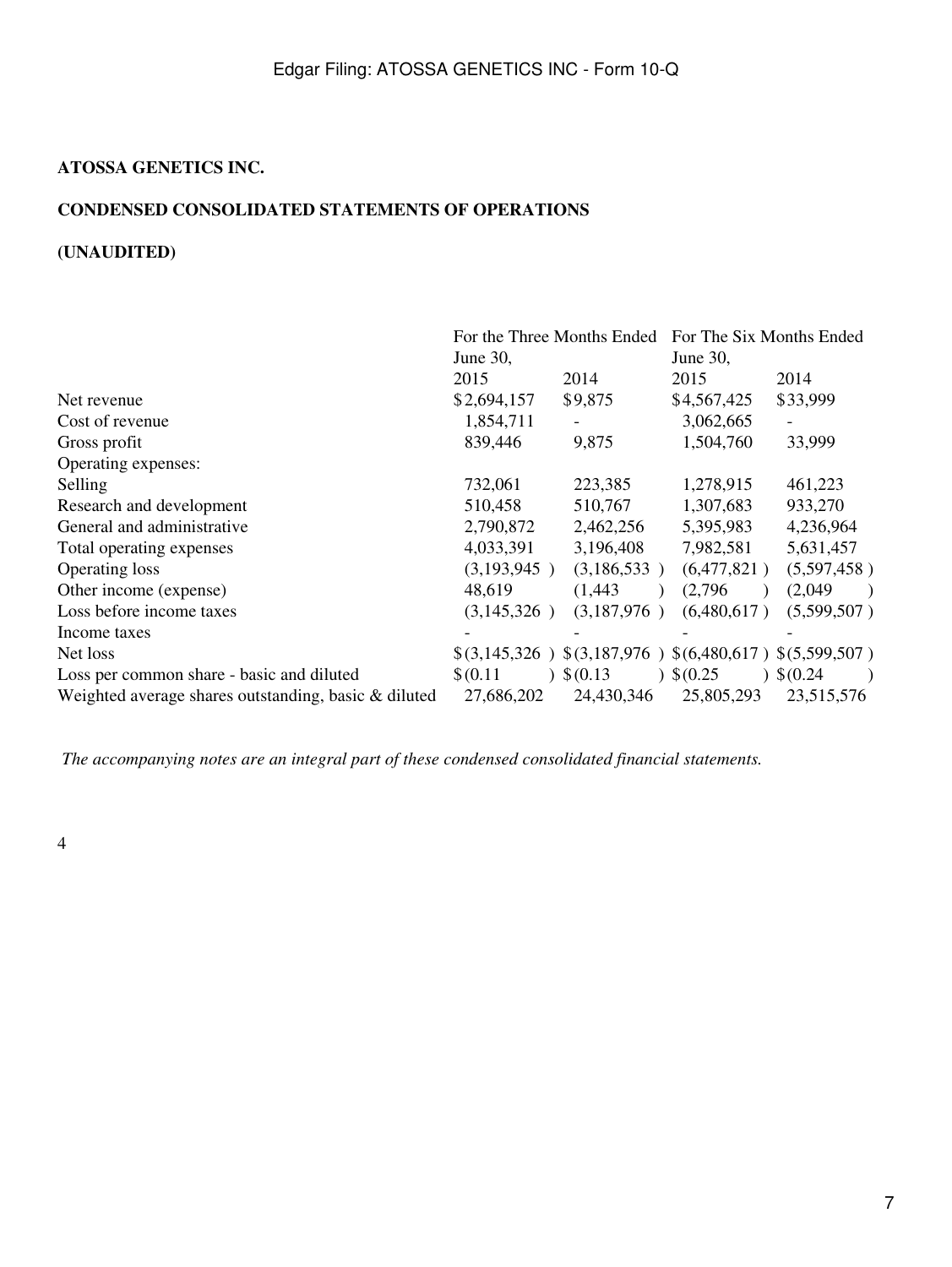### <span id="page-6-0"></span>**ATOSSA GENETICS INC.**

### **CONDENSED CONSOLIDATED STATEMENTS OF OPERATIONS**

## **(UNAUDITED)**

|                                                      | For the Three Months Ended |             | For The Six Months Ended                 |             |
|------------------------------------------------------|----------------------------|-------------|------------------------------------------|-------------|
|                                                      | June 30,                   |             | June 30,                                 |             |
|                                                      | 2015                       | 2014        | 2015                                     | 2014        |
| Net revenue                                          | \$2,694,157                | \$9,875     | \$4,567,425                              | \$33,999    |
| Cost of revenue                                      | 1,854,711                  |             | 3,062,665                                |             |
| Gross profit                                         | 839,446                    | 9,875       | 1,504,760                                | 33,999      |
| Operating expenses:                                  |                            |             |                                          |             |
| Selling                                              | 732,061                    | 223,385     | 1,278,915                                | 461,223     |
| Research and development                             | 510,458                    | 510,767     | 1,307,683                                | 933,270     |
| General and administrative                           | 2,790,872                  | 2,462,256   | 5,395,983                                | 4,236,964   |
| Total operating expenses                             | 4,033,391                  | 3,196,408   | 7,982,581                                | 5,631,457   |
| <b>Operating loss</b>                                | (3,193,945)                | (3,186,533) | (6,477,821)                              | (5,597,458) |
| Other income (expense)                               | 48,619                     | (1,443)     | (2,796)                                  | (2,049)     |
| Loss before income taxes                             | (3,145,326)                | (3,187,976) | (6,480,617)                              | (5,599,507) |
| Income taxes                                         |                            |             |                                          |             |
| Net loss                                             | \$(3,145,326)              |             | $$(3,187,976) $(6,480,617) $(5,599,507)$ |             |
| Loss per common share - basic and diluted            | \$(0.11)                   | \$(0.13)    | \$(0.25)                                 | \$(0.24)    |
| Weighted average shares outstanding, basic & diluted | 27,686,202                 | 24,430,346  | 25,805,293                               | 23,515,576  |

*The accompanying notes are an integral part of these condensed consolidated financial statements.*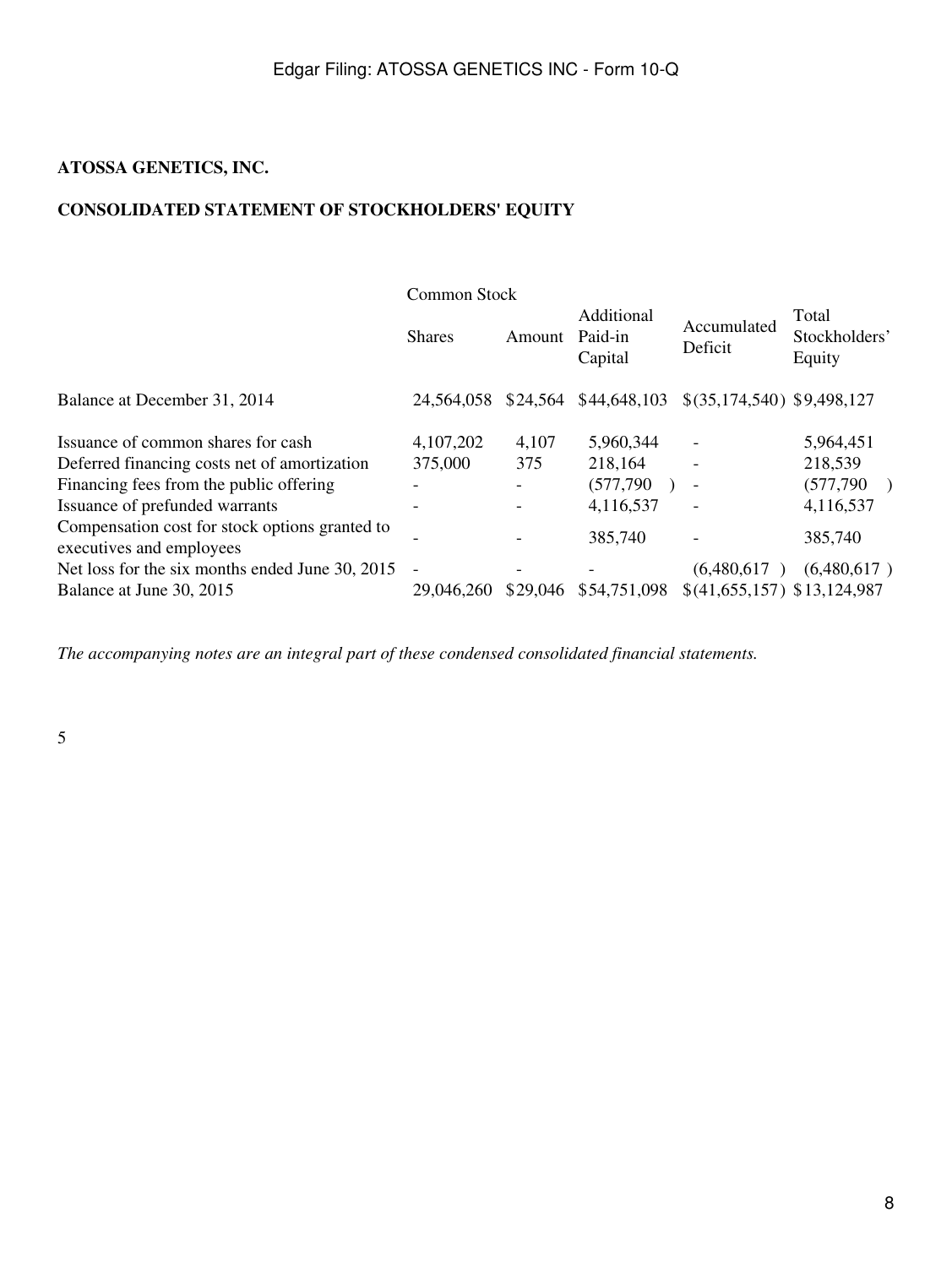## <span id="page-7-0"></span>**ATOSSA GENETICS, INC.**

## **CONSOLIDATED STATEMENT OF STOCKHOLDERS' EQUITY**

|                                                                            | Common Stock   |        |                                  |                              |                                  |
|----------------------------------------------------------------------------|----------------|--------|----------------------------------|------------------------------|----------------------------------|
|                                                                            | <b>Shares</b>  | Amount | Additional<br>Paid-in<br>Capital | Accumulated<br>Deficit       | Total<br>Stockholders'<br>Equity |
| Balance at December 31, 2014                                               | 24.564.058     |        | \$24,564 \$44,648,103            | \$(35,174,540) \$9,498,127   |                                  |
| Issuance of common shares for cash                                         | 4,107,202      | 4,107  | 5,960,344                        |                              | 5,964,451                        |
| Deferred financing costs net of amortization                               | 375,000        | 375    | 218,164                          |                              | 218,539                          |
| Financing fees from the public offering                                    |                |        | (577,790)                        | $\sim$                       | (577, 790)                       |
| Issuance of prefunded warrants                                             |                |        | 4,116,537                        |                              | 4,116,537                        |
| Compensation cost for stock options granted to<br>executives and employees |                |        | 385,740                          |                              | 385,740                          |
| Net loss for the six months ended June 30, 2015                            | $\blacksquare$ |        |                                  | (6,480,617)                  | (6,480,617)                      |
| Balance at June 30, 2015                                                   | 29,046,260     |        | \$29,046 \$54,751,098            | $$(41,655,157)$ \$13,124,987 |                                  |

*The accompanying notes are an integral part of these condensed consolidated financial statements.*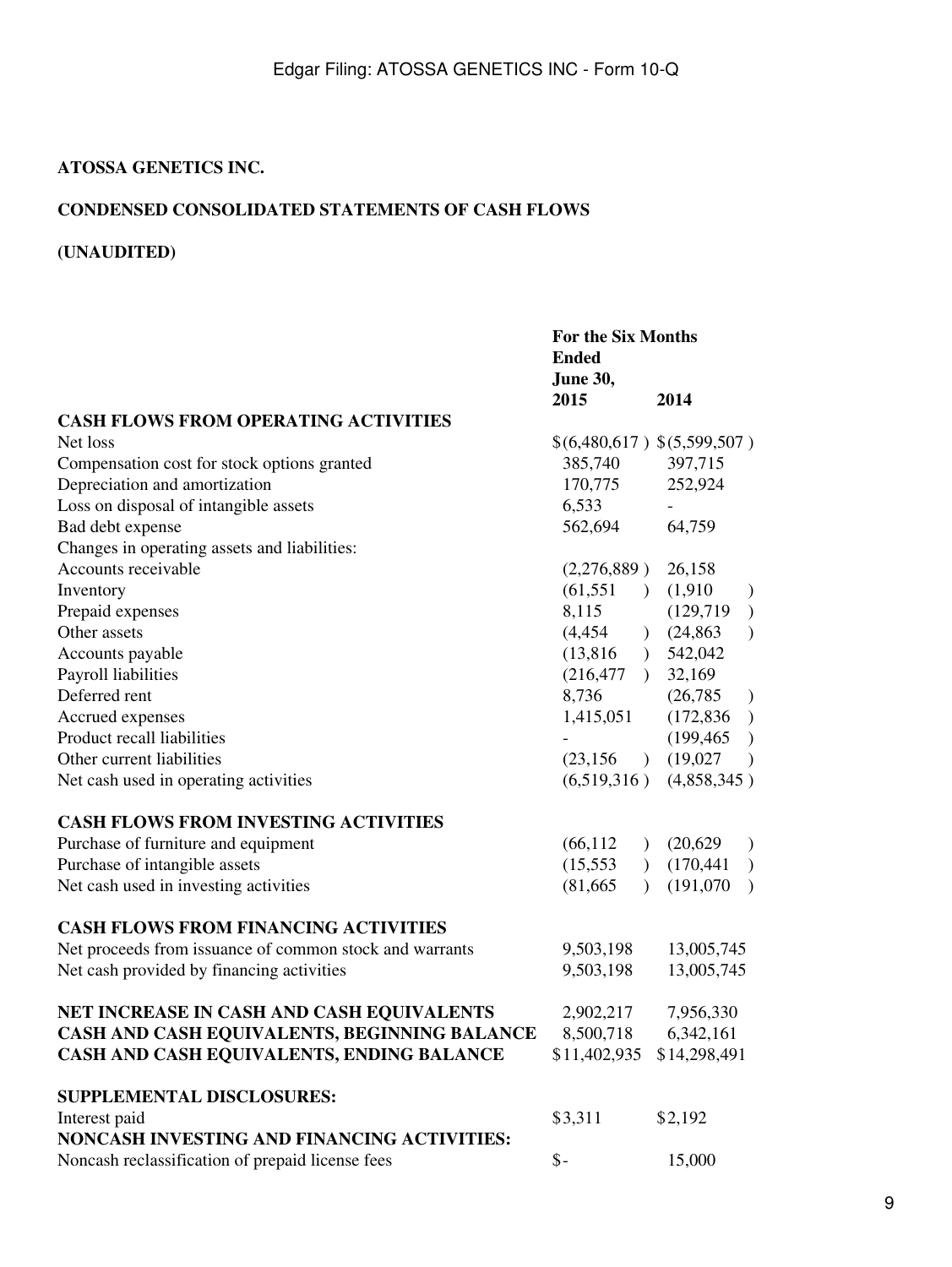## <span id="page-8-0"></span>**ATOSSA GENETICS INC.**

### **CONDENSED CONSOLIDATED STATEMENTS OF CASH FLOWS**

# **(UNAUDITED)**

|                                                         | For the Six Months<br><b>Ended</b><br>June 30, |                |             |                                                          |
|---------------------------------------------------------|------------------------------------------------|----------------|-------------|----------------------------------------------------------|
|                                                         | 2015                                           |                | 2014        |                                                          |
| <b>CASH FLOWS FROM OPERATING ACTIVITIES</b>             |                                                |                |             |                                                          |
| Net loss                                                | \$(6,480,617) \$(5,599,507)                    |                |             |                                                          |
| Compensation cost for stock options granted             | 385,740                                        |                | 397,715     |                                                          |
| Depreciation and amortization                           | 170,775                                        |                | 252,924     |                                                          |
| Loss on disposal of intangible assets                   | 6,533                                          |                |             |                                                          |
| Bad debt expense                                        | 562,694                                        |                | 64,759      |                                                          |
| Changes in operating assets and liabilities:            |                                                |                |             |                                                          |
| Accounts receivable                                     | (2,276,889)                                    |                | 26,158      |                                                          |
| Inventory                                               | $(61,551)$ $(1,910)$                           |                |             |                                                          |
| Prepaid expenses                                        | 8,115                                          |                | (129, 719)  | $\begin{smallmatrix} \frac{1}{2} \\ 1 \end{smallmatrix}$ |
| Other assets                                            | (4, 454)                                       |                | (24,863)    | $\mathcal{E}$                                            |
| Accounts payable                                        | (13,816)                                       |                | 542,042     |                                                          |
| Payroll liabilities                                     | (216, 477)                                     |                | 32,169      |                                                          |
| Deferred rent                                           | 8,736                                          |                | (26, 785)   | $\big)$                                                  |
| Accrued expenses                                        | 1,415,051                                      |                | (172, 836)  | $\big)$                                                  |
| Product recall liabilities                              |                                                |                | (199, 465)  | $\big)$                                                  |
| Other current liabilities                               | (23, 156)                                      |                | (19,027)    | $\mathcal{E}$                                            |
| Net cash used in operating activities                   | (6,519,316)                                    |                | (4,858,345) |                                                          |
| <b>CASH FLOWS FROM INVESTING ACTIVITIES</b>             |                                                |                |             |                                                          |
| Purchase of furniture and equipment                     | (66, 112)                                      | $\overline{)}$ | (20,629)    | $\big)$                                                  |
| Purchase of intangible assets                           | (15, 553)                                      | $\overline{)}$ | (170, 441)  | $\overline{\phantom{a}}$                                 |
| Net cash used in investing activities                   | (81, 665)                                      | $\lambda$      | (191,070)   | $\mathcal{E}$                                            |
| <b>CASH FLOWS FROM FINANCING ACTIVITIES</b>             |                                                |                |             |                                                          |
| Net proceeds from issuance of common stock and warrants | 9,503,198                                      |                | 13,005,745  |                                                          |
| Net cash provided by financing activities               | 9,503,198                                      |                | 13,005,745  |                                                          |
| NET INCREASE IN CASH AND CASH EQUIVALENTS               | 2,902,217                                      |                | 7,956,330   |                                                          |
| CASH AND CASH EQUIVALENTS, BEGINNING BALANCE            | 8,500,718                                      |                | 6,342,161   |                                                          |
| CASH AND CASH EQUIVALENTS, ENDING BALANCE               | \$11,402,935 \$14,298,491                      |                |             |                                                          |
| <b>SUPPLEMENTAL DISCLOSURES:</b>                        |                                                |                |             |                                                          |
| Interest paid                                           | \$3,311                                        |                | \$2,192     |                                                          |
| NONCASH INVESTING AND FINANCING ACTIVITIES:             |                                                |                |             |                                                          |
| Noncash reclassification of prepaid license fees        | $\$ -                                          |                | 15,000      |                                                          |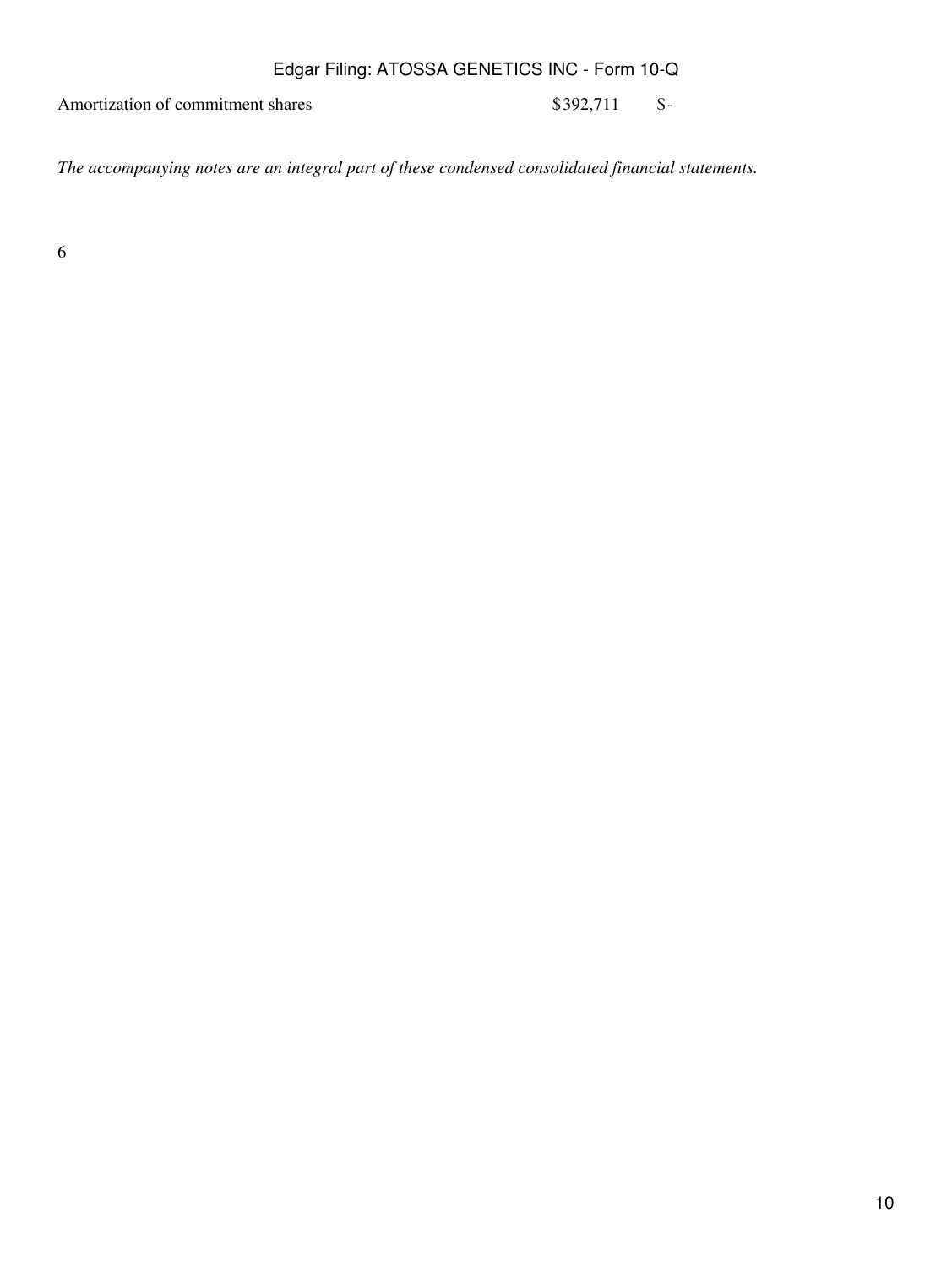Amortization of commitment shares \$392,711 \$-

*The accompanying notes are an integral part of these condensed consolidated financial statements.*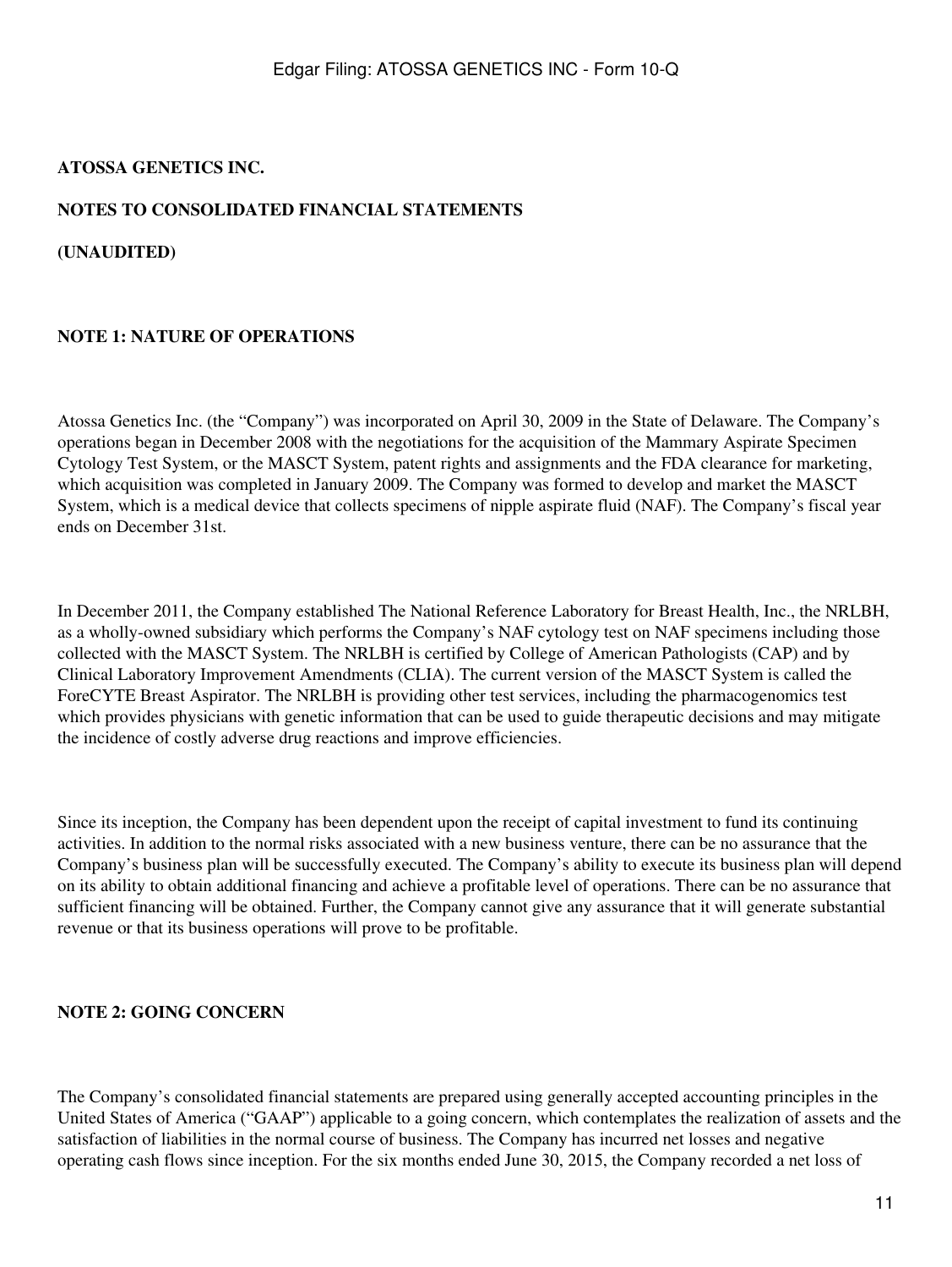### <span id="page-10-0"></span>**ATOSSA GENETICS INC.**

# **NOTES TO CONSOLIDATED FINANCIAL STATEMENTS**

**(UNAUDITED)**

# **NOTE 1: NATURE OF OPERATIONS**

Atossa Genetics Inc. (the "Company") was incorporated on April 30, 2009 in the State of Delaware. The Company's operations began in December 2008 with the negotiations for the acquisition of the Mammary Aspirate Specimen Cytology Test System, or the MASCT System, patent rights and assignments and the FDA clearance for marketing, which acquisition was completed in January 2009. The Company was formed to develop and market the MASCT System, which is a medical device that collects specimens of nipple aspirate fluid (NAF). The Company's fiscal year ends on December 31st.

In December 2011, the Company established The National Reference Laboratory for Breast Health, Inc., the NRLBH, as a wholly-owned subsidiary which performs the Company's NAF cytology test on NAF specimens including those collected with the MASCT System. The NRLBH is certified by College of American Pathologists (CAP) and by Clinical Laboratory Improvement Amendments (CLIA). The current version of the MASCT System is called the ForeCYTE Breast Aspirator. The NRLBH is providing other test services, including the pharmacogenomics test which provides physicians with genetic information that can be used to guide therapeutic decisions and may mitigate the incidence of costly adverse drug reactions and improve efficiencies.

Since its inception, the Company has been dependent upon the receipt of capital investment to fund its continuing activities. In addition to the normal risks associated with a new business venture, there can be no assurance that the Company's business plan will be successfully executed. The Company's ability to execute its business plan will depend on its ability to obtain additional financing and achieve a profitable level of operations. There can be no assurance that sufficient financing will be obtained. Further, the Company cannot give any assurance that it will generate substantial revenue or that its business operations will prove to be profitable.

# **NOTE 2: GOING CONCERN**

The Company's consolidated financial statements are prepared using generally accepted accounting principles in the United States of America ("GAAP") applicable to a going concern, which contemplates the realization of assets and the satisfaction of liabilities in the normal course of business. The Company has incurred net losses and negative operating cash flows since inception. For the six months ended June 30, 2015, the Company recorded a net loss of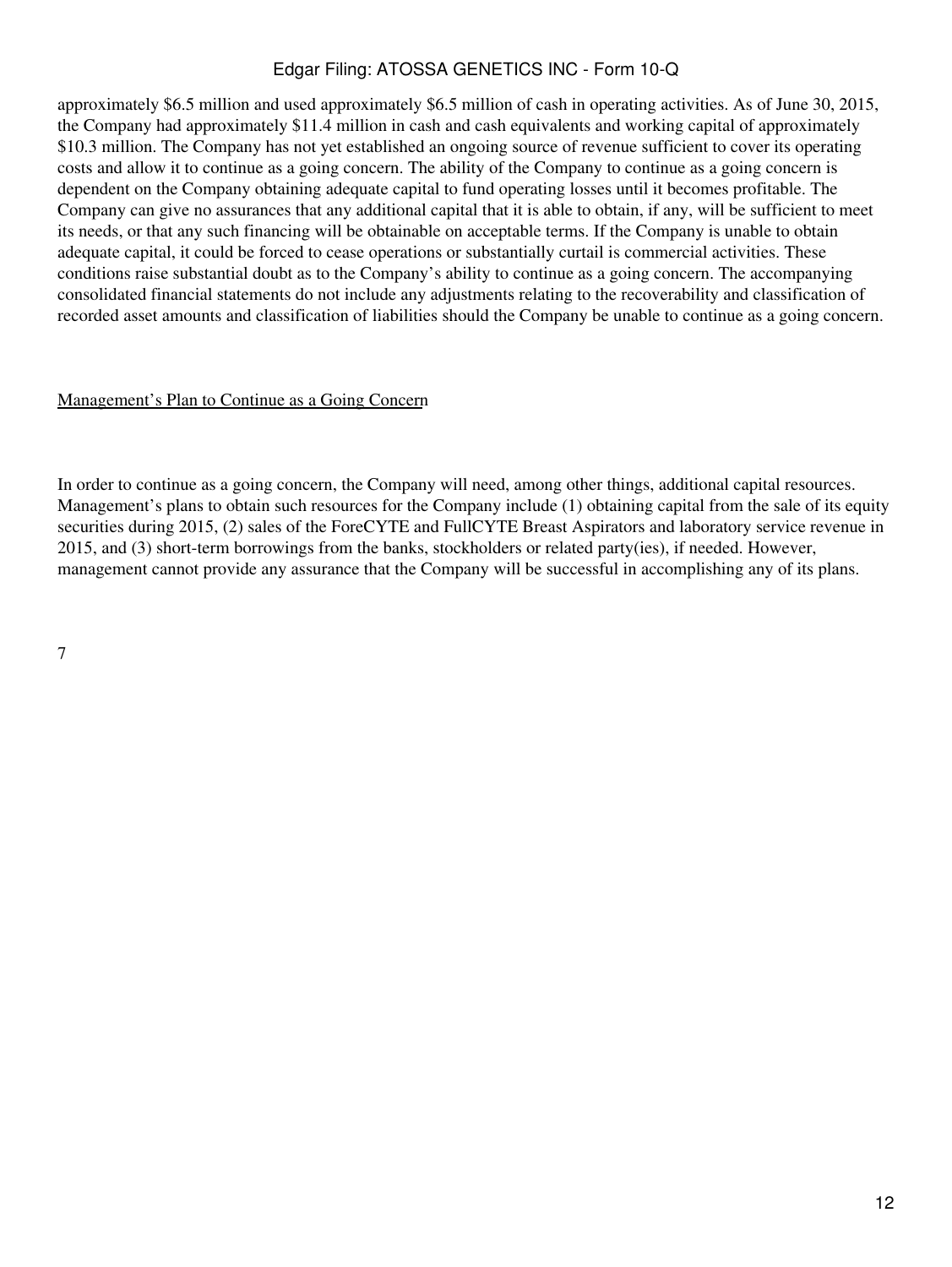approximately \$6.5 million and used approximately \$6.5 million of cash in operating activities. As of June 30, 2015, the Company had approximately \$11.4 million in cash and cash equivalents and working capital of approximately \$10.3 million. The Company has not yet established an ongoing source of revenue sufficient to cover its operating costs and allow it to continue as a going concern. The ability of the Company to continue as a going concern is dependent on the Company obtaining adequate capital to fund operating losses until it becomes profitable. The Company can give no assurances that any additional capital that it is able to obtain, if any, will be sufficient to meet its needs, or that any such financing will be obtainable on acceptable terms. If the Company is unable to obtain adequate capital, it could be forced to cease operations or substantially curtail is commercial activities. These conditions raise substantial doubt as to the Company's ability to continue as a going concern. The accompanying consolidated financial statements do not include any adjustments relating to the recoverability and classification of recorded asset amounts and classification of liabilities should the Company be unable to continue as a going concern.

#### Management's Plan to Continue as a Going Concern

In order to continue as a going concern, the Company will need, among other things, additional capital resources. Management's plans to obtain such resources for the Company include (1) obtaining capital from the sale of its equity securities during 2015, (2) sales of the ForeCYTE and FullCYTE Breast Aspirators and laboratory service revenue in 2015, and (3) short-term borrowings from the banks, stockholders or related party(ies), if needed. However, management cannot provide any assurance that the Company will be successful in accomplishing any of its plans.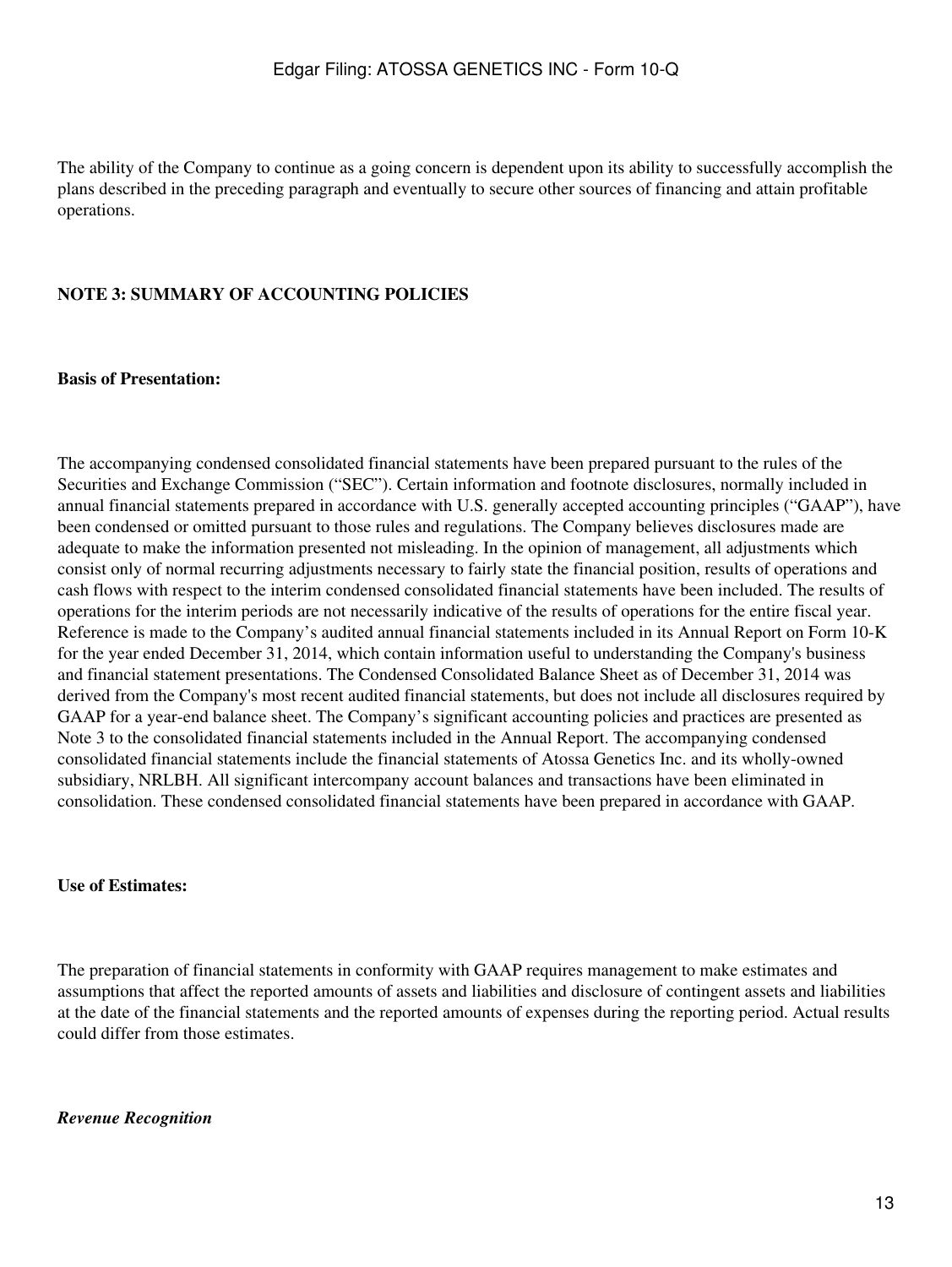The ability of the Company to continue as a going concern is dependent upon its ability to successfully accomplish the plans described in the preceding paragraph and eventually to secure other sources of financing and attain profitable operations.

## **NOTE 3: SUMMARY OF ACCOUNTING POLICIES**

#### **Basis of Presentation:**

The accompanying condensed consolidated financial statements have been prepared pursuant to the rules of the Securities and Exchange Commission ("SEC"). Certain information and footnote disclosures, normally included in annual financial statements prepared in accordance with U.S. generally accepted accounting principles ("GAAP"), have been condensed or omitted pursuant to those rules and regulations. The Company believes disclosures made are adequate to make the information presented not misleading. In the opinion of management, all adjustments which consist only of normal recurring adjustments necessary to fairly state the financial position, results of operations and cash flows with respect to the interim condensed consolidated financial statements have been included. The results of operations for the interim periods are not necessarily indicative of the results of operations for the entire fiscal year. Reference is made to the Company's audited annual financial statements included in its Annual Report on Form 10-K for the year ended December 31, 2014, which contain information useful to understanding the Company's business and financial statement presentations. The Condensed Consolidated Balance Sheet as of December 31, 2014 was derived from the Company's most recent audited financial statements, but does not include all disclosures required by GAAP for a year-end balance sheet. The Company's significant accounting policies and practices are presented as Note 3 to the consolidated financial statements included in the Annual Report. The accompanying condensed consolidated financial statements include the financial statements of Atossa Genetics Inc. and its wholly-owned subsidiary, NRLBH. All significant intercompany account balances and transactions have been eliminated in consolidation. These condensed consolidated financial statements have been prepared in accordance with GAAP.

### **Use of Estimates:**

The preparation of financial statements in conformity with GAAP requires management to make estimates and assumptions that affect the reported amounts of assets and liabilities and disclosure of contingent assets and liabilities at the date of the financial statements and the reported amounts of expenses during the reporting period. Actual results could differ from those estimates.

#### *Revenue Recognition*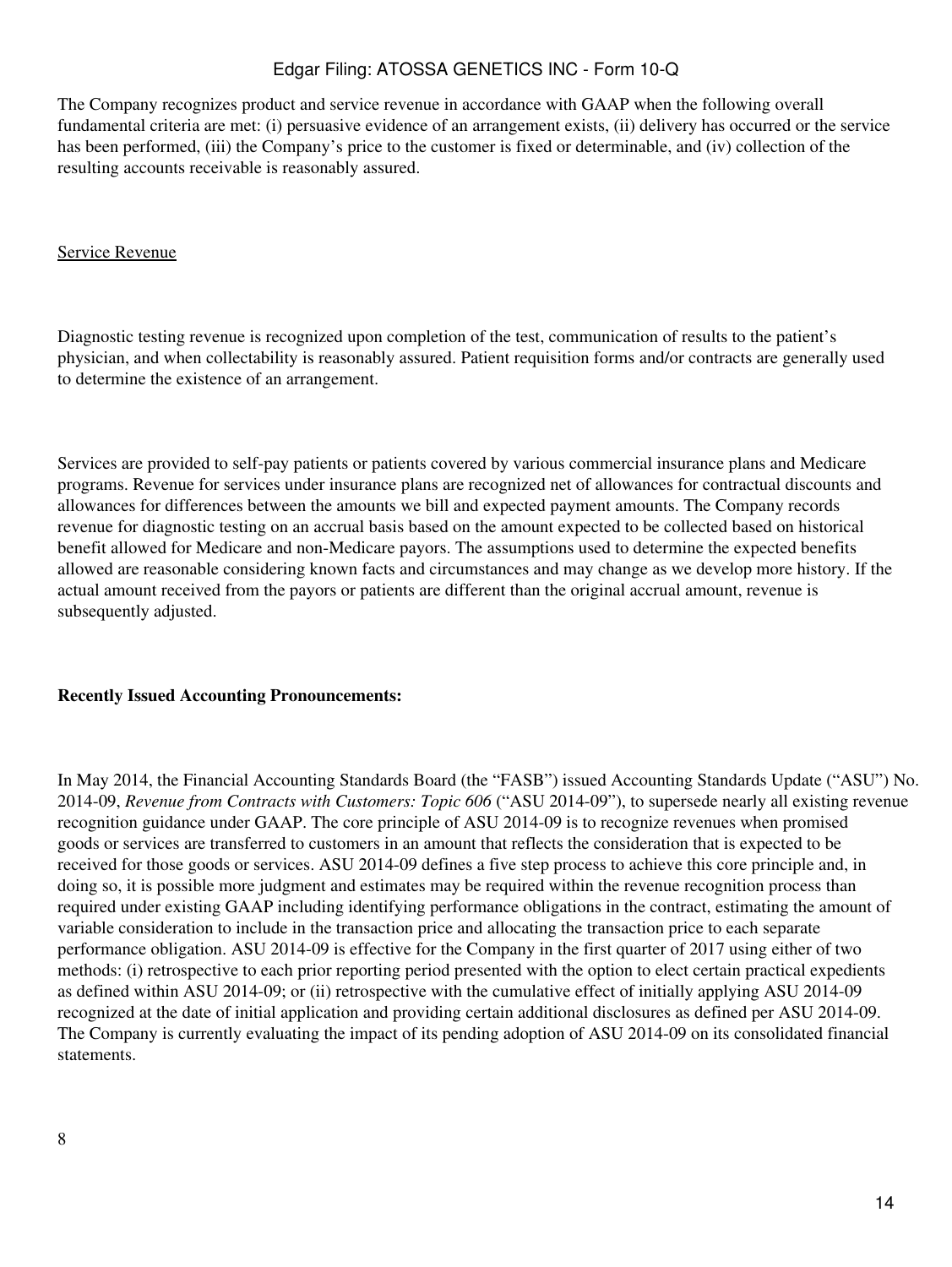The Company recognizes product and service revenue in accordance with GAAP when the following overall fundamental criteria are met: (i) persuasive evidence of an arrangement exists, (ii) delivery has occurred or the service has been performed, (iii) the Company's price to the customer is fixed or determinable, and (iv) collection of the resulting accounts receivable is reasonably assured.

### Service Revenue

Diagnostic testing revenue is recognized upon completion of the test, communication of results to the patient's physician, and when collectability is reasonably assured. Patient requisition forms and/or contracts are generally used to determine the existence of an arrangement.

Services are provided to self-pay patients or patients covered by various commercial insurance plans and Medicare programs. Revenue for services under insurance plans are recognized net of allowances for contractual discounts and allowances for differences between the amounts we bill and expected payment amounts. The Company records revenue for diagnostic testing on an accrual basis based on the amount expected to be collected based on historical benefit allowed for Medicare and non-Medicare payors. The assumptions used to determine the expected benefits allowed are reasonable considering known facts and circumstances and may change as we develop more history. If the actual amount received from the payors or patients are different than the original accrual amount, revenue is subsequently adjusted.

#### **Recently Issued Accounting Pronouncements:**

In May 2014, the Financial Accounting Standards Board (the "FASB") issued Accounting Standards Update ("ASU") No. 2014-09, *Revenue from Contracts with Customers: Topic 606* ("ASU 2014-09"), to supersede nearly all existing revenue recognition guidance under GAAP. The core principle of ASU 2014-09 is to recognize revenues when promised goods or services are transferred to customers in an amount that reflects the consideration that is expected to be received for those goods or services. ASU 2014-09 defines a five step process to achieve this core principle and, in doing so, it is possible more judgment and estimates may be required within the revenue recognition process than required under existing GAAP including identifying performance obligations in the contract, estimating the amount of variable consideration to include in the transaction price and allocating the transaction price to each separate performance obligation. ASU 2014-09 is effective for the Company in the first quarter of 2017 using either of two methods: (i) retrospective to each prior reporting period presented with the option to elect certain practical expedients as defined within ASU 2014-09; or (ii) retrospective with the cumulative effect of initially applying ASU 2014-09 recognized at the date of initial application and providing certain additional disclosures as defined per ASU 2014-09. The Company is currently evaluating the impact of its pending adoption of ASU 2014-09 on its consolidated financial statements.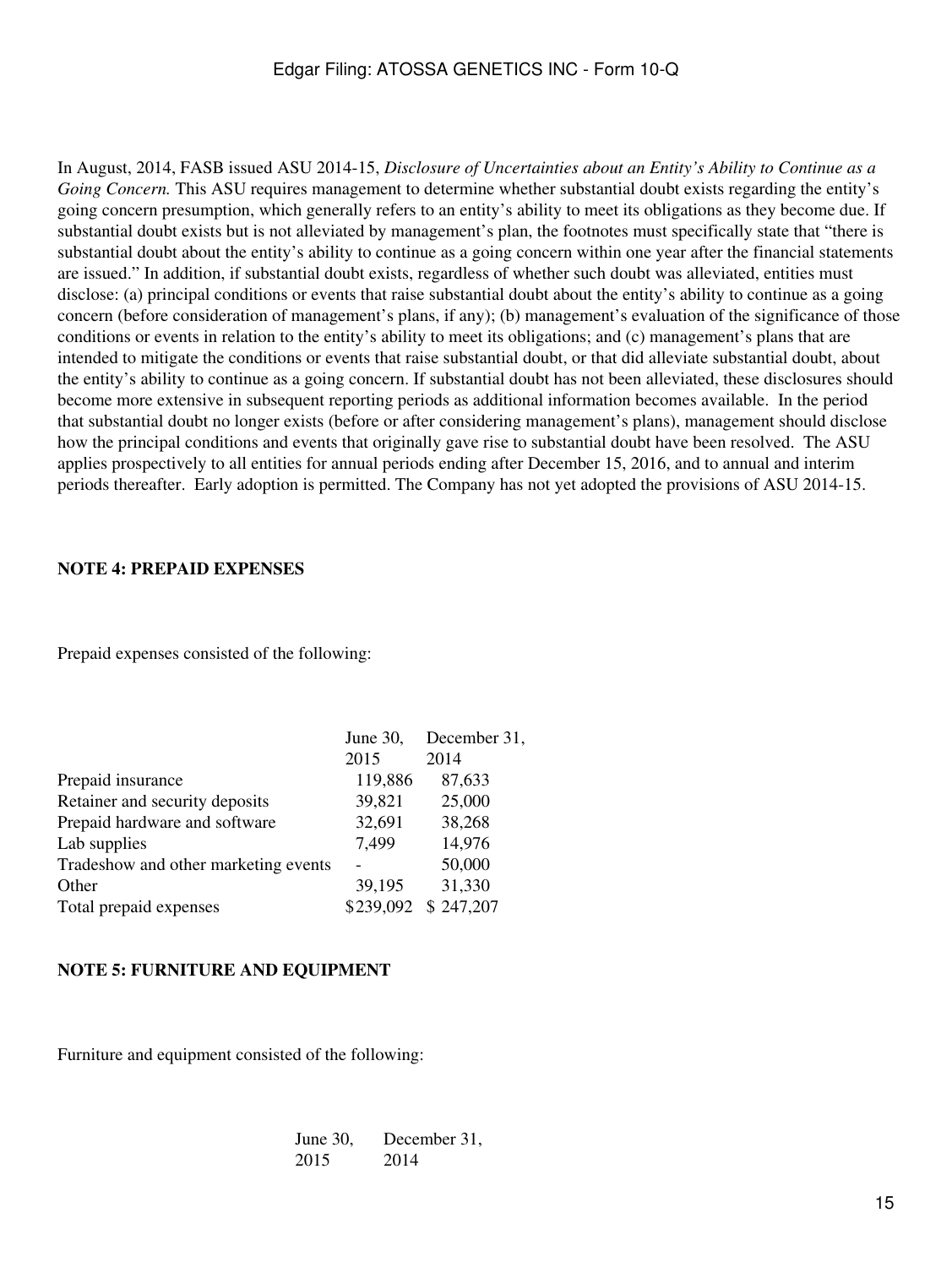In August, 2014, FASB issued ASU 2014-15, *Disclosure of Uncertainties about an Entity's Ability to Continue as a Going Concern.* This ASU requires management to determine whether substantial doubt exists regarding the entity's going concern presumption, which generally refers to an entity's ability to meet its obligations as they become due. If substantial doubt exists but is not alleviated by management's plan, the footnotes must specifically state that "there is substantial doubt about the entity's ability to continue as a going concern within one year after the financial statements are issued." In addition, if substantial doubt exists, regardless of whether such doubt was alleviated, entities must disclose: (a) principal conditions or events that raise substantial doubt about the entity's ability to continue as a going concern (before consideration of management's plans, if any); (b) management's evaluation of the significance of those conditions or events in relation to the entity's ability to meet its obligations; and (c) management's plans that are intended to mitigate the conditions or events that raise substantial doubt, or that did alleviate substantial doubt, about the entity's ability to continue as a going concern. If substantial doubt has not been alleviated, these disclosures should become more extensive in subsequent reporting periods as additional information becomes available. In the period that substantial doubt no longer exists (before or after considering management's plans), management should disclose how the principal conditions and events that originally gave rise to substantial doubt have been resolved. The ASU applies prospectively to all entities for annual periods ending after December 15, 2016, and to annual and interim periods thereafter. Early adoption is permitted. The Company has not yet adopted the provisions of ASU 2014-15.

#### **NOTE 4: PREPAID EXPENSES**

Prepaid expenses consisted of the following:

|                                      | June 30,  | December 31, |
|--------------------------------------|-----------|--------------|
|                                      | 2015      | 2014         |
| Prepaid insurance                    | 119,886   | 87,633       |
| Retainer and security deposits       | 39,821    | 25,000       |
| Prepaid hardware and software        | 32,691    | 38,268       |
| Lab supplies                         | 7,499     | 14,976       |
| Tradeshow and other marketing events |           | 50,000       |
| Other                                | 39,195    | 31,330       |
| Total prepaid expenses               | \$239,092 | \$247,207    |
|                                      |           |              |

#### **NOTE 5: FURNITURE AND EQUIPMENT**

Furniture and equipment consisted of the following:

| June $30$ , | December 31, |
|-------------|--------------|
| 2015        | 2014         |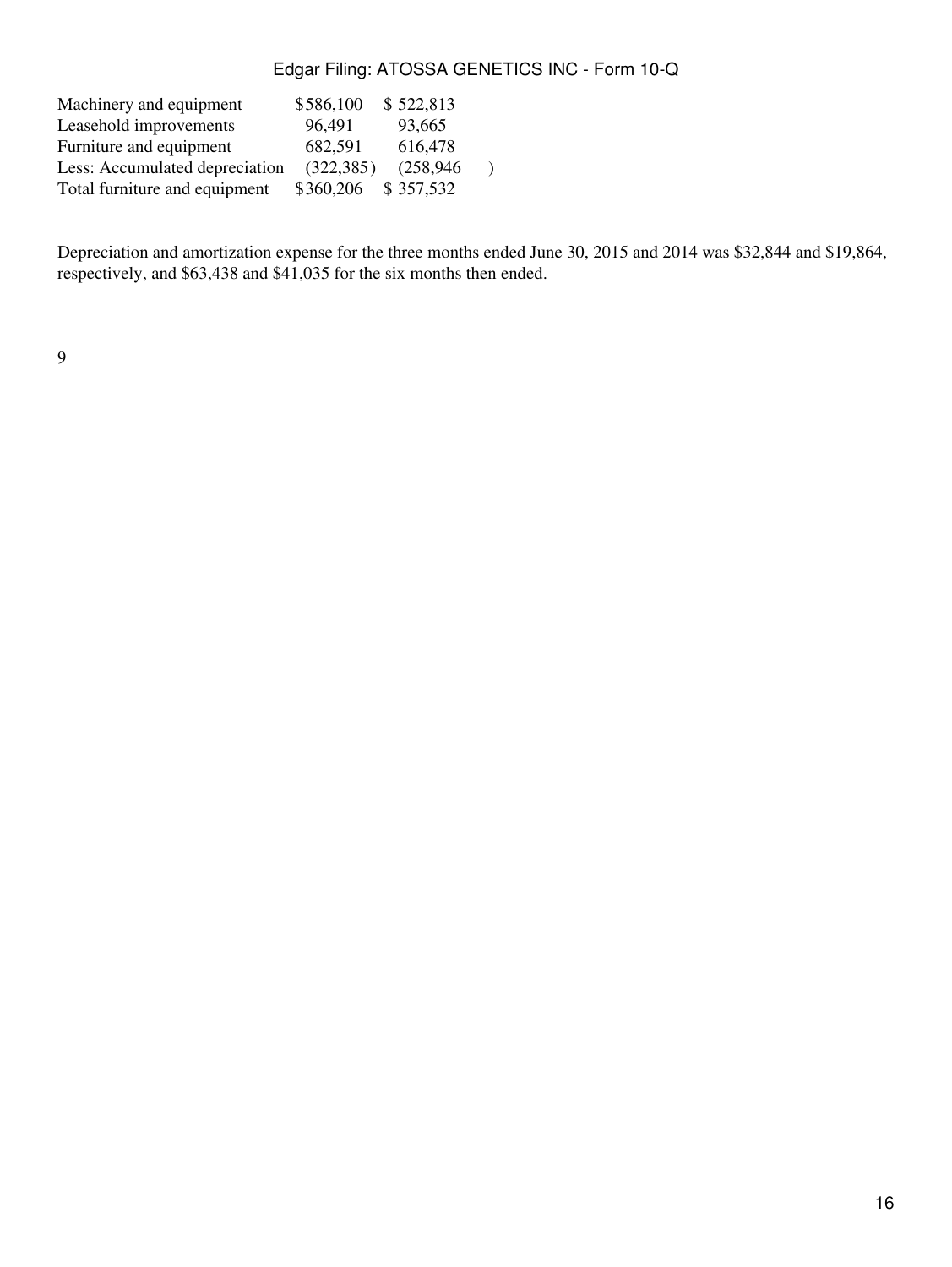| Machinery and equipment        | \$586,100  | \$522,813  |  |
|--------------------------------|------------|------------|--|
| Leasehold improvements         | 96,491     | 93,665     |  |
| Furniture and equipment        | 682,591    | 616,478    |  |
| Less: Accumulated depreciation | (322, 385) | (258, 946) |  |
| Total furniture and equipment  | \$360,206  | \$357,532  |  |

Depreciation and amortization expense for the three months ended June 30, 2015 and 2014 was \$32,844 and \$19,864, respectively, and \$63,438 and \$41,035 for the six months then ended.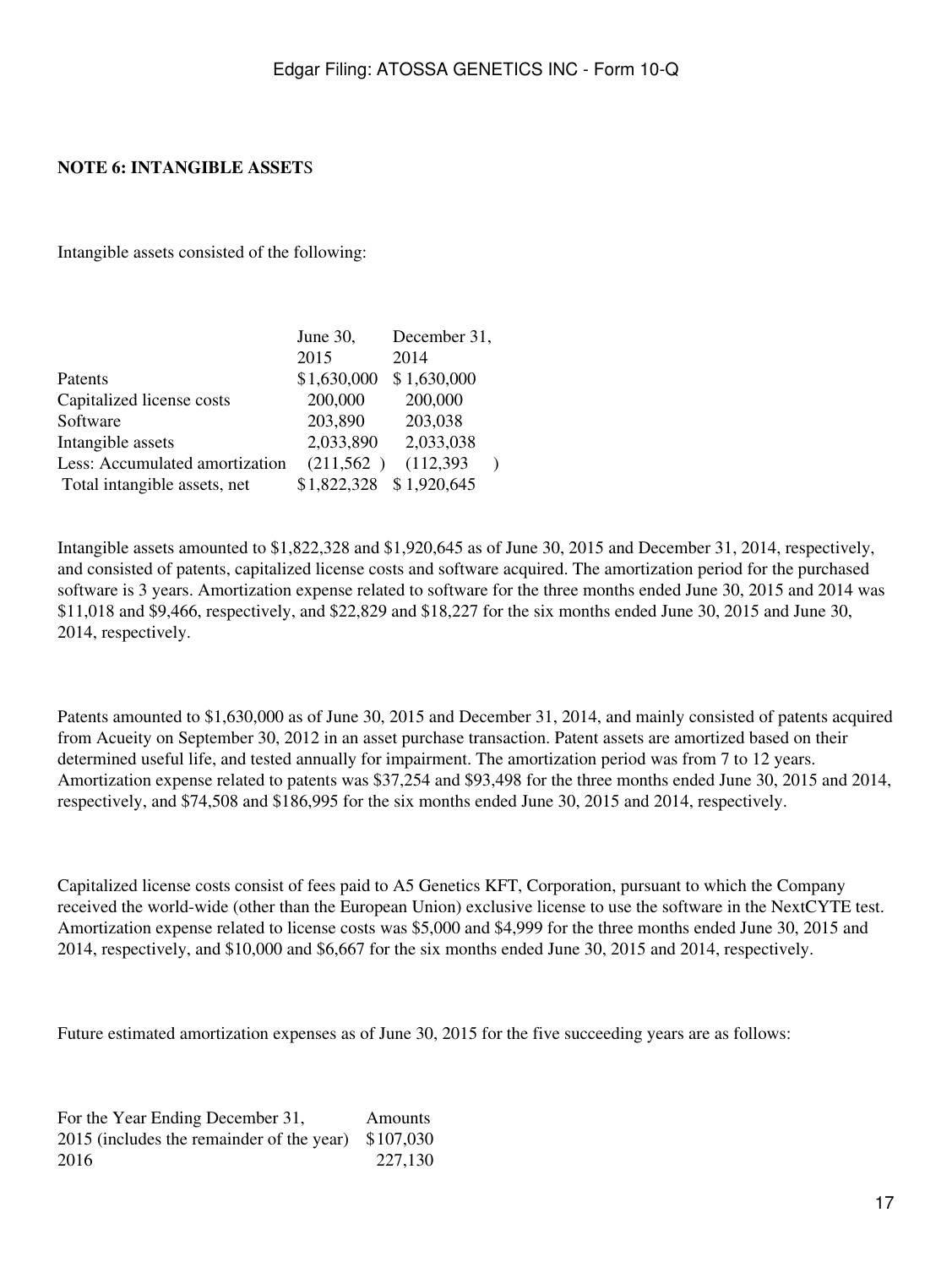### **NOTE 6: INTANGIBLE ASSET**S

Intangible assets consisted of the following:

|                                | June 30,    | December 31, |  |
|--------------------------------|-------------|--------------|--|
|                                | 2015        | 2014         |  |
| Patents                        | \$1,630,000 | \$1,630,000  |  |
| Capitalized license costs      | 200,000     | 200,000      |  |
| Software                       | 203,890     | 203,038      |  |
| Intangible assets              | 2,033,890   | 2,033,038    |  |
| Less: Accumulated amortization | (211,562)   | (112, 393)   |  |
| Total intangible assets, net   | \$1,822,328 | \$1,920,645  |  |

Intangible assets amounted to \$1,822,328 and \$1,920,645 as of June 30, 2015 and December 31, 2014, respectively, and consisted of patents, capitalized license costs and software acquired. The amortization period for the purchased software is 3 years. Amortization expense related to software for the three months ended June 30, 2015 and 2014 was \$11,018 and \$9,466, respectively, and \$22,829 and \$18,227 for the six months ended June 30, 2015 and June 30, 2014, respectively.

Patents amounted to \$1,630,000 as of June 30, 2015 and December 31, 2014, and mainly consisted of patents acquired from Acueity on September 30, 2012 in an asset purchase transaction. Patent assets are amortized based on their determined useful life, and tested annually for impairment. The amortization period was from 7 to 12 years. Amortization expense related to patents was \$37,254 and \$93,498 for the three months ended June 30, 2015 and 2014, respectively, and \$74,508 and \$186,995 for the six months ended June 30, 2015 and 2014, respectively.

Capitalized license costs consist of fees paid to A5 Genetics KFT, Corporation, pursuant to which the Company received the world-wide (other than the European Union) exclusive license to use the software in the NextCYTE test. Amortization expense related to license costs was \$5,000 and \$4,999 for the three months ended June 30, 2015 and 2014, respectively, and \$10,000 and \$6,667 for the six months ended June 30, 2015 and 2014, respectively.

Future estimated amortization expenses as of June 30, 2015 for the five succeeding years are as follows:

For the Year Ending December 31, Amounts 2015 (includes the remainder of the year) \$107,030 2016 227,130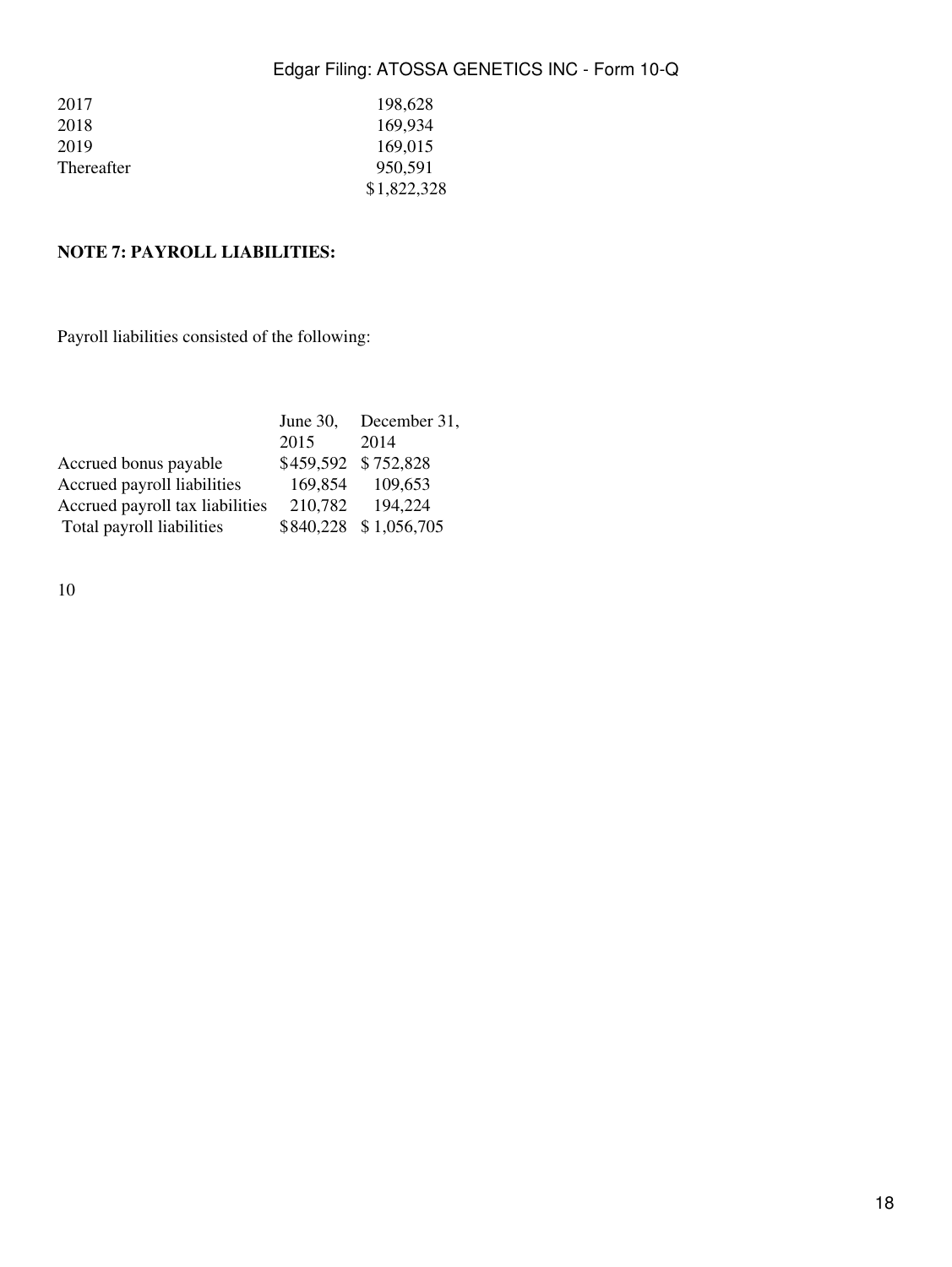| 2017       | 198,628     |
|------------|-------------|
| 2018       | 169,934     |
| 2019       | 169,015     |
| Thereafter | 950.591     |
|            | \$1,822,328 |

# **NOTE 7: PAYROLL LIABILITIES:**

Payroll liabilities consisted of the following:

|                                 | June $30$ , | December 31,          |
|---------------------------------|-------------|-----------------------|
|                                 | 2015        | 2014                  |
| Accrued bonus payable           |             | \$459,592 \$752,828   |
| Accrued payroll liabilities     | 169,854     | 109,653               |
| Accrued payroll tax liabilities | 210,782     | 194.224               |
| Total payroll liabilities       |             | \$840,228 \$1,056,705 |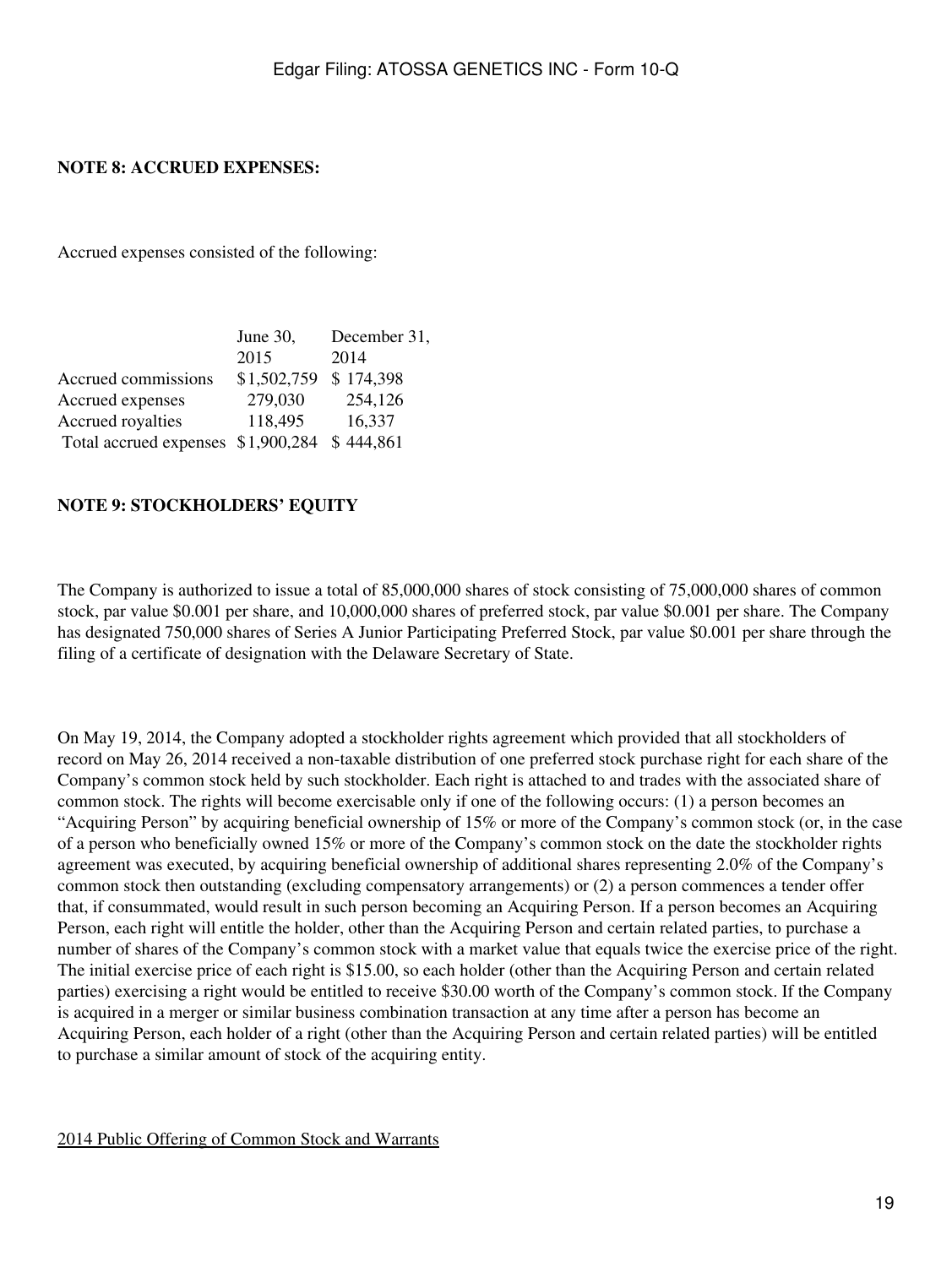### **NOTE 8: ACCRUED EXPENSES:**

Accrued expenses consisted of the following:

|                                    | June 30,    | December 31, |
|------------------------------------|-------------|--------------|
|                                    | 2015        | 2014         |
| Accrued commissions                | \$1,502,759 | \$174,398    |
| Accrued expenses                   | 279,030     | 254,126      |
| Accrued royalties                  | 118,495     | 16,337       |
| Total accrued expenses \$1,900,284 |             | \$444,861    |

### **NOTE 9: STOCKHOLDERS' EQUITY**

The Company is authorized to issue a total of 85,000,000 shares of stock consisting of 75,000,000 shares of common stock, par value \$0.001 per share, and 10,000,000 shares of preferred stock, par value \$0.001 per share. The Company has designated 750,000 shares of Series A Junior Participating Preferred Stock, par value \$0.001 per share through the filing of a certificate of designation with the Delaware Secretary of State.

On May 19, 2014, the Company adopted a stockholder rights agreement which provided that all stockholders of record on May 26, 2014 received a non-taxable distribution of one preferred stock purchase right for each share of the Company's common stock held by such stockholder. Each right is attached to and trades with the associated share of common stock. The rights will become exercisable only if one of the following occurs: (1) a person becomes an "Acquiring Person" by acquiring beneficial ownership of 15% or more of the Company's common stock (or, in the case of a person who beneficially owned 15% or more of the Company's common stock on the date the stockholder rights agreement was executed, by acquiring beneficial ownership of additional shares representing 2.0% of the Company's common stock then outstanding (excluding compensatory arrangements) or (2) a person commences a tender offer that, if consummated, would result in such person becoming an Acquiring Person. If a person becomes an Acquiring Person, each right will entitle the holder, other than the Acquiring Person and certain related parties, to purchase a number of shares of the Company's common stock with a market value that equals twice the exercise price of the right. The initial exercise price of each right is \$15.00, so each holder (other than the Acquiring Person and certain related parties) exercising a right would be entitled to receive \$30.00 worth of the Company's common stock. If the Company is acquired in a merger or similar business combination transaction at any time after a person has become an Acquiring Person, each holder of a right (other than the Acquiring Person and certain related parties) will be entitled to purchase a similar amount of stock of the acquiring entity.

#### 2014 Public Offering of Common Stock and Warrants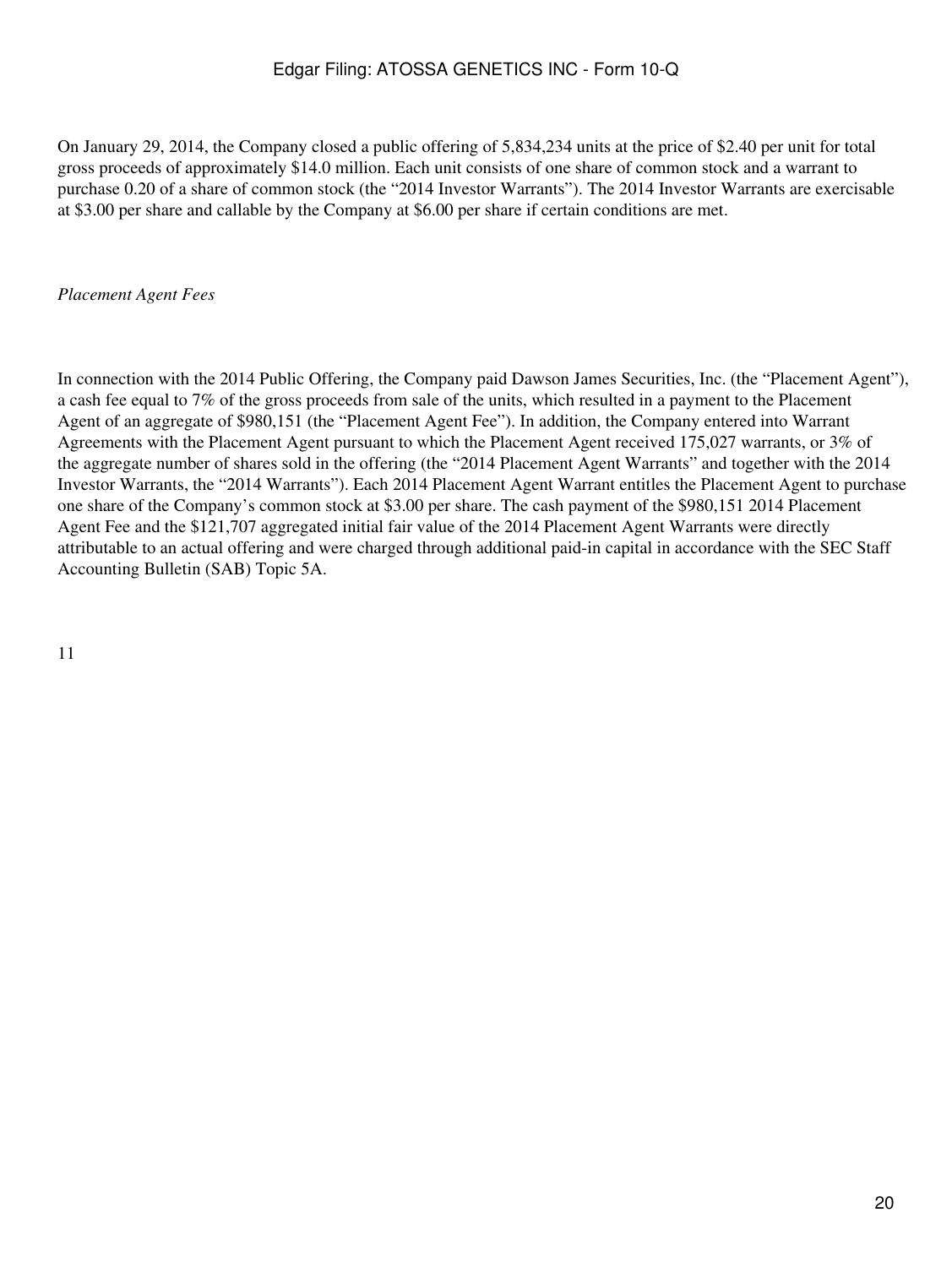On January 29, 2014, the Company closed a public offering of 5,834,234 units at the price of \$2.40 per unit for total gross proceeds of approximately \$14.0 million. Each unit consists of one share of common stock and a warrant to purchase 0.20 of a share of common stock (the "2014 Investor Warrants"). The 2014 Investor Warrants are exercisable at \$3.00 per share and callable by the Company at \$6.00 per share if certain conditions are met.

### *Placement Agent Fees*

In connection with the 2014 Public Offering, the Company paid Dawson James Securities, Inc. (the "Placement Agent"), a cash fee equal to 7% of the gross proceeds from sale of the units, which resulted in a payment to the Placement Agent of an aggregate of \$980,151 (the "Placement Agent Fee"). In addition, the Company entered into Warrant Agreements with the Placement Agent pursuant to which the Placement Agent received 175,027 warrants, or 3% of the aggregate number of shares sold in the offering (the "2014 Placement Agent Warrants" and together with the 2014 Investor Warrants, the "2014 Warrants"). Each 2014 Placement Agent Warrant entitles the Placement Agent to purchase one share of the Company's common stock at \$3.00 per share. The cash payment of the \$980,151 2014 Placement Agent Fee and the \$121,707 aggregated initial fair value of the 2014 Placement Agent Warrants were directly attributable to an actual offering and were charged through additional paid-in capital in accordance with the SEC Staff Accounting Bulletin (SAB) Topic 5A.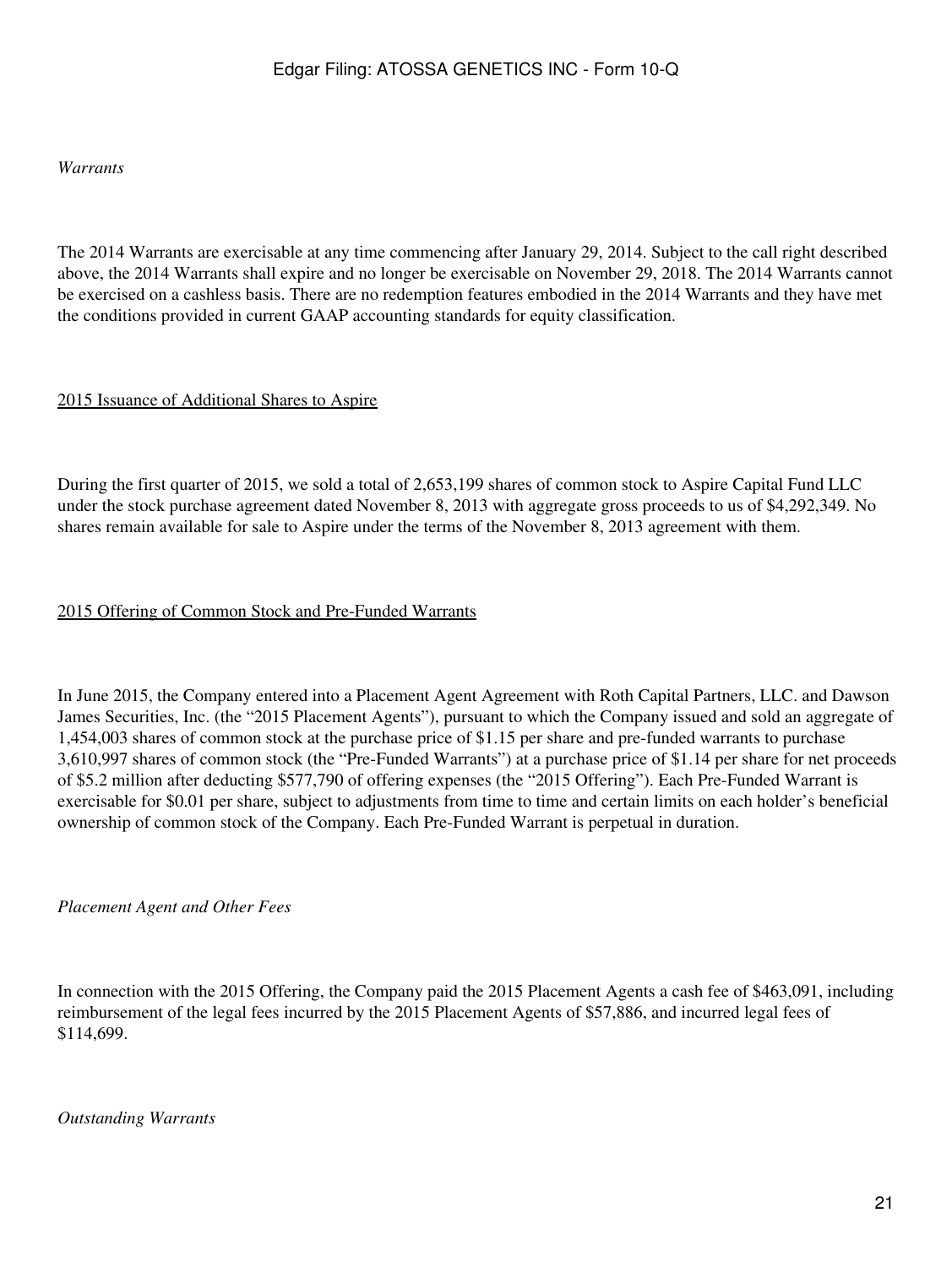### *Warrants*

The 2014 Warrants are exercisable at any time commencing after January 29, 2014. Subject to the call right described above, the 2014 Warrants shall expire and no longer be exercisable on November 29, 2018. The 2014 Warrants cannot be exercised on a cashless basis. There are no redemption features embodied in the 2014 Warrants and they have met the conditions provided in current GAAP accounting standards for equity classification.

### 2015 Issuance of Additional Shares to Aspire

During the first quarter of 2015, we sold a total of 2,653,199 shares of common stock to Aspire Capital Fund LLC under the stock purchase agreement dated November 8, 2013 with aggregate gross proceeds to us of \$4,292,349. No shares remain available for sale to Aspire under the terms of the November 8, 2013 agreement with them.

### 2015 Offering of Common Stock and Pre-Funded Warrants

In June 2015, the Company entered into a Placement Agent Agreement with Roth Capital Partners, LLC. and Dawson James Securities, Inc. (the "2015 Placement Agents"), pursuant to which the Company issued and sold an aggregate of 1,454,003 shares of common stock at the purchase price of \$1.15 per share and pre-funded warrants to purchase 3,610,997 shares of common stock (the "Pre-Funded Warrants") at a purchase price of \$1.14 per share for net proceeds of \$5.2 million after deducting \$577,790 of offering expenses (the "2015 Offering"). Each Pre-Funded Warrant is exercisable for \$0.01 per share, subject to adjustments from time to time and certain limits on each holder's beneficial ownership of common stock of the Company. Each Pre-Funded Warrant is perpetual in duration.

### *Placement Agent and Other Fees*

In connection with the 2015 Offering, the Company paid the 2015 Placement Agents a cash fee of \$463,091, including reimbursement of the legal fees incurred by the 2015 Placement Agents of \$57,886, and incurred legal fees of \$114,699.

*Outstanding Warrants*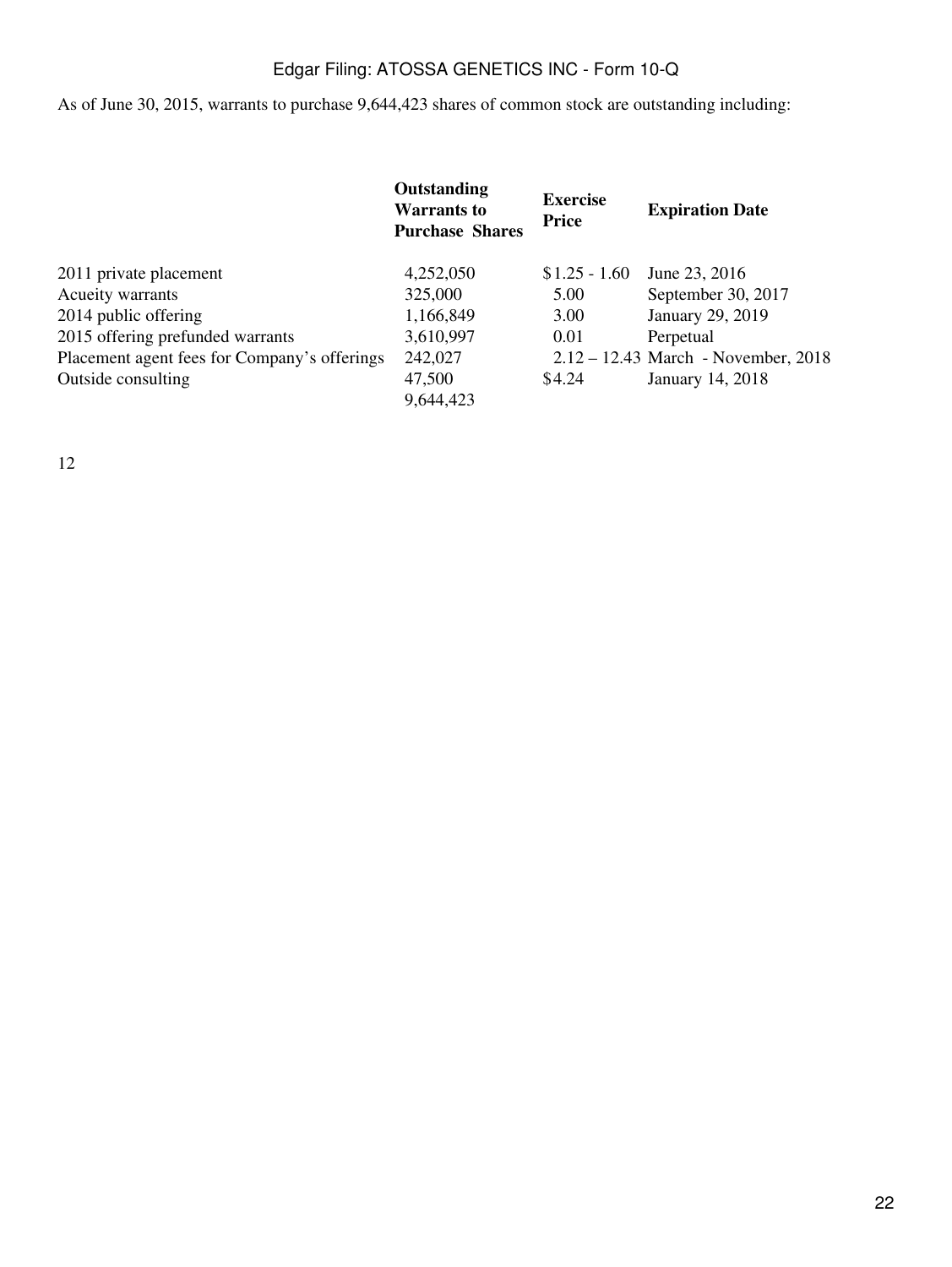As of June 30, 2015, warrants to purchase 9,644,423 shares of common stock are outstanding including:

|                                              | <b>Outstanding</b><br><b>Warrants to</b><br><b>Purchase Shares</b> | <b>Exercise</b><br><b>Price</b> | <b>Expiration Date</b>                |
|----------------------------------------------|--------------------------------------------------------------------|---------------------------------|---------------------------------------|
| 2011 private placement                       | 4,252,050                                                          | $$1.25 - 1.60$                  | June 23, 2016                         |
| Acueity warrants                             | 325,000                                                            | 5.00                            | September 30, 2017                    |
| 2014 public offering                         | 1,166,849                                                          | 3.00                            | January 29, 2019                      |
| 2015 offering prefunded warrants             | 3,610,997                                                          | 0.01                            | Perpetual                             |
| Placement agent fees for Company's offerings | 242,027                                                            |                                 | $2.12 - 12.43$ March - November, 2018 |
| Outside consulting                           | 47,500<br>9,644,423                                                | \$4.24                          | January 14, 2018                      |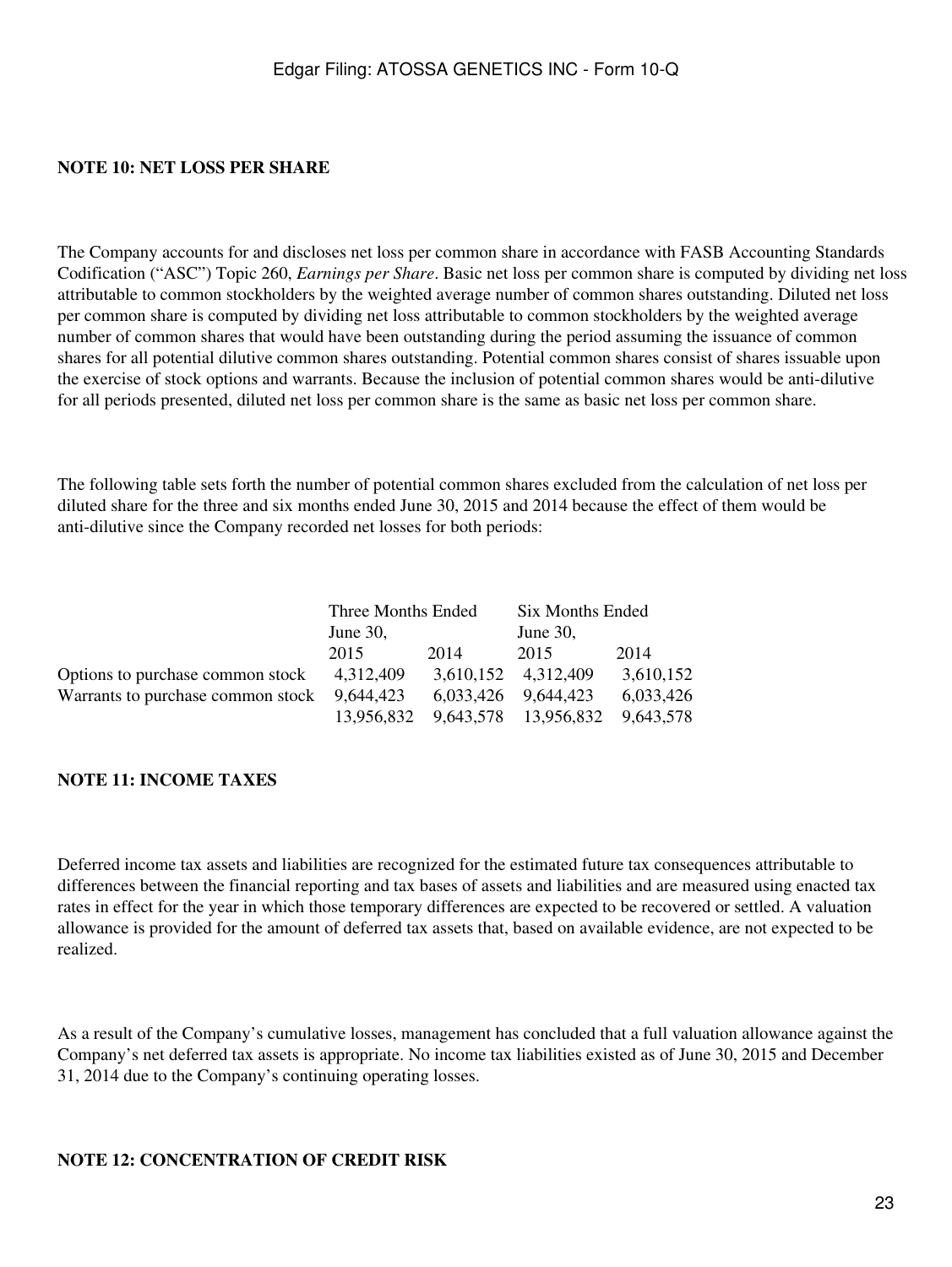### **NOTE 10: NET LOSS PER SHARE**

The Company accounts for and discloses net loss per common share in accordance with FASB Accounting Standards Codification ("ASC") Topic 260, *Earnings per Share*. Basic net loss per common share is computed by dividing net loss attributable to common stockholders by the weighted average number of common shares outstanding. Diluted net loss per common share is computed by dividing net loss attributable to common stockholders by the weighted average number of common shares that would have been outstanding during the period assuming the issuance of common shares for all potential dilutive common shares outstanding. Potential common shares consist of shares issuable upon the exercise of stock options and warrants. Because the inclusion of potential common shares would be anti-dilutive for all periods presented, diluted net loss per common share is the same as basic net loss per common share.

The following table sets forth the number of potential common shares excluded from the calculation of net loss per diluted share for the three and six months ended June 30, 2015 and 2014 because the effect of them would be anti-dilutive since the Company recorded net losses for both periods:

|                                               | Three Months Ended |      | Six Months Ended     |           |  |
|-----------------------------------------------|--------------------|------|----------------------|-----------|--|
|                                               | June $30$ ,        |      | June $30$ ,          |           |  |
|                                               | 2015               | 2014 | 2015                 | 2014      |  |
| Options to purchase common stock              | 4.312.409          |      | 3,610,152 4,312,409  | 3,610,152 |  |
| Warrants to purchase common stock $9,644,423$ |                    |      | 6,033,426 9,644,423  | 6,033,426 |  |
|                                               | 13,956,832         |      | 9,643,578 13,956,832 | 9.643.578 |  |

#### **NOTE 11: INCOME TAXES**

Deferred income tax assets and liabilities are recognized for the estimated future tax consequences attributable to differences between the financial reporting and tax bases of assets and liabilities and are measured using enacted tax rates in effect for the year in which those temporary differences are expected to be recovered or settled. A valuation allowance is provided for the amount of deferred tax assets that, based on available evidence, are not expected to be realized.

As a result of the Company's cumulative losses, management has concluded that a full valuation allowance against the Company's net deferred tax assets is appropriate. No income tax liabilities existed as of June 30, 2015 and December 31, 2014 due to the Company's continuing operating losses.

#### **NOTE 12: CONCENTRATION OF CREDIT RISK**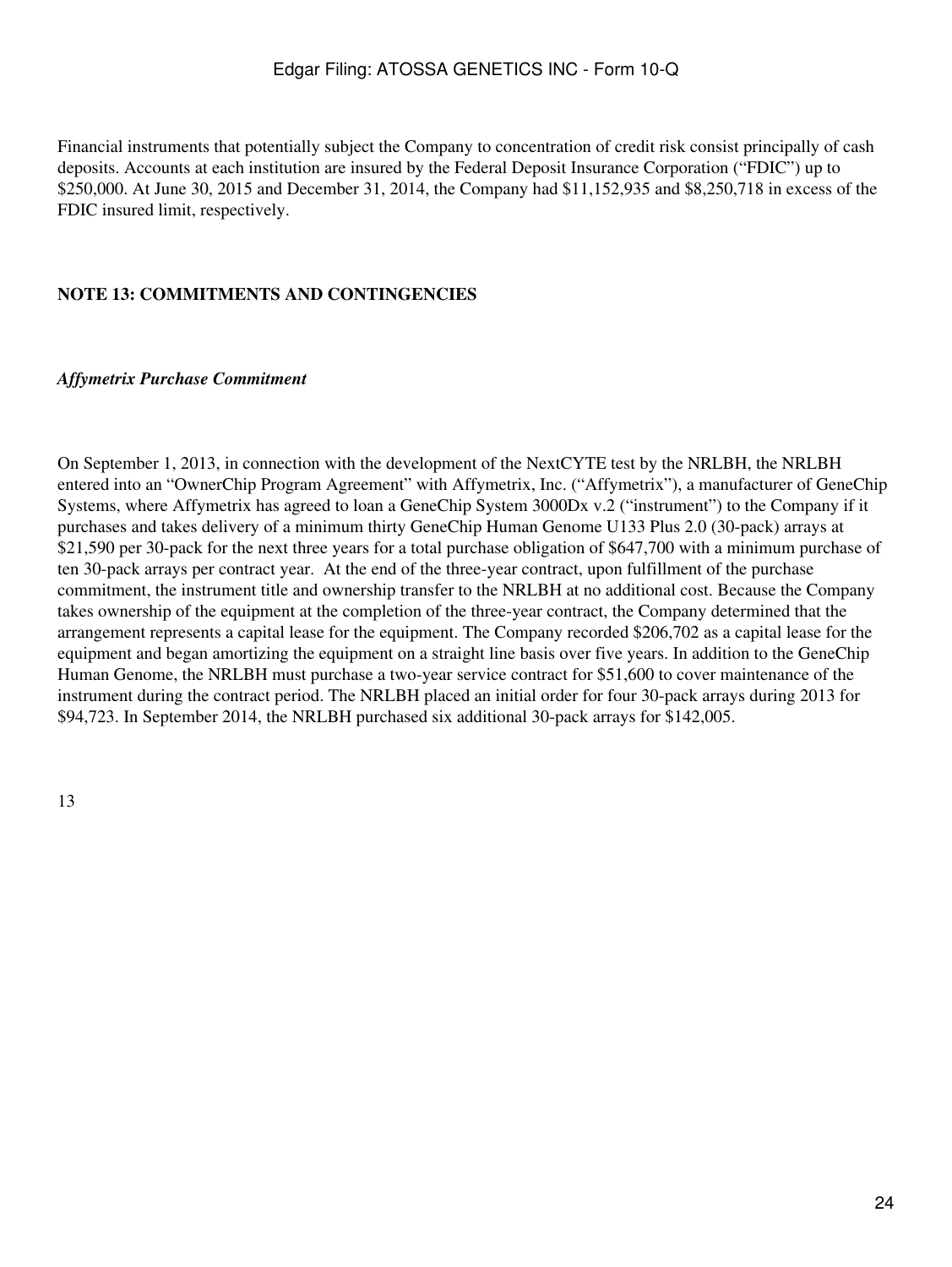Financial instruments that potentially subject the Company to concentration of credit risk consist principally of cash deposits. Accounts at each institution are insured by the Federal Deposit Insurance Corporation ("FDIC") up to \$250,000. At June 30, 2015 and December 31, 2014, the Company had \$11,152,935 and \$8,250,718 in excess of the FDIC insured limit, respectively.

### **NOTE 13: COMMITMENTS AND CONTINGENCIES**

#### *Affymetrix Purchase Commitment*

On September 1, 2013, in connection with the development of the NextCYTE test by the NRLBH, the NRLBH entered into an "OwnerChip Program Agreement" with Affymetrix, Inc. ("Affymetrix"), a manufacturer of GeneChip Systems, where Affymetrix has agreed to loan a GeneChip System 3000Dx v.2 ("instrument") to the Company if it purchases and takes delivery of a minimum thirty GeneChip Human Genome U133 Plus 2.0 (30-pack) arrays at \$21,590 per 30-pack for the next three years for a total purchase obligation of \$647,700 with a minimum purchase of ten 30-pack arrays per contract year. At the end of the three-year contract, upon fulfillment of the purchase commitment, the instrument title and ownership transfer to the NRLBH at no additional cost. Because the Company takes ownership of the equipment at the completion of the three-year contract, the Company determined that the arrangement represents a capital lease for the equipment. The Company recorded \$206,702 as a capital lease for the equipment and began amortizing the equipment on a straight line basis over five years. In addition to the GeneChip Human Genome, the NRLBH must purchase a two-year service contract for \$51,600 to cover maintenance of the instrument during the contract period. The NRLBH placed an initial order for four 30-pack arrays during 2013 for \$94,723. In September 2014, the NRLBH purchased six additional 30-pack arrays for \$142,005.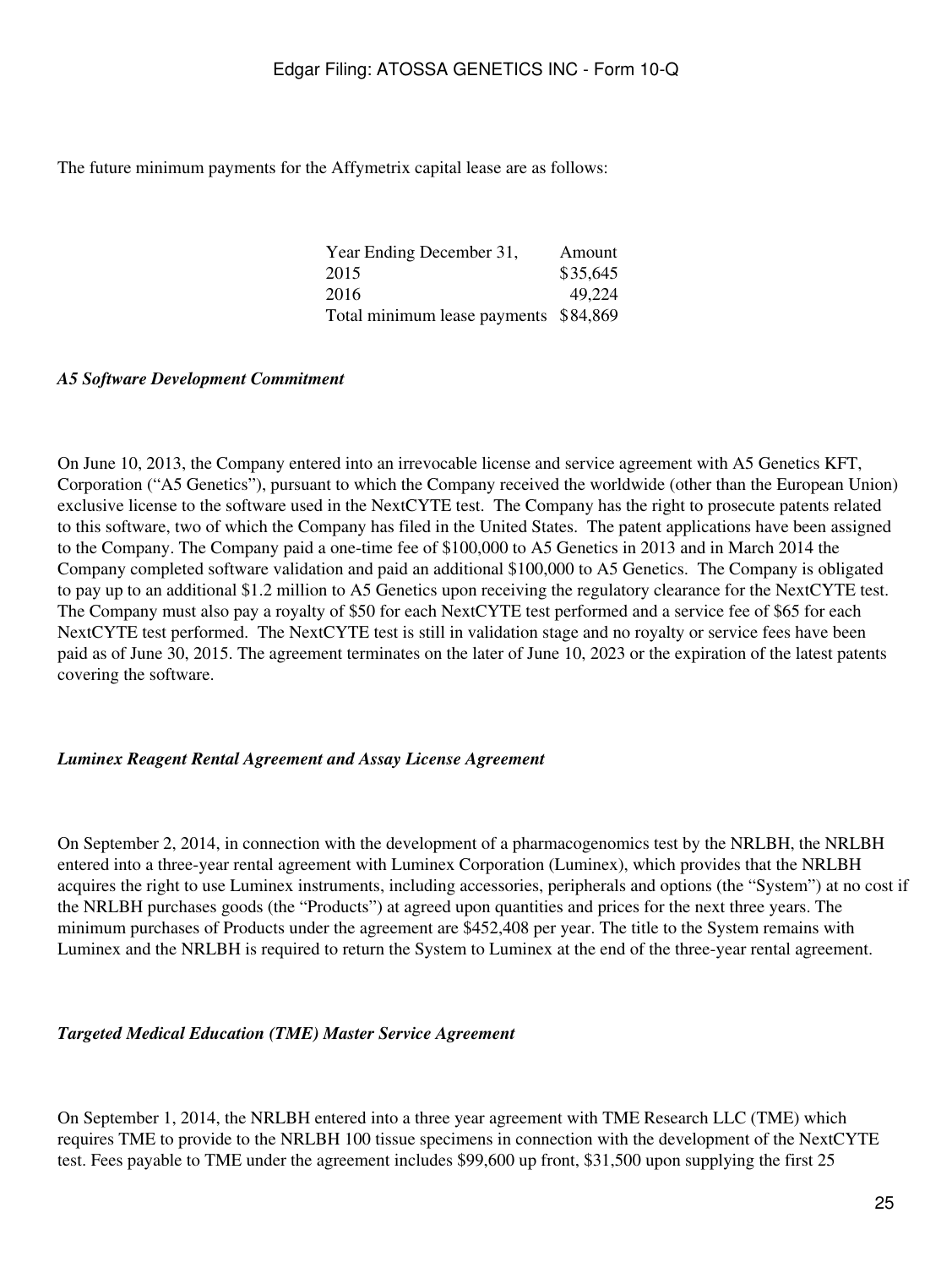The future minimum payments for the Affymetrix capital lease are as follows:

| Year Ending December 31,              | Amount   |
|---------------------------------------|----------|
| 2015                                  | \$35,645 |
| 2016                                  | 49,224   |
| Total minimum lease payments \$84,869 |          |

#### *A5 Software Development Commitment*

On June 10, 2013, the Company entered into an irrevocable license and service agreement with A5 Genetics KFT, Corporation ("A5 Genetics"), pursuant to which the Company received the worldwide (other than the European Union) exclusive license to the software used in the NextCYTE test. The Company has the right to prosecute patents related to this software, two of which the Company has filed in the United States. The patent applications have been assigned to the Company. The Company paid a one-time fee of \$100,000 to A5 Genetics in 2013 and in March 2014 the Company completed software validation and paid an additional \$100,000 to A5 Genetics. The Company is obligated to pay up to an additional \$1.2 million to A5 Genetics upon receiving the regulatory clearance for the NextCYTE test. The Company must also pay a royalty of \$50 for each NextCYTE test performed and a service fee of \$65 for each NextCYTE test performed. The NextCYTE test is still in validation stage and no royalty or service fees have been paid as of June 30, 2015. The agreement terminates on the later of June 10, 2023 or the expiration of the latest patents covering the software.

#### *Luminex Reagent Rental Agreement and Assay License Agreement*

On September 2, 2014, in connection with the development of a pharmacogenomics test by the NRLBH, the NRLBH entered into a three-year rental agreement with Luminex Corporation (Luminex), which provides that the NRLBH acquires the right to use Luminex instruments, including accessories, peripherals and options (the "System") at no cost if the NRLBH purchases goods (the "Products") at agreed upon quantities and prices for the next three years. The minimum purchases of Products under the agreement are \$452,408 per year. The title to the System remains with Luminex and the NRLBH is required to return the System to Luminex at the end of the three-year rental agreement.

#### *Targeted Medical Education (TME) Master Service Agreement*

On September 1, 2014, the NRLBH entered into a three year agreement with TME Research LLC (TME) which requires TME to provide to the NRLBH 100 tissue specimens in connection with the development of the NextCYTE test. Fees payable to TME under the agreement includes \$99,600 up front, \$31,500 upon supplying the first 25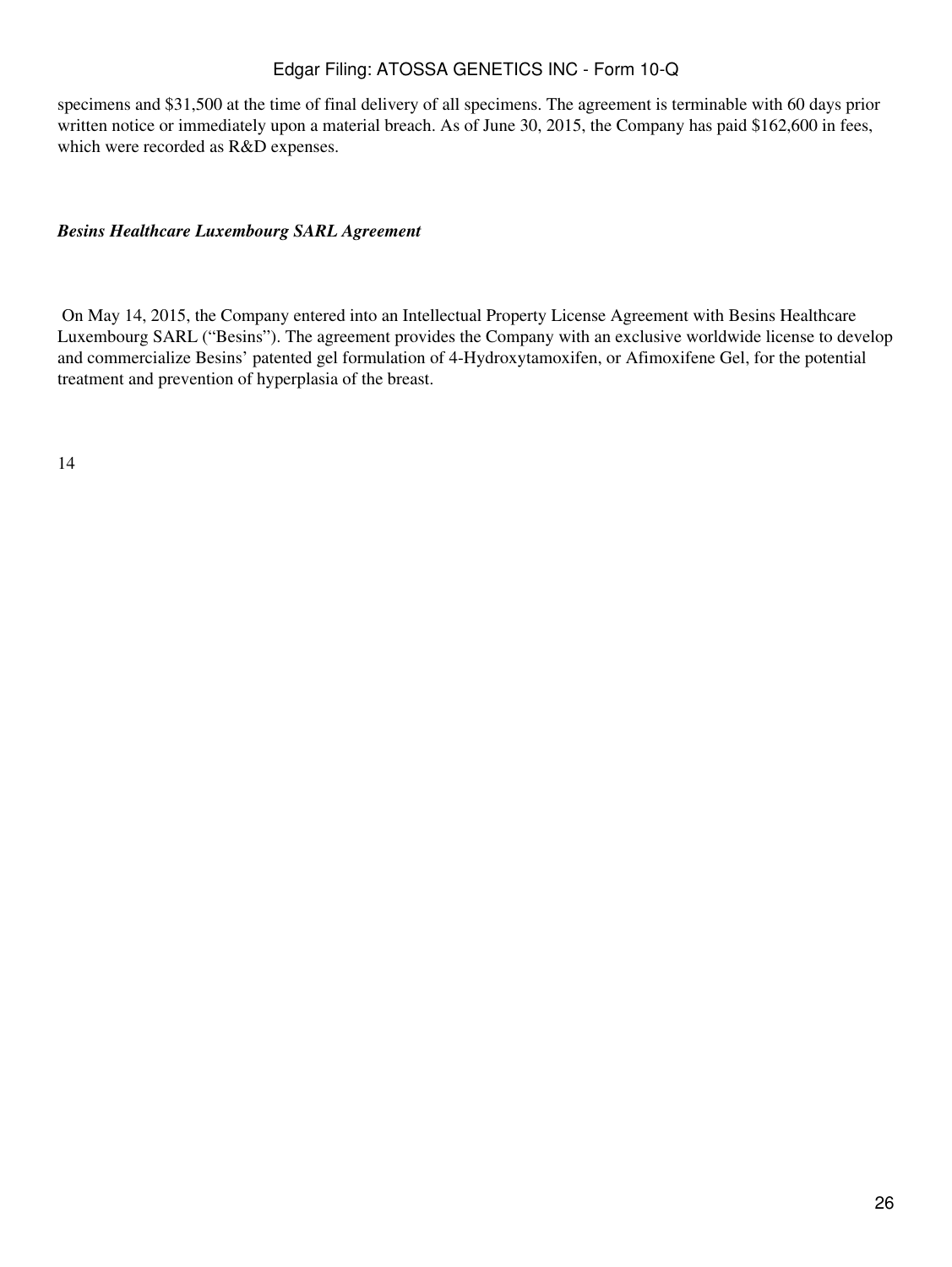specimens and \$31,500 at the time of final delivery of all specimens. The agreement is terminable with 60 days prior written notice or immediately upon a material breach. As of June 30, 2015, the Company has paid \$162,600 in fees, which were recorded as R&D expenses.

### *Besins Healthcare Luxembourg SARL Agreement*

 On May 14, 2015, the Company entered into an Intellectual Property License Agreement with Besins Healthcare Luxembourg SARL ("Besins"). The agreement provides the Company with an exclusive worldwide license to develop and commercialize Besins' patented gel formulation of 4-Hydroxytamoxifen, or Afimoxifene Gel, for the potential treatment and prevention of hyperplasia of the breast.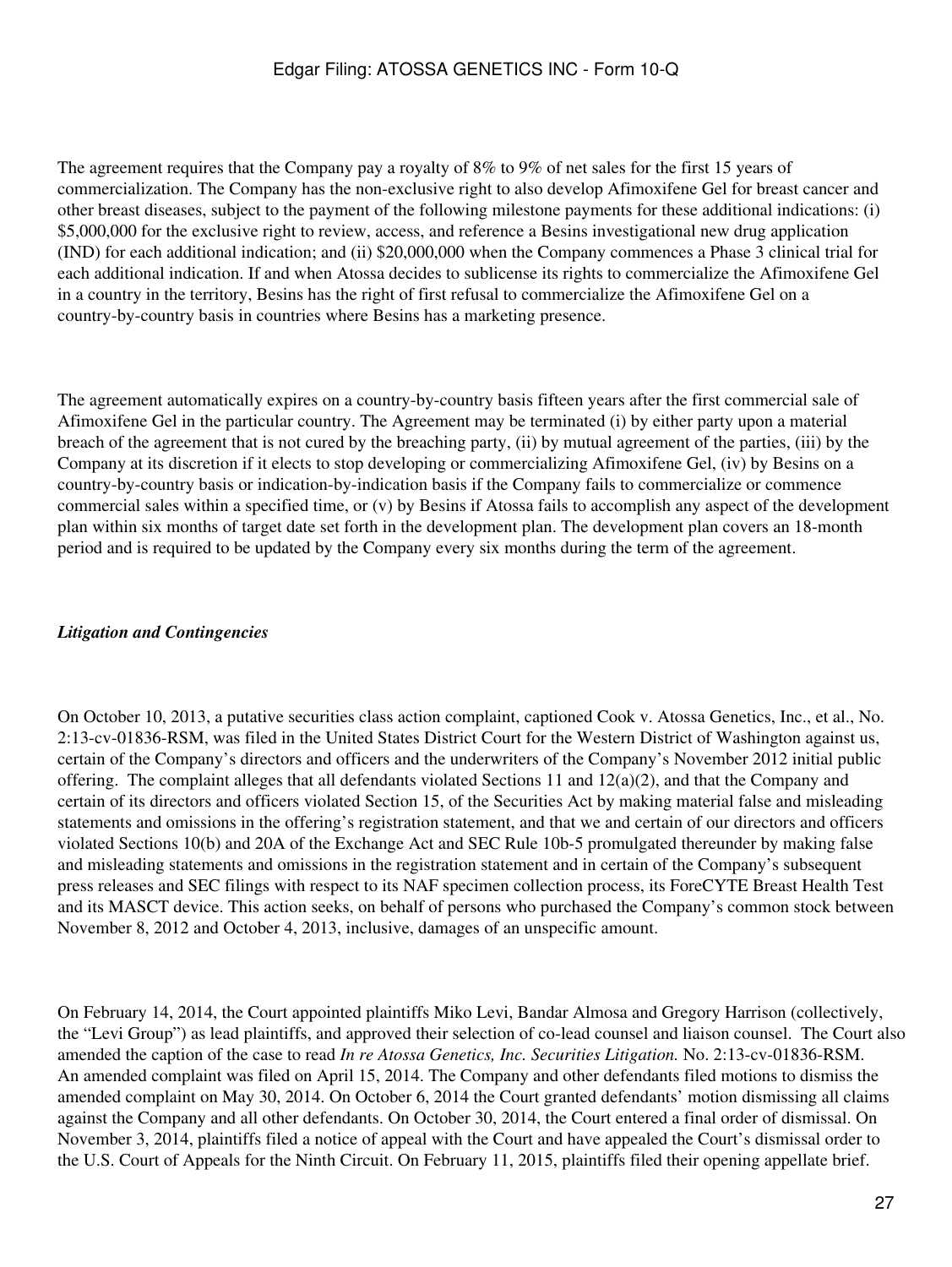The agreement requires that the Company pay a royalty of 8% to 9% of net sales for the first 15 years of commercialization. The Company has the non-exclusive right to also develop Afimoxifene Gel for breast cancer and other breast diseases, subject to the payment of the following milestone payments for these additional indications: (i) \$5,000,000 for the exclusive right to review, access, and reference a Besins investigational new drug application (IND) for each additional indication; and (ii) \$20,000,000 when the Company commences a Phase 3 clinical trial for each additional indication. If and when Atossa decides to sublicense its rights to commercialize the Afimoxifene Gel in a country in the territory, Besins has the right of first refusal to commercialize the Afimoxifene Gel on a country-by-country basis in countries where Besins has a marketing presence.

The agreement automatically expires on a country-by-country basis fifteen years after the first commercial sale of Afimoxifene Gel in the particular country. The Agreement may be terminated (i) by either party upon a material breach of the agreement that is not cured by the breaching party, (ii) by mutual agreement of the parties, (iii) by the Company at its discretion if it elects to stop developing or commercializing Afimoxifene Gel, (iv) by Besins on a country-by-country basis or indication-by-indication basis if the Company fails to commercialize or commence commercial sales within a specified time, or (v) by Besins if Atossa fails to accomplish any aspect of the development plan within six months of target date set forth in the development plan. The development plan covers an 18-month period and is required to be updated by the Company every six months during the term of the agreement.

### *Litigation and Contingencies*

On October 10, 2013, a putative securities class action complaint, captioned Cook v. Atossa Genetics, Inc., et al., No. 2:13-cv-01836-RSM, was filed in the United States District Court for the Western District of Washington against us, certain of the Company's directors and officers and the underwriters of the Company's November 2012 initial public offering. The complaint alleges that all defendants violated Sections 11 and  $12(a)(2)$ , and that the Company and certain of its directors and officers violated Section 15, of the Securities Act by making material false and misleading statements and omissions in the offering's registration statement, and that we and certain of our directors and officers violated Sections 10(b) and 20A of the Exchange Act and SEC Rule 10b-5 promulgated thereunder by making false and misleading statements and omissions in the registration statement and in certain of the Company's subsequent press releases and SEC filings with respect to its NAF specimen collection process, its ForeCYTE Breast Health Test and its MASCT device. This action seeks, on behalf of persons who purchased the Company's common stock between November 8, 2012 and October 4, 2013, inclusive, damages of an unspecific amount.

On February 14, 2014, the Court appointed plaintiffs Miko Levi, Bandar Almosa and Gregory Harrison (collectively, the "Levi Group") as lead plaintiffs, and approved their selection of co-lead counsel and liaison counsel. The Court also amended the caption of the case to read *In re Atossa Genetics, Inc. Securities Litigation.* No. 2:13-cv-01836-RSM. An amended complaint was filed on April 15, 2014. The Company and other defendants filed motions to dismiss the amended complaint on May 30, 2014. On October 6, 2014 the Court granted defendants' motion dismissing all claims against the Company and all other defendants. On October 30, 2014, the Court entered a final order of dismissal. On November 3, 2014, plaintiffs filed a notice of appeal with the Court and have appealed the Court's dismissal order to the U.S. Court of Appeals for the Ninth Circuit. On February 11, 2015, plaintiffs filed their opening appellate brief.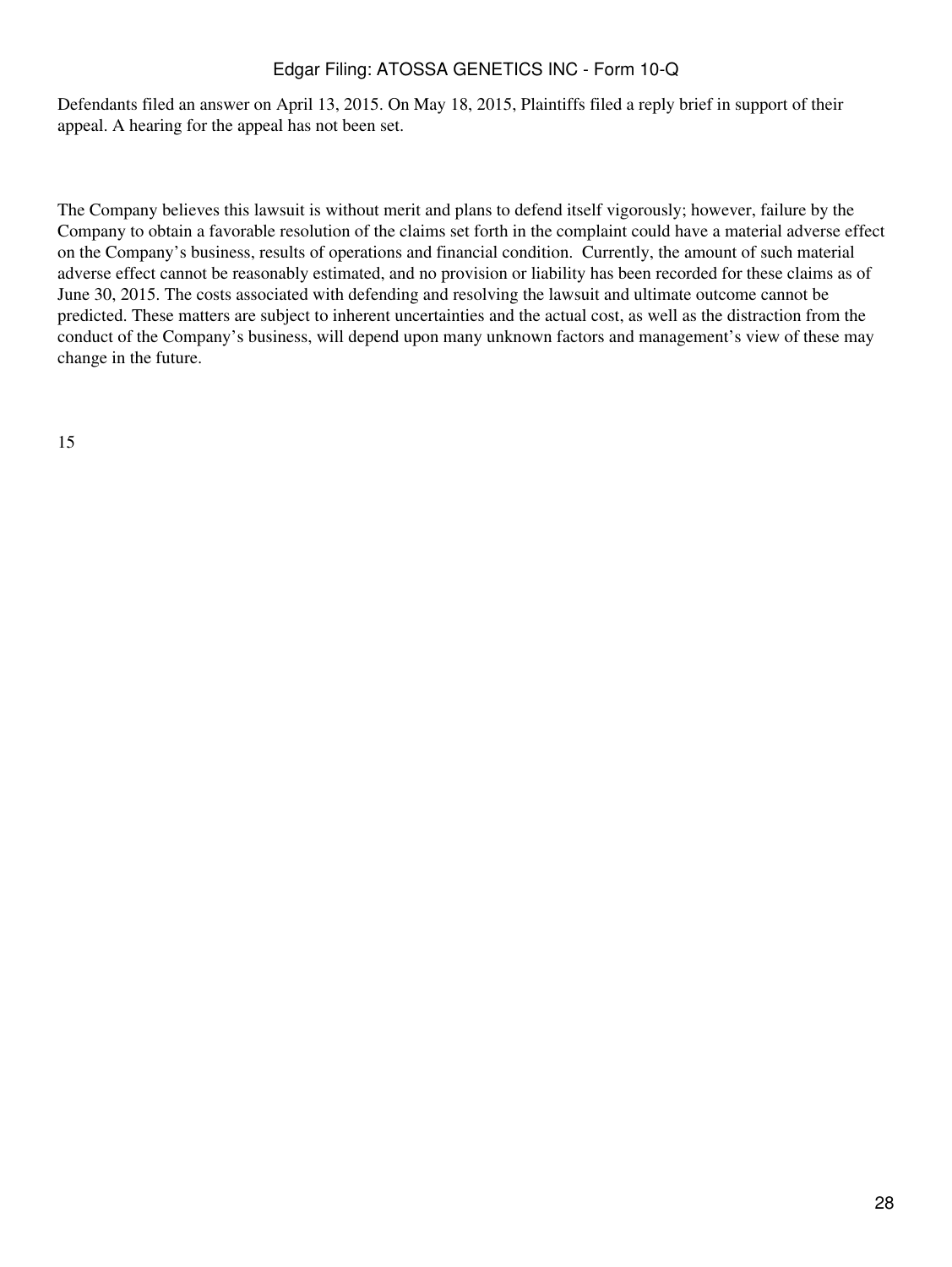Defendants filed an answer on April 13, 2015. On May 18, 2015, Plaintiffs filed a reply brief in support of their appeal. A hearing for the appeal has not been set.

The Company believes this lawsuit is without merit and plans to defend itself vigorously; however, failure by the Company to obtain a favorable resolution of the claims set forth in the complaint could have a material adverse effect on the Company's business, results of operations and financial condition. Currently, the amount of such material adverse effect cannot be reasonably estimated, and no provision or liability has been recorded for these claims as of June 30, 2015. The costs associated with defending and resolving the lawsuit and ultimate outcome cannot be predicted. These matters are subject to inherent uncertainties and the actual cost, as well as the distraction from the conduct of the Company's business, will depend upon many unknown factors and management's view of these may change in the future.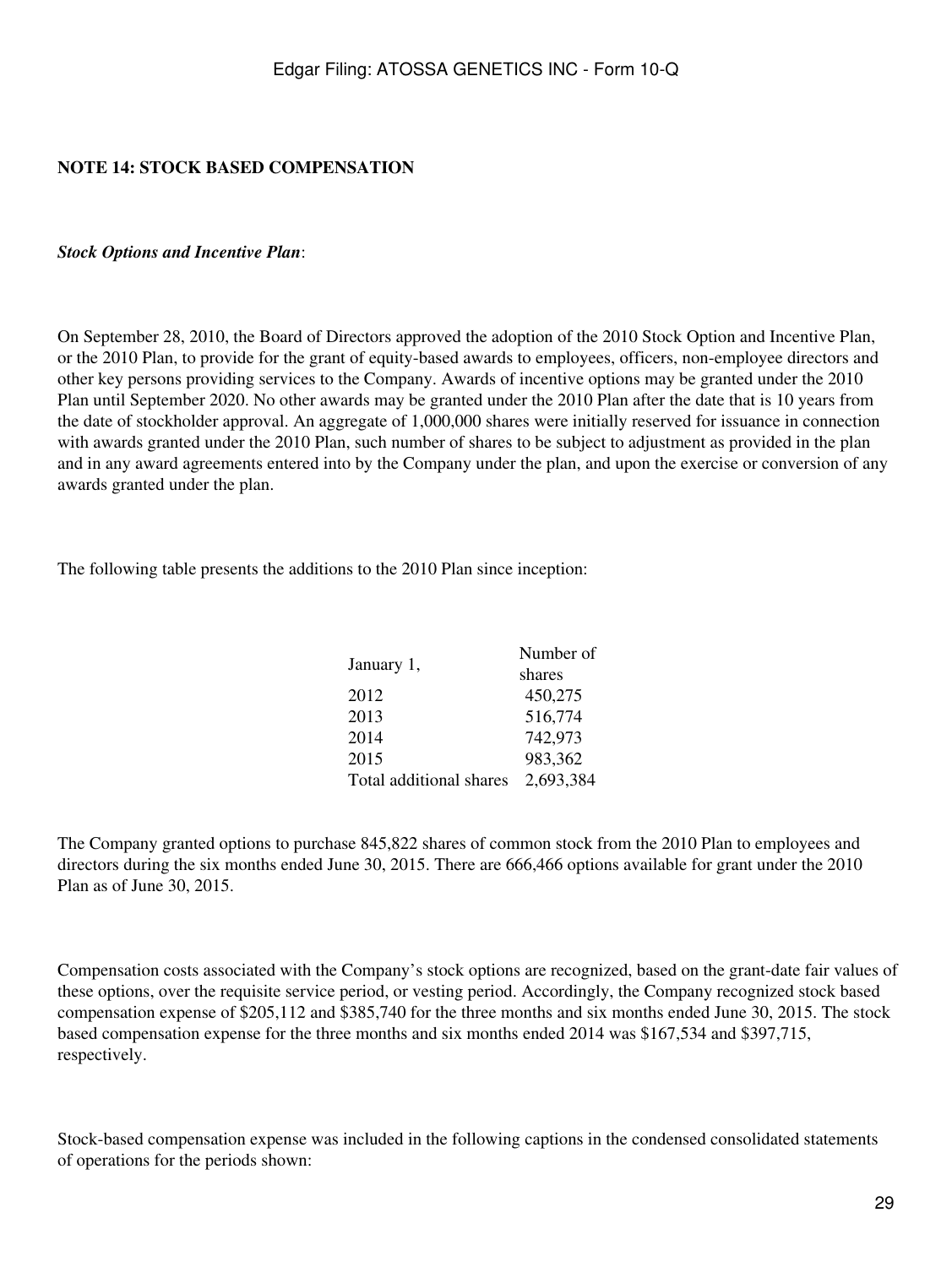### **NOTE 14: STOCK BASED COMPENSATION**

#### *Stock Options and Incentive Plan*:

On September 28, 2010, the Board of Directors approved the adoption of the 2010 Stock Option and Incentive Plan, or the 2010 Plan, to provide for the grant of equity-based awards to employees, officers, non-employee directors and other key persons providing services to the Company. Awards of incentive options may be granted under the 2010 Plan until September 2020. No other awards may be granted under the 2010 Plan after the date that is 10 years from the date of stockholder approval. An aggregate of 1,000,000 shares were initially reserved for issuance in connection with awards granted under the 2010 Plan, such number of shares to be subject to adjustment as provided in the plan and in any award agreements entered into by the Company under the plan, and upon the exercise or conversion of any awards granted under the plan.

The following table presents the additions to the 2010 Plan since inception:

|                         | Number of |
|-------------------------|-----------|
| January 1,              | shares    |
| 2012                    | 450,275   |
| 2013                    | 516,774   |
| 2014                    | 742,973   |
| 2015                    | 983,362   |
| Total additional shares | 2,693,384 |

The Company granted options to purchase 845,822 shares of common stock from the 2010 Plan to employees and directors during the six months ended June 30, 2015. There are 666,466 options available for grant under the 2010 Plan as of June 30, 2015.

Compensation costs associated with the Company's stock options are recognized, based on the grant-date fair values of these options, over the requisite service period, or vesting period. Accordingly, the Company recognized stock based compensation expense of \$205,112 and \$385,740 for the three months and six months ended June 30, 2015. The stock based compensation expense for the three months and six months ended 2014 was \$167,534 and \$397,715, respectively.

Stock-based compensation expense was included in the following captions in the condensed consolidated statements of operations for the periods shown: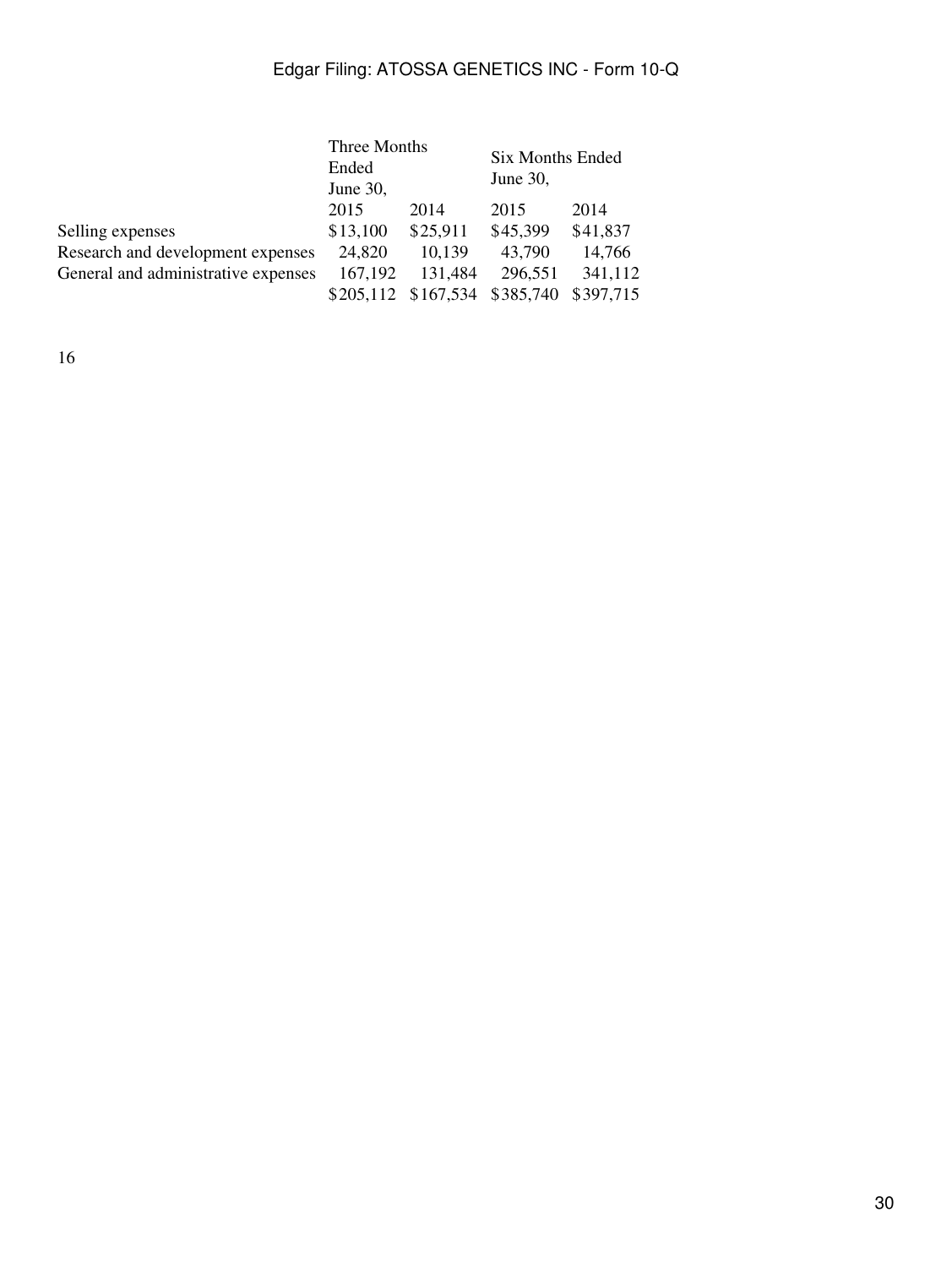|                                     | Three Months |                     | Six Months Ended |           |  |
|-------------------------------------|--------------|---------------------|------------------|-----------|--|
|                                     | Ended        |                     |                  |           |  |
|                                     | June 30,     |                     | June $30$ ,      |           |  |
|                                     | 2015         | 2014                | 2015             | 2014      |  |
| Selling expenses                    | \$13,100     | \$25,911            | \$45,399         | \$41,837  |  |
| Research and development expenses   | 24,820       | 10,139              | 43,790           | 14,766    |  |
| General and administrative expenses | 167,192      | 131,484             | 296,551          | 341,112   |  |
|                                     |              | \$205,112 \$167,534 | \$385,740        | \$397,715 |  |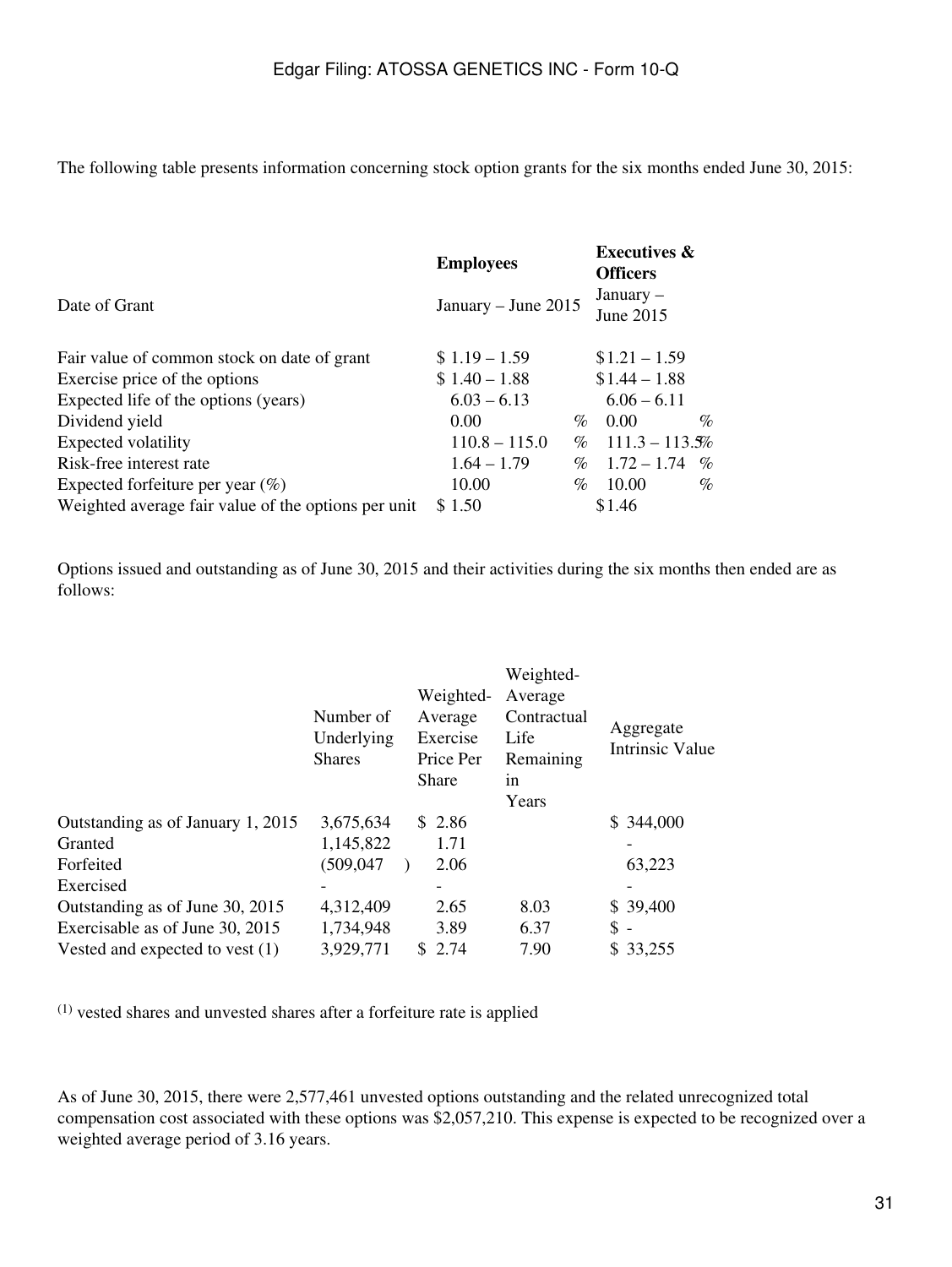The following table presents information concerning stock option grants for the six months ended June 30, 2015:

|                                                     | <b>Employees</b>    | <b>Executives &amp;</b><br><b>Officers</b> |
|-----------------------------------------------------|---------------------|--------------------------------------------|
| Date of Grant                                       | January - June 2015 | January $-$<br>June 2015                   |
| Fair value of common stock on date of grant         | $$1.19 - 1.59$      | $$1.21 - 1.59$                             |
| Exercise price of the options                       | $$1.40 - 1.88$      | $$1.44 - 1.88$                             |
| Expected life of the options (years)                | $6.03 - 6.13$       | $6.06 - 6.11$                              |
| Dividend yield                                      | 0.00                | $\%$<br>0.00<br>$\%$                       |
| Expected volatility                                 | $110.8 - 115.0$     | $111.3 - 113.5%$<br>$\%$                   |
| Risk-free interest rate                             | $1.64 - 1.79$       | $1.72 - 1.74$<br>$\%$<br>$\%$              |
| Expected forfeiture per year $(\%)$                 | 10.00               | 10.00<br>$\%$<br>$\%$                      |
| Weighted average fair value of the options per unit | \$1.50              | \$1.46                                     |

Options issued and outstanding as of June 30, 2015 and their activities during the six months then ended are as follows:

|                                   | Number of<br>Underlying<br><b>Shares</b> | Weighted-<br>Average<br>Exercise<br>Price Per<br>Share | Weighted-<br>Average<br>Contractual<br>Life<br>Remaining<br>1n<br>Years | Aggregate<br><b>Intrinsic Value</b> |
|-----------------------------------|------------------------------------------|--------------------------------------------------------|-------------------------------------------------------------------------|-------------------------------------|
| Outstanding as of January 1, 2015 | 3,675,634                                | \$2.86                                                 |                                                                         | \$344,000                           |
| Granted                           | 1,145,822                                | 1.71                                                   |                                                                         |                                     |
| Forfeited                         | (509,047                                 | 2.06                                                   |                                                                         | 63,223                              |
| Exercised                         |                                          |                                                        |                                                                         |                                     |
| Outstanding as of June 30, 2015   | 4,312,409                                | 2.65                                                   | 8.03                                                                    | \$39,400                            |
| Exercisable as of June 30, 2015   | 1,734,948                                | 3.89                                                   | 6.37                                                                    | $\mathbb{S}$ -                      |
| Vested and expected to vest $(1)$ | 3,929,771                                | 2.74<br>S.                                             | 7.90                                                                    | \$33,255                            |

(1) vested shares and unvested shares after a forfeiture rate is applied

As of June 30, 2015, there were 2,577,461 unvested options outstanding and the related unrecognized total compensation cost associated with these options was \$2,057,210. This expense is expected to be recognized over a weighted average period of 3.16 years.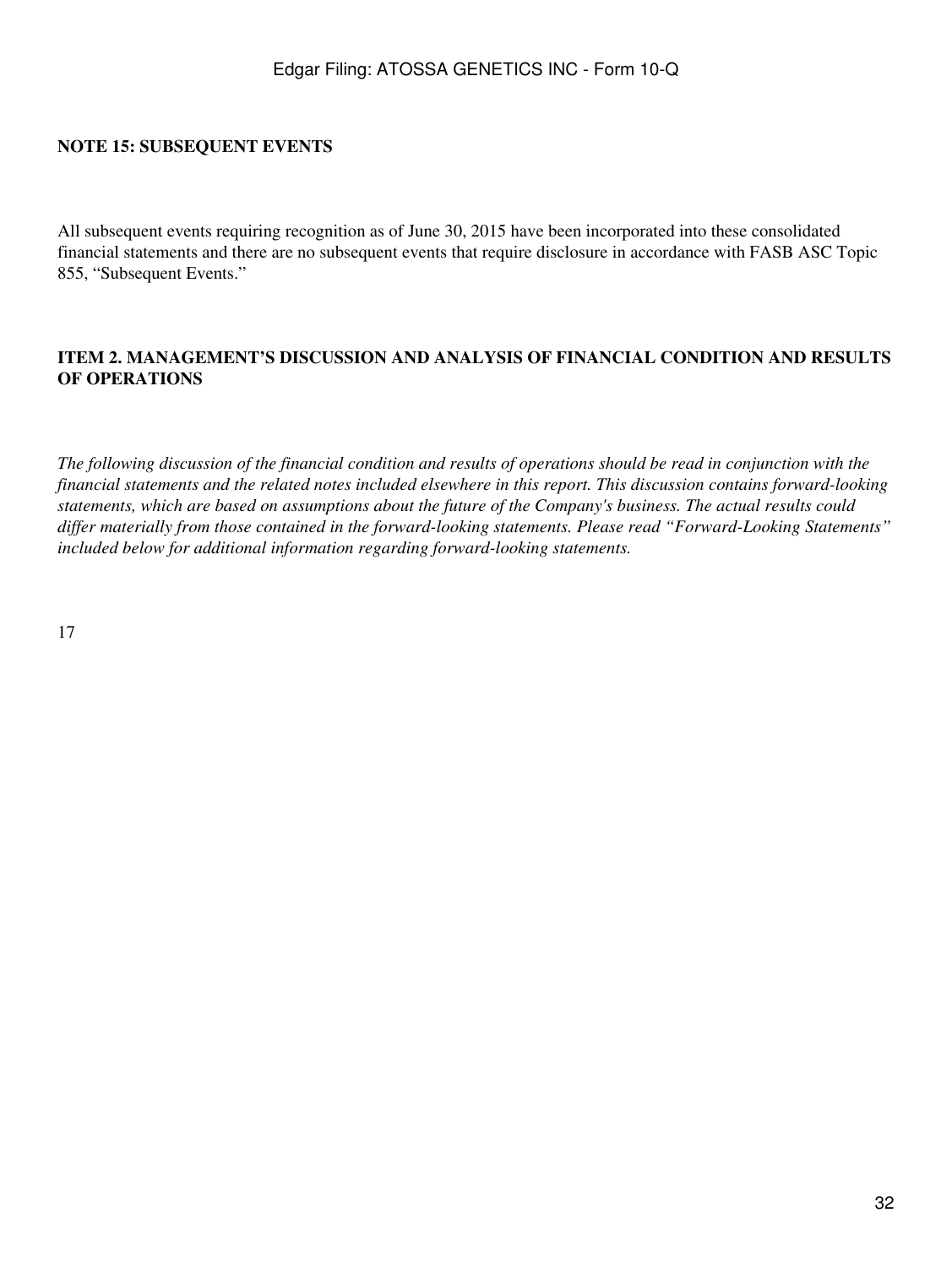### **NOTE 15: SUBSEQUENT EVENTS**

All subsequent events requiring recognition as of June 30, 2015 have been incorporated into these consolidated financial statements and there are no subsequent events that require disclosure in accordance with FASB ASC Topic 855, "Subsequent Events."

### <span id="page-31-0"></span>**ITEM 2. MANAGEMENT'S DISCUSSION AND ANALYSIS OF FINANCIAL CONDITION AND RESULTS OF OPERATIONS**

*The following discussion of the financial condition and results of operations should be read in conjunction with the financial statements and the related notes included elsewhere in this report. This discussion contains forward-looking statements, which are based on assumptions about the future of the Company's business. The actual results could differ materially from those contained in the forward-looking statements. Please read "Forward-Looking Statements" included below for additional information regarding forward-looking statements.*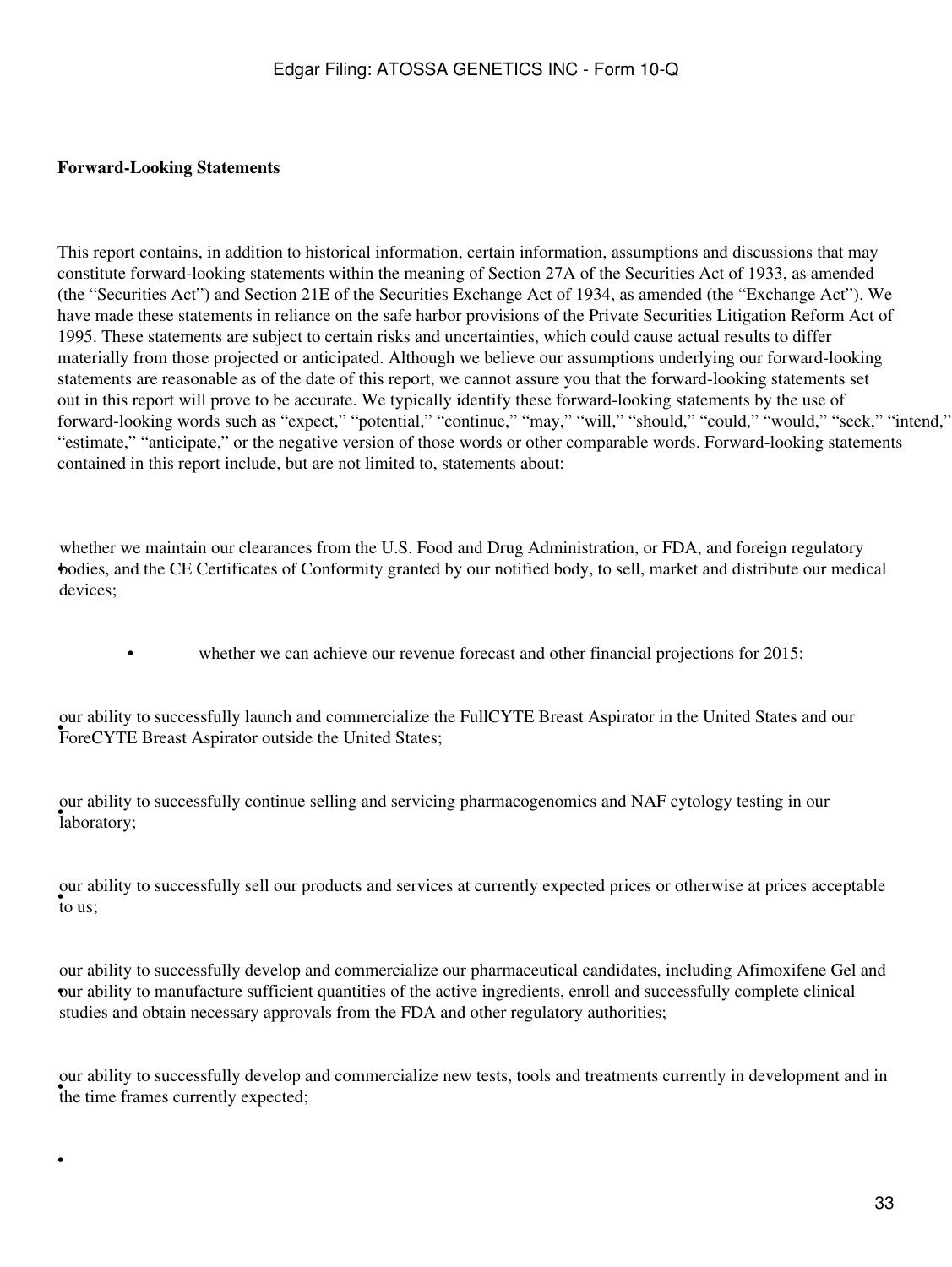### **Forward-Looking Statements**

•

This report contains, in addition to historical information, certain information, assumptions and discussions that may constitute forward-looking statements within the meaning of Section 27A of the Securities Act of 1933, as amended (the "Securities Act") and Section 21E of the Securities Exchange Act of 1934, as amended (the "Exchange Act"). We have made these statements in reliance on the safe harbor provisions of the Private Securities Litigation Reform Act of 1995. These statements are subject to certain risks and uncertainties, which could cause actual results to differ materially from those projected or anticipated. Although we believe our assumptions underlying our forward-looking statements are reasonable as of the date of this report, we cannot assure you that the forward-looking statements set out in this report will prove to be accurate. We typically identify these forward-looking statements by the use of forward-looking words such as "expect," "potential," "continue," "may," "will," "should," "could," "would," "seek," "intend," "estimate," "anticipate," or the negative version of those words or other comparable words. Forward-looking statements contained in this report include, but are not limited to, statements about:

• bodies, and the CE Certificates of Conformity granted by our notified body, to sell, market and distribute our medical whether we maintain our clearances from the U.S. Food and Drug Administration, or FDA, and foreign regulatory devices;

whether we can achieve our revenue forecast and other financial projections for 2015;

ForeCYTE Breast Aspirator outside the United States; our ability to successfully launch and commercialize the FullCYTE Breast Aspirator in the United States and our

• laboratory; our ability to successfully continue selling and servicing pharmacogenomics and NAF cytology testing in our

• to us; our ability to successfully sell our products and services at currently expected prices or otherwise at prices acceptable

• our ability to manufacture sufficient quantities of the active ingredients, enroll and successfully complete clinical our ability to successfully develop and commercialize our pharmaceutical candidates, including Afimoxifene Gel and studies and obtain necessary approvals from the FDA and other regulatory authorities;

the time frames currently expected; our ability to successfully develop and commercialize new tests, tools and treatments currently in development and in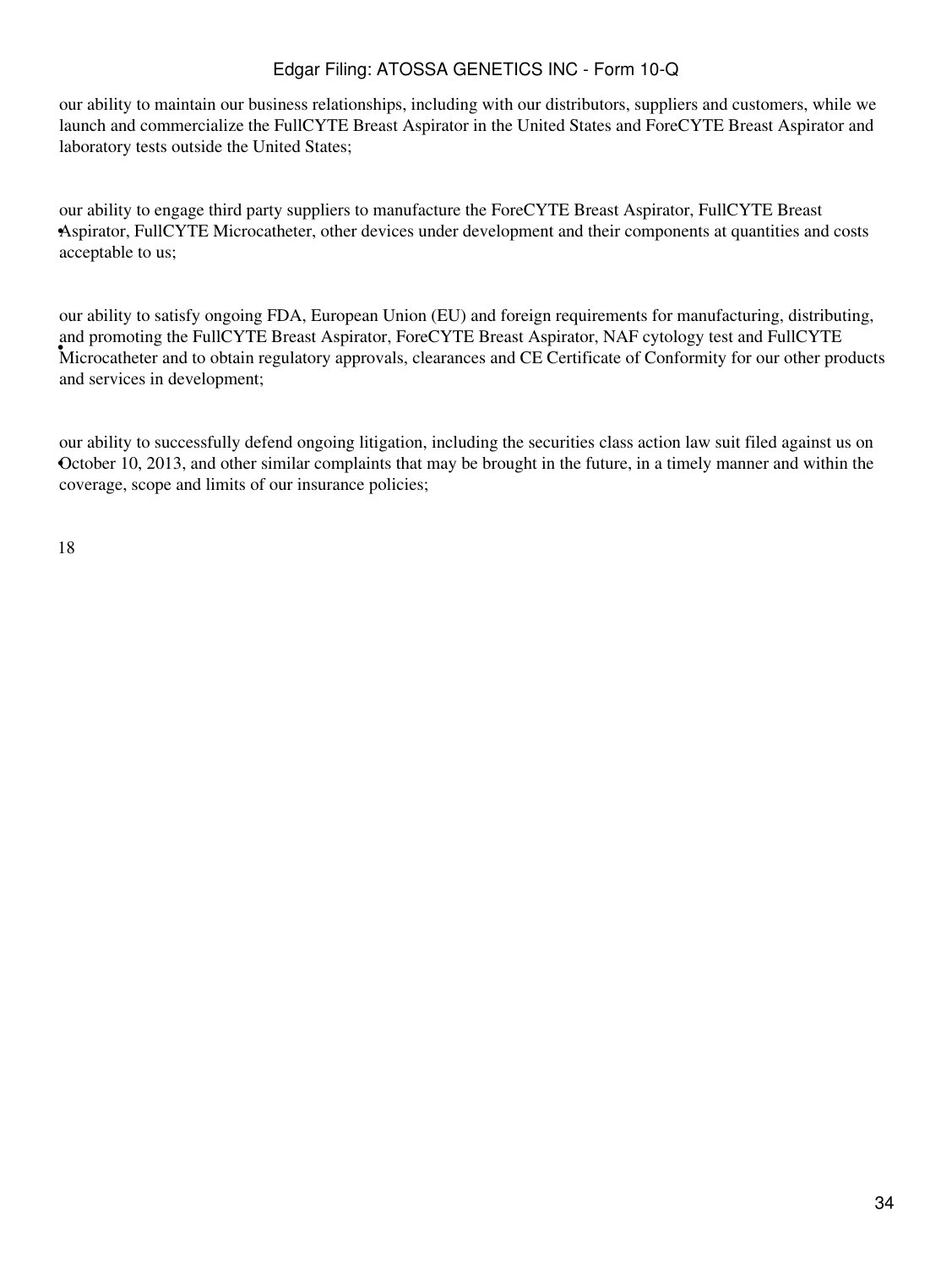our ability to maintain our business relationships, including with our distributors, suppliers and customers, while we launch and commercialize the FullCYTE Breast Aspirator in the United States and ForeCYTE Breast Aspirator and laboratory tests outside the United States;

• Aspirator, FullCYTE Microcatheter, other devices under development and their components at quantities and costs our ability to engage third party suppliers to manufacture the ForeCYTE Breast Aspirator, FullCYTE Breast acceptable to us;

Microcatheter and to obtain regulatory approvals, clearances and CE Certificate of Conformity for our other products our ability to satisfy ongoing FDA, European Union (EU) and foreign requirements for manufacturing, distributing, and promoting the FullCYTE Breast Aspirator, ForeCYTE Breast Aspirator, NAF cytology test and FullCYTE and services in development;

• October 10, 2013, and other similar complaints that may be brought in the future, in a timely manner and within the our ability to successfully defend ongoing litigation, including the securities class action law suit filed against us on coverage, scope and limits of our insurance policies;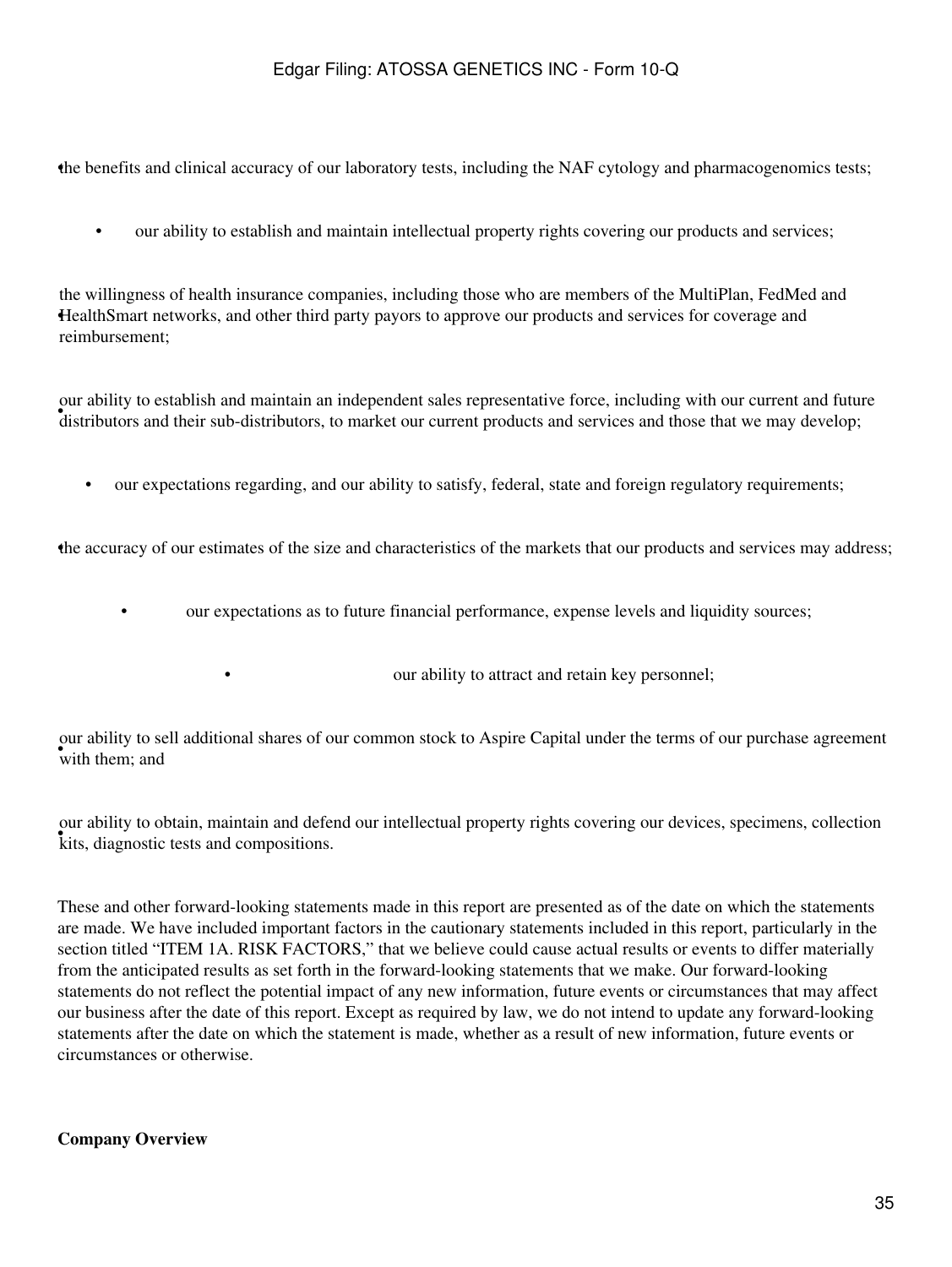•the benefits and clinical accuracy of our laboratory tests, including the NAF cytology and pharmacogenomics tests;

• our ability to establish and maintain intellectual property rights covering our products and services;

HealthSmart networks, and other third party payors to approve our products and services for coverage and the willingness of health insurance companies, including those who are members of the MultiPlan, FedMed and reimbursement;

For about their sub-distributors, to market our current products and services and those that we may develop; our ability to establish and maintain an independent sales representative force, including with our current and future

• our expectations regarding, and our ability to satisfy, federal, state and foreign regulatory requirements;

•the accuracy of our estimates of the size and characteristics of the markets that our products and services may address;

• our expectations as to future financial performance, expense levels and liquidity sources;

• **our ability to attract and retain key personnel;** 

with them; and our ability to sell additional shares of our common stock to Aspire Capital under the terms of our purchase agreement

• kits, diagnostic tests and compositions. our ability to obtain, maintain and defend our intellectual property rights covering our devices, specimens, collection

These and other forward-looking statements made in this report are presented as of the date on which the statements are made. We have included important factors in the cautionary statements included in this report, particularly in the section titled "ITEM 1A. RISK FACTORS," that we believe could cause actual results or events to differ materially from the anticipated results as set forth in the forward-looking statements that we make. Our forward-looking statements do not reflect the potential impact of any new information, future events or circumstances that may affect our business after the date of this report. Except as required by law, we do not intend to update any forward-looking statements after the date on which the statement is made, whether as a result of new information, future events or circumstances or otherwise.

#### **Company Overview**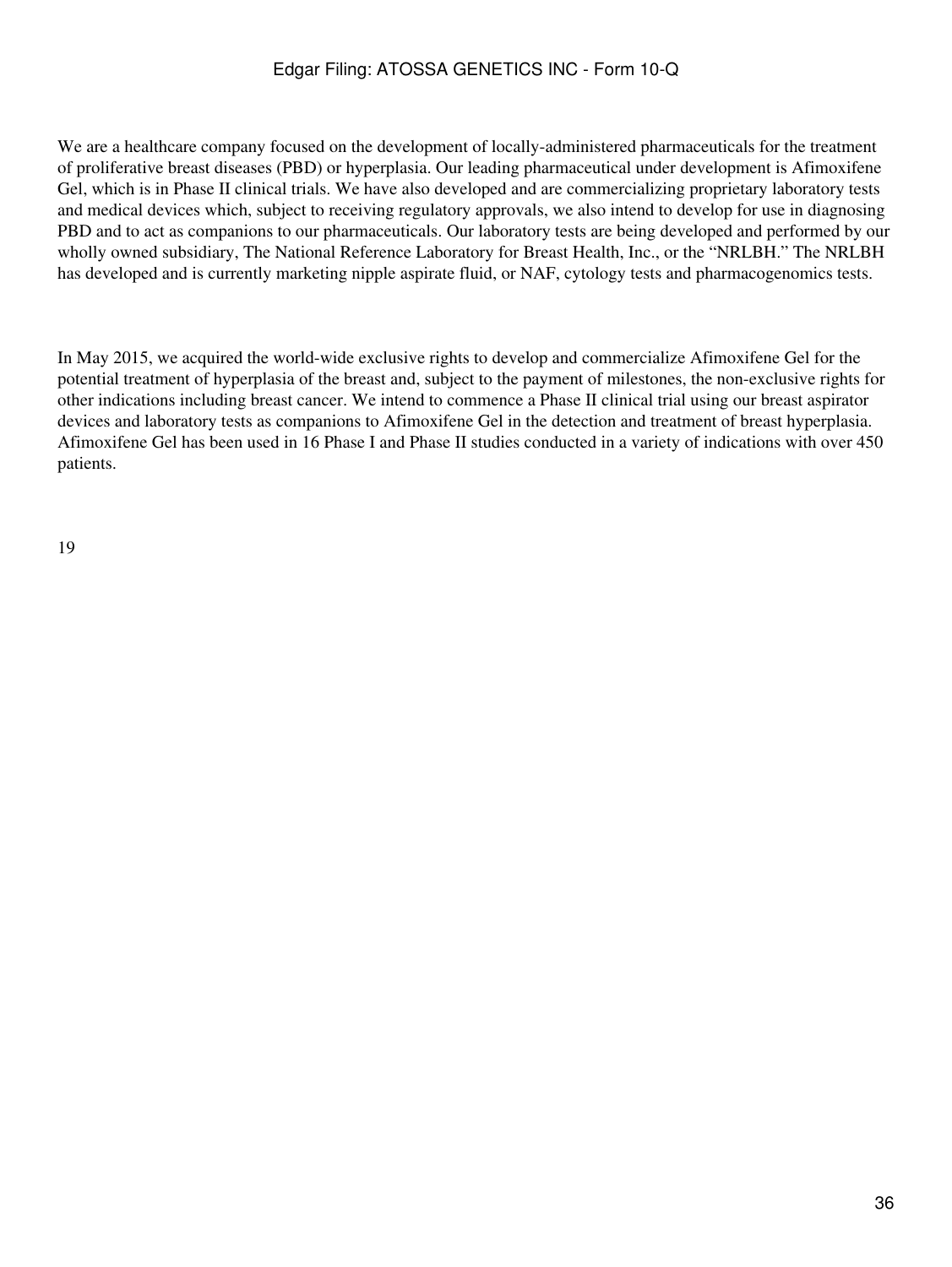We are a healthcare company focused on the development of locally-administered pharmaceuticals for the treatment of proliferative breast diseases (PBD) or hyperplasia. Our leading pharmaceutical under development is Afimoxifene Gel, which is in Phase II clinical trials. We have also developed and are commercializing proprietary laboratory tests and medical devices which, subject to receiving regulatory approvals, we also intend to develop for use in diagnosing PBD and to act as companions to our pharmaceuticals. Our laboratory tests are being developed and performed by our wholly owned subsidiary, The National Reference Laboratory for Breast Health, Inc., or the "NRLBH." The NRLBH has developed and is currently marketing nipple aspirate fluid, or NAF, cytology tests and pharmacogenomics tests.

In May 2015, we acquired the world-wide exclusive rights to develop and commercialize Afimoxifene Gel for the potential treatment of hyperplasia of the breast and, subject to the payment of milestones, the non-exclusive rights for other indications including breast cancer. We intend to commence a Phase II clinical trial using our breast aspirator devices and laboratory tests as companions to Afimoxifene Gel in the detection and treatment of breast hyperplasia. Afimoxifene Gel has been used in 16 Phase I and Phase II studies conducted in a variety of indications with over 450 patients.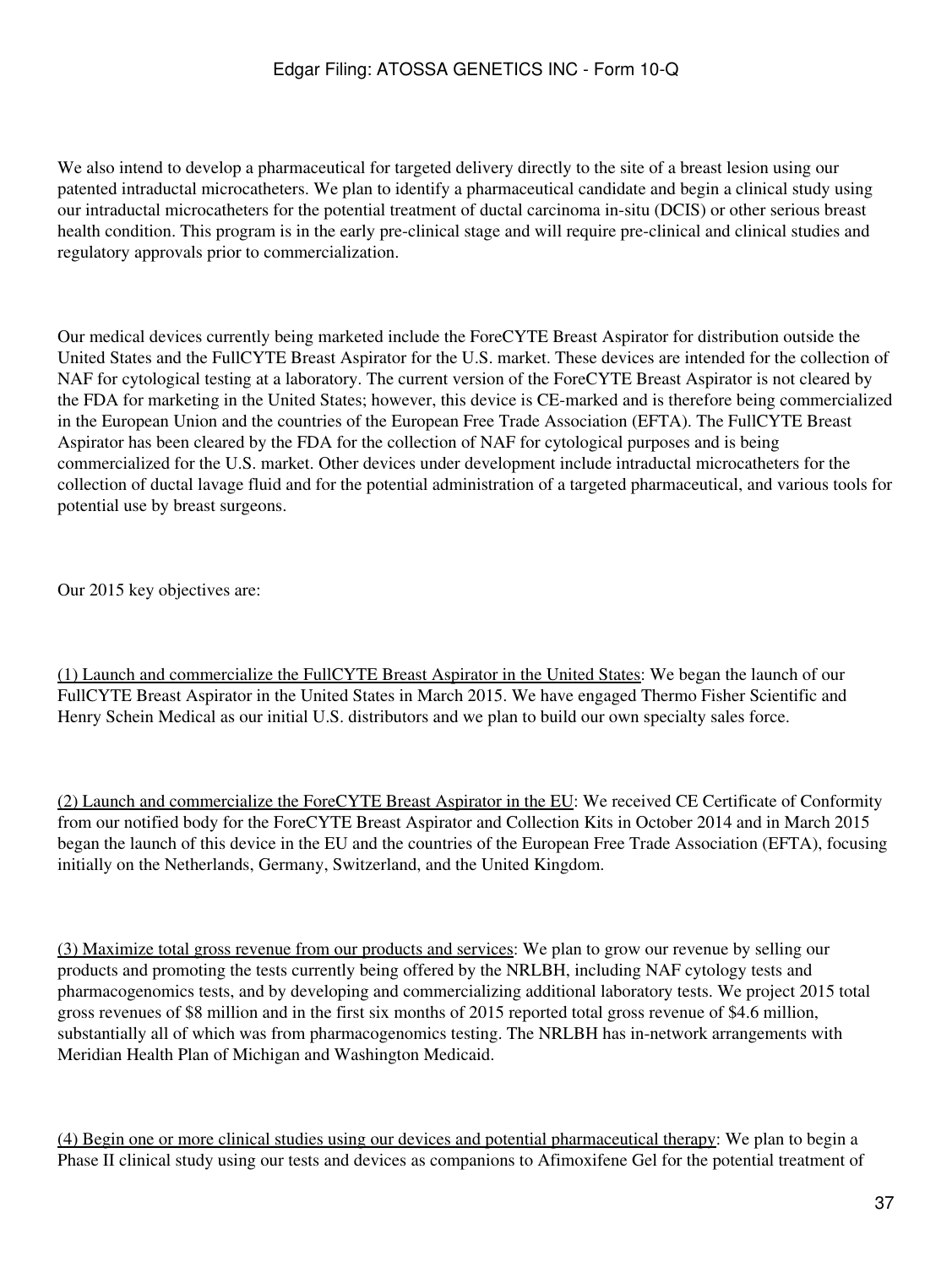We also intend to develop a pharmaceutical for targeted delivery directly to the site of a breast lesion using our patented intraductal microcatheters. We plan to identify a pharmaceutical candidate and begin a clinical study using our intraductal microcatheters for the potential treatment of ductal carcinoma in-situ (DCIS) or other serious breast health condition. This program is in the early pre-clinical stage and will require pre-clinical and clinical studies and regulatory approvals prior to commercialization.

Our medical devices currently being marketed include the ForeCYTE Breast Aspirator for distribution outside the United States and the FullCYTE Breast Aspirator for the U.S. market. These devices are intended for the collection of NAF for cytological testing at a laboratory. The current version of the ForeCYTE Breast Aspirator is not cleared by the FDA for marketing in the United States; however, this device is CE-marked and is therefore being commercialized in the European Union and the countries of the European Free Trade Association (EFTA). The FullCYTE Breast Aspirator has been cleared by the FDA for the collection of NAF for cytological purposes and is being commercialized for the U.S. market. Other devices under development include intraductal microcatheters for the collection of ductal lavage fluid and for the potential administration of a targeted pharmaceutical, and various tools for potential use by breast surgeons.

Our 2015 key objectives are:

(1) Launch and commercialize the FullCYTE Breast Aspirator in the United States: We began the launch of our FullCYTE Breast Aspirator in the United States in March 2015. We have engaged Thermo Fisher Scientific and Henry Schein Medical as our initial U.S. distributors and we plan to build our own specialty sales force.

(2) Launch and commercialize the ForeCYTE Breast Aspirator in the EU: We received CE Certificate of Conformity from our notified body for the ForeCYTE Breast Aspirator and Collection Kits in October 2014 and in March 2015 began the launch of this device in the EU and the countries of the European Free Trade Association (EFTA), focusing initially on the Netherlands, Germany, Switzerland, and the United Kingdom.

(3) Maximize total gross revenue from our products and services: We plan to grow our revenue by selling our products and promoting the tests currently being offered by the NRLBH, including NAF cytology tests and pharmacogenomics tests, and by developing and commercializing additional laboratory tests. We project 2015 total gross revenues of \$8 million and in the first six months of 2015 reported total gross revenue of \$4.6 million, substantially all of which was from pharmacogenomics testing. The NRLBH has in-network arrangements with Meridian Health Plan of Michigan and Washington Medicaid.

(4) Begin one or more clinical studies using our devices and potential pharmaceutical therapy: We plan to begin a Phase II clinical study using our tests and devices as companions to Afimoxifene Gel for the potential treatment of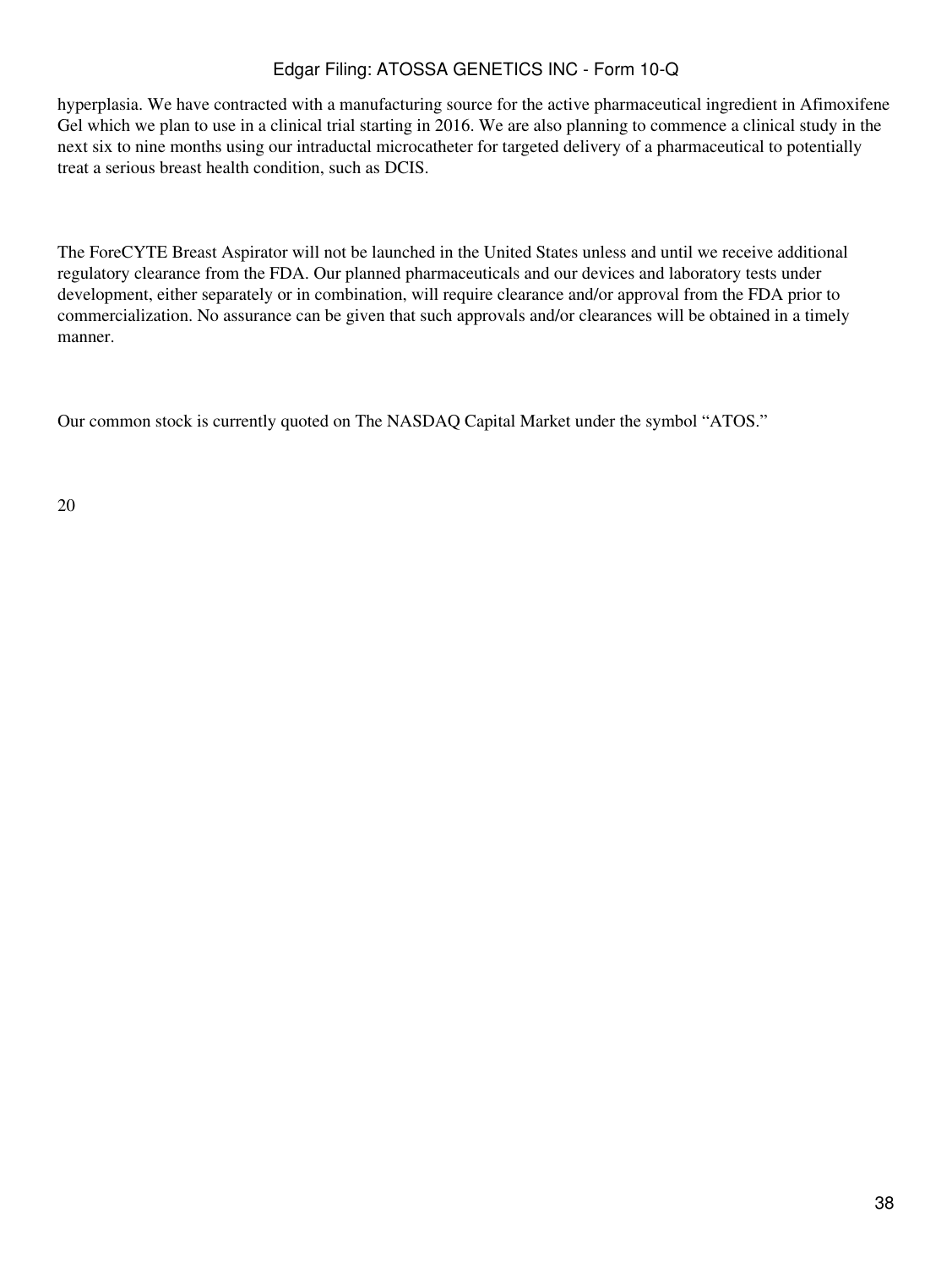hyperplasia. We have contracted with a manufacturing source for the active pharmaceutical ingredient in Afimoxifene Gel which we plan to use in a clinical trial starting in 2016. We are also planning to commence a clinical study in the next six to nine months using our intraductal microcatheter for targeted delivery of a pharmaceutical to potentially treat a serious breast health condition, such as DCIS.

The ForeCYTE Breast Aspirator will not be launched in the United States unless and until we receive additional regulatory clearance from the FDA. Our planned pharmaceuticals and our devices and laboratory tests under development, either separately or in combination, will require clearance and/or approval from the FDA prior to commercialization. No assurance can be given that such approvals and/or clearances will be obtained in a timely manner.

Our common stock is currently quoted on The NASDAQ Capital Market under the symbol "ATOS."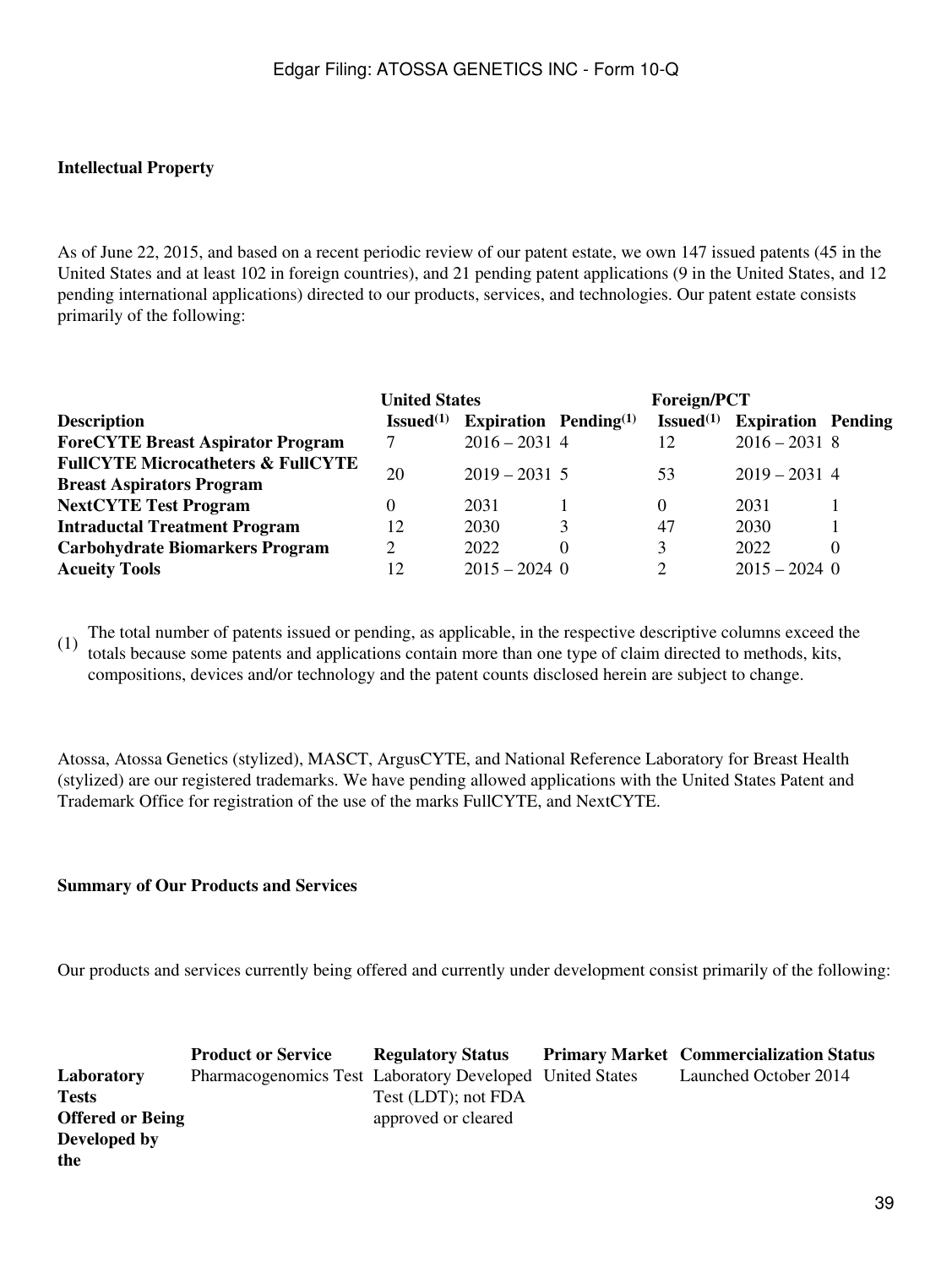### **Intellectual Property**

As of June 22, 2015, and based on a recent periodic review of our patent estate, we own 147 issued patents (45 in the United States and at least 102 in foreign countries), and 21 pending patent applications (9 in the United States, and 12 pending international applications) directed to our products, services, and technologies. Our patent estate consists primarily of the following:

|                                               | <b>United States</b>   |                                   |   | <b>Foreign/PCT</b>     |                           |   |
|-----------------------------------------------|------------------------|-----------------------------------|---|------------------------|---------------------------|---|
| <b>Description</b>                            | Is sued <sup>(1)</sup> | Expiration Pending <sup>(1)</sup> |   | Is sued <sup>(1)</sup> | <b>Expiration Pending</b> |   |
| <b>ForeCYTE Breast Aspirator Program</b>      |                        | $2016 - 2031$ 4                   |   | 12                     | $2016 - 20318$            |   |
| <b>FullCYTE Microcatheters &amp; FullCYTE</b> | 20                     | $2019 - 2031$ 5                   |   | 53                     | $2019 - 2031$ 4           |   |
| <b>Breast Aspirators Program</b>              |                        |                                   |   |                        |                           |   |
| <b>NextCYTE Test Program</b>                  |                        | 2031                              |   | $\Omega$               | 2031                      |   |
| <b>Intraductal Treatment Program</b>          | 12                     | 2030                              | 3 | 47                     | 2030                      |   |
| <b>Carbohydrate Biomarkers Program</b>        | 2                      | 2022                              |   | 3                      | 2022                      | 0 |
| <b>Acueity Tools</b>                          | 12                     | $2015 - 2024$ 0                   |   | 2                      | $2015 - 2024$ 0           |   |

(1) The total number of patents issued or pending, as applicable, in the respective descriptive columns exceed the totals because some patents and applications contain more than one type of claim directed to methods, kits, compositions, devices and/or technology and the patent counts disclosed herein are subject to change.

Atossa, Atossa Genetics (stylized), MASCT, ArgusCYTE, and National Reference Laboratory for Breast Health (stylized) are our registered trademarks. We have pending allowed applications with the United States Patent and Trademark Office for registration of the use of the marks FullCYTE, and NextCYTE.

#### **Summary of Our Products and Services**

Our products and services currently being offered and currently under development consist primarily of the following:

|                         | <b>Product or Service</b>                                | <b>Regulatory Status</b> | <b>Primary Market Commercialization Status</b> |
|-------------------------|----------------------------------------------------------|--------------------------|------------------------------------------------|
| Laboratory              | Pharmacogenomics Test Laboratory Developed United States |                          | Launched October 2014                          |
| <b>Tests</b>            |                                                          | Test (LDT); not FDA      |                                                |
| <b>Offered or Being</b> |                                                          | approved or cleared      |                                                |
| Developed by            |                                                          |                          |                                                |
| the                     |                                                          |                          |                                                |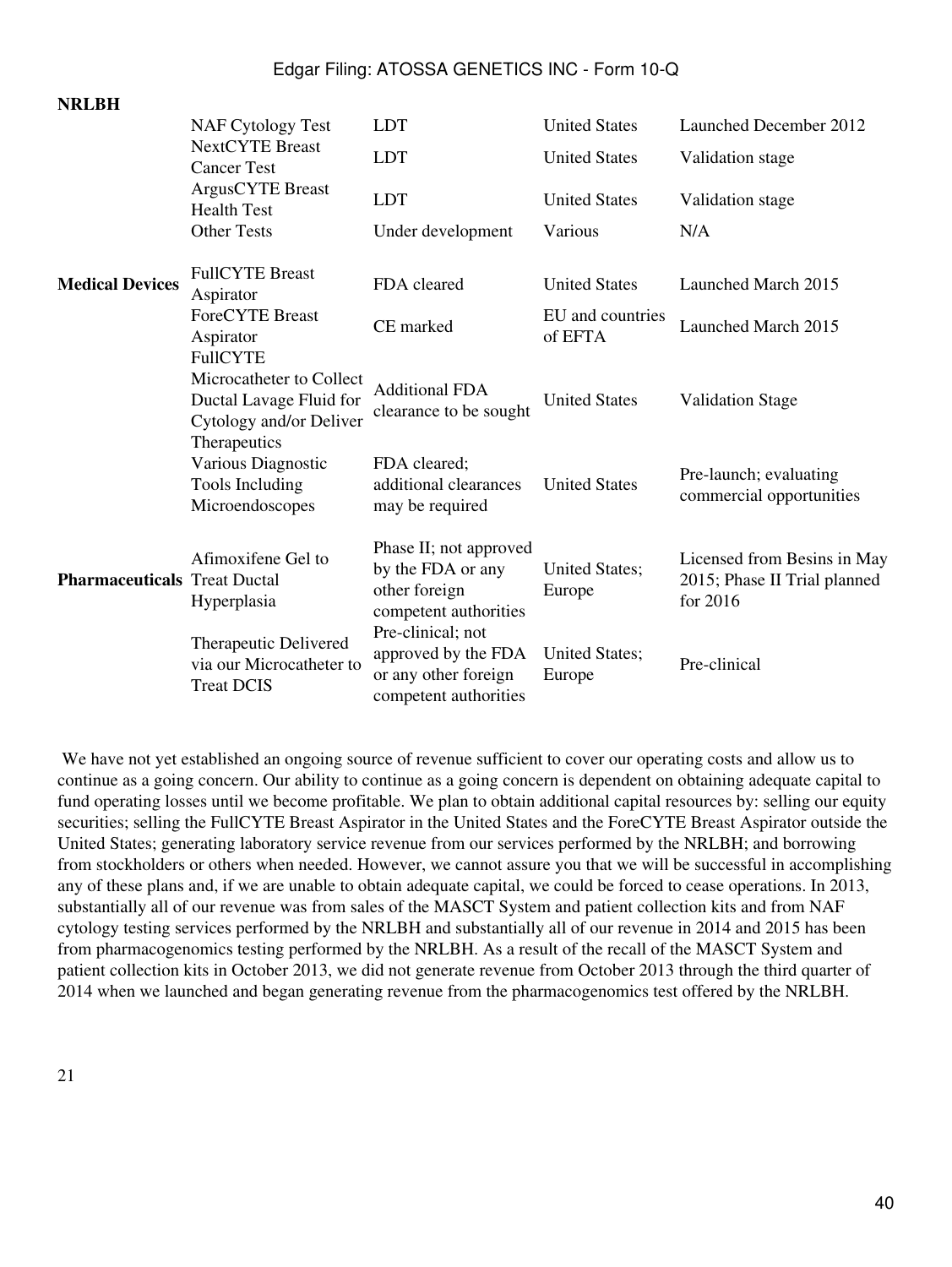|                                     | <b>NAF Cytology Test</b>                                                       | <b>LDT</b>                                                                                | <b>United States</b>            | Launched December 2012                                                  |
|-------------------------------------|--------------------------------------------------------------------------------|-------------------------------------------------------------------------------------------|---------------------------------|-------------------------------------------------------------------------|
|                                     | <b>NextCYTE</b> Breast<br><b>Cancer Test</b>                                   | <b>LDT</b>                                                                                | <b>United States</b>            | Validation stage                                                        |
|                                     | ArgusCYTE Breast<br><b>Health Test</b>                                         | <b>LDT</b>                                                                                | <b>United States</b>            | Validation stage                                                        |
|                                     | <b>Other Tests</b>                                                             | Under development                                                                         | Various                         | N/A                                                                     |
| <b>Medical Devices</b>              | <b>FullCYTE Breast</b><br>Aspirator                                            | FDA cleared                                                                               | <b>United States</b>            | Launched March 2015                                                     |
|                                     | <b>ForeCYTE Breast</b><br>Aspirator<br><b>FullCYTE</b>                         | CE marked                                                                                 | EU and countries<br>of EFTA     | Launched March 2015                                                     |
|                                     | Microcatheter to Collect<br>Ductal Lavage Fluid for<br>Cytology and/or Deliver | <b>Additional FDA</b><br>clearance to be sought                                           | <b>United States</b>            | <b>Validation Stage</b>                                                 |
|                                     | Therapeutics<br>Various Diagnostic<br>Tools Including<br>Microendoscopes       | FDA cleared;<br>additional clearances<br>may be required                                  | <b>United States</b>            | Pre-launch; evaluating<br>commercial opportunities                      |
| <b>Pharmaceuticals Treat Ductal</b> | Afimoxifene Gel to<br>Hyperplasia                                              | Phase II; not approved<br>by the FDA or any<br>other foreign<br>competent authorities     | <b>United States;</b><br>Europe | Licensed from Besins in May<br>2015; Phase II Trial planned<br>for 2016 |
|                                     | Therapeutic Delivered<br>via our Microcatheter to<br><b>Treat DCIS</b>         | Pre-clinical; not<br>approved by the FDA<br>or any other foreign<br>competent authorities | <b>United States;</b><br>Europe | Pre-clinical                                                            |

We have not yet established an ongoing source of revenue sufficient to cover our operating costs and allow us to continue as a going concern. Our ability to continue as a going concern is dependent on obtaining adequate capital to fund operating losses until we become profitable. We plan to obtain additional capital resources by: selling our equity securities; selling the FullCYTE Breast Aspirator in the United States and the ForeCYTE Breast Aspirator outside the United States; generating laboratory service revenue from our services performed by the NRLBH; and borrowing from stockholders or others when needed. However, we cannot assure you that we will be successful in accomplishing any of these plans and, if we are unable to obtain adequate capital, we could be forced to cease operations. In 2013, substantially all of our revenue was from sales of the MASCT System and patient collection kits and from NAF cytology testing services performed by the NRLBH and substantially all of our revenue in 2014 and 2015 has been from pharmacogenomics testing performed by the NRLBH. As a result of the recall of the MASCT System and patient collection kits in October 2013, we did not generate revenue from October 2013 through the third quarter of 2014 when we launched and began generating revenue from the pharmacogenomics test offered by the NRLBH.

**NRLBH**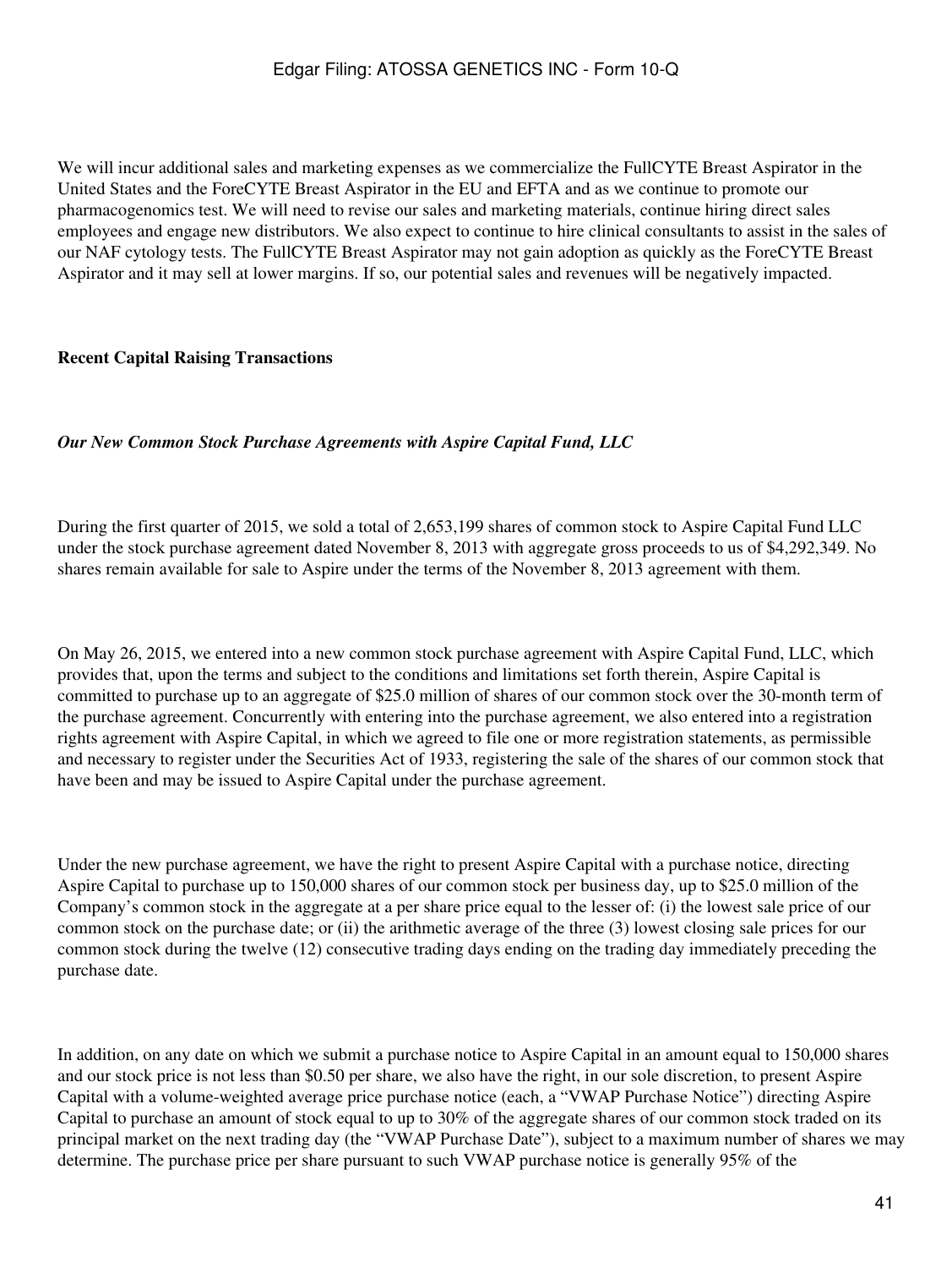We will incur additional sales and marketing expenses as we commercialize the FullCYTE Breast Aspirator in the United States and the ForeCYTE Breast Aspirator in the EU and EFTA and as we continue to promote our pharmacogenomics test. We will need to revise our sales and marketing materials, continue hiring direct sales employees and engage new distributors. We also expect to continue to hire clinical consultants to assist in the sales of our NAF cytology tests. The FullCYTE Breast Aspirator may not gain adoption as quickly as the ForeCYTE Breast Aspirator and it may sell at lower margins. If so, our potential sales and revenues will be negatively impacted.

### **Recent Capital Raising Transactions**

#### *Our New Common Stock Purchase Agreements with Aspire Capital Fund, LLC*

During the first quarter of 2015, we sold a total of 2,653,199 shares of common stock to Aspire Capital Fund LLC under the stock purchase agreement dated November 8, 2013 with aggregate gross proceeds to us of \$4,292,349. No shares remain available for sale to Aspire under the terms of the November 8, 2013 agreement with them.

On May 26, 2015, we entered into a new common stock purchase agreement with Aspire Capital Fund, LLC, which provides that, upon the terms and subject to the conditions and limitations set forth therein, Aspire Capital is committed to purchase up to an aggregate of \$25.0 million of shares of our common stock over the 30-month term of the purchase agreement. Concurrently with entering into the purchase agreement, we also entered into a registration rights agreement with Aspire Capital, in which we agreed to file one or more registration statements, as permissible and necessary to register under the Securities Act of 1933, registering the sale of the shares of our common stock that have been and may be issued to Aspire Capital under the purchase agreement.

Under the new purchase agreement, we have the right to present Aspire Capital with a purchase notice, directing Aspire Capital to purchase up to 150,000 shares of our common stock per business day, up to \$25.0 million of the Company's common stock in the aggregate at a per share price equal to the lesser of: (i) the lowest sale price of our common stock on the purchase date; or (ii) the arithmetic average of the three (3) lowest closing sale prices for our common stock during the twelve (12) consecutive trading days ending on the trading day immediately preceding the purchase date.

In addition, on any date on which we submit a purchase notice to Aspire Capital in an amount equal to 150,000 shares and our stock price is not less than \$0.50 per share, we also have the right, in our sole discretion, to present Aspire Capital with a volume-weighted average price purchase notice (each, a "VWAP Purchase Notice") directing Aspire Capital to purchase an amount of stock equal to up to 30% of the aggregate shares of our common stock traded on its principal market on the next trading day (the "VWAP Purchase Date"), subject to a maximum number of shares we may determine. The purchase price per share pursuant to such VWAP purchase notice is generally 95% of the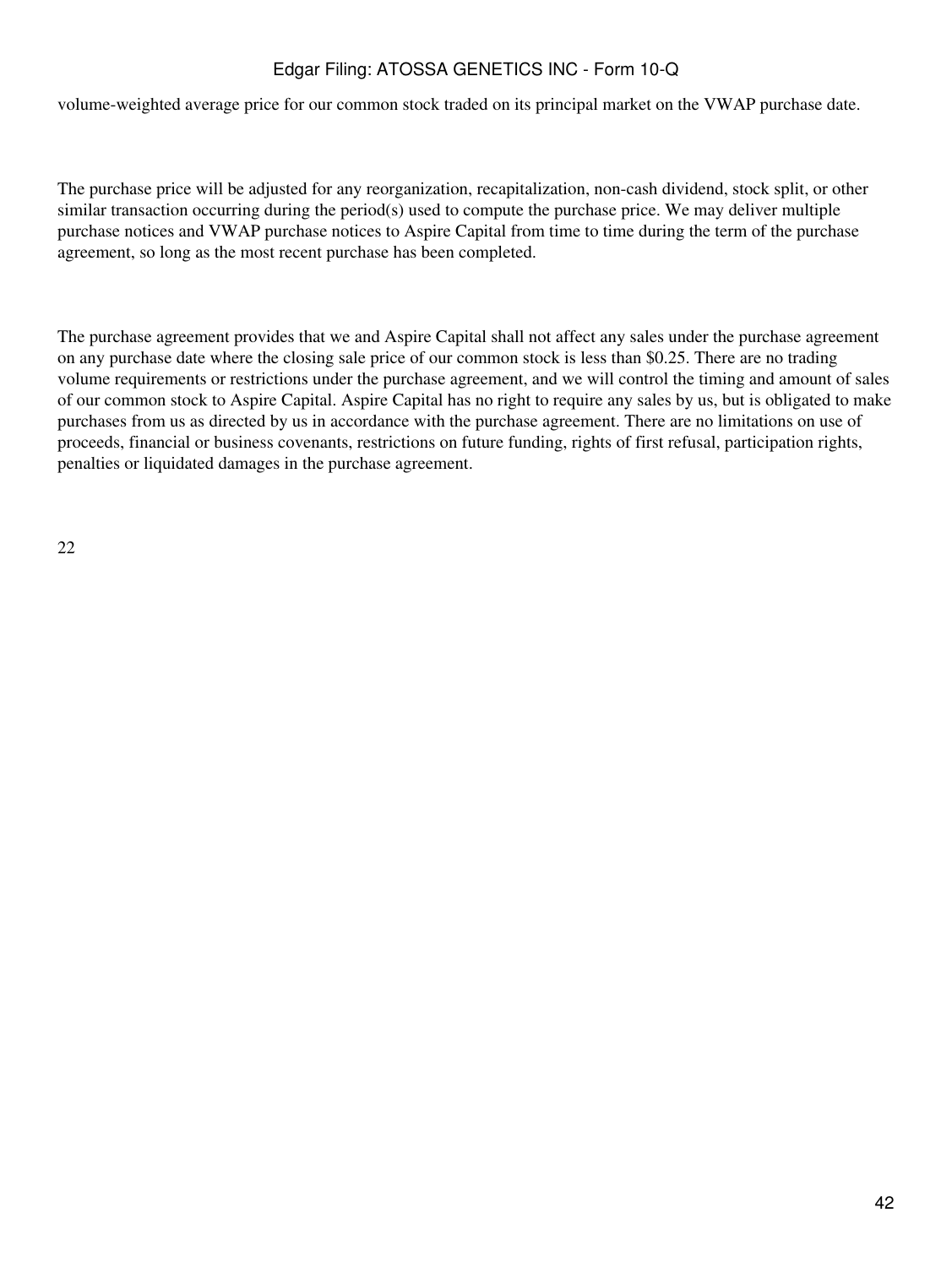volume-weighted average price for our common stock traded on its principal market on the VWAP purchase date.

The purchase price will be adjusted for any reorganization, recapitalization, non-cash dividend, stock split, or other similar transaction occurring during the period(s) used to compute the purchase price. We may deliver multiple purchase notices and VWAP purchase notices to Aspire Capital from time to time during the term of the purchase agreement, so long as the most recent purchase has been completed.

The purchase agreement provides that we and Aspire Capital shall not affect any sales under the purchase agreement on any purchase date where the closing sale price of our common stock is less than \$0.25. There are no trading volume requirements or restrictions under the purchase agreement, and we will control the timing and amount of sales of our common stock to Aspire Capital. Aspire Capital has no right to require any sales by us, but is obligated to make purchases from us as directed by us in accordance with the purchase agreement. There are no limitations on use of proceeds, financial or business covenants, restrictions on future funding, rights of first refusal, participation rights, penalties or liquidated damages in the purchase agreement.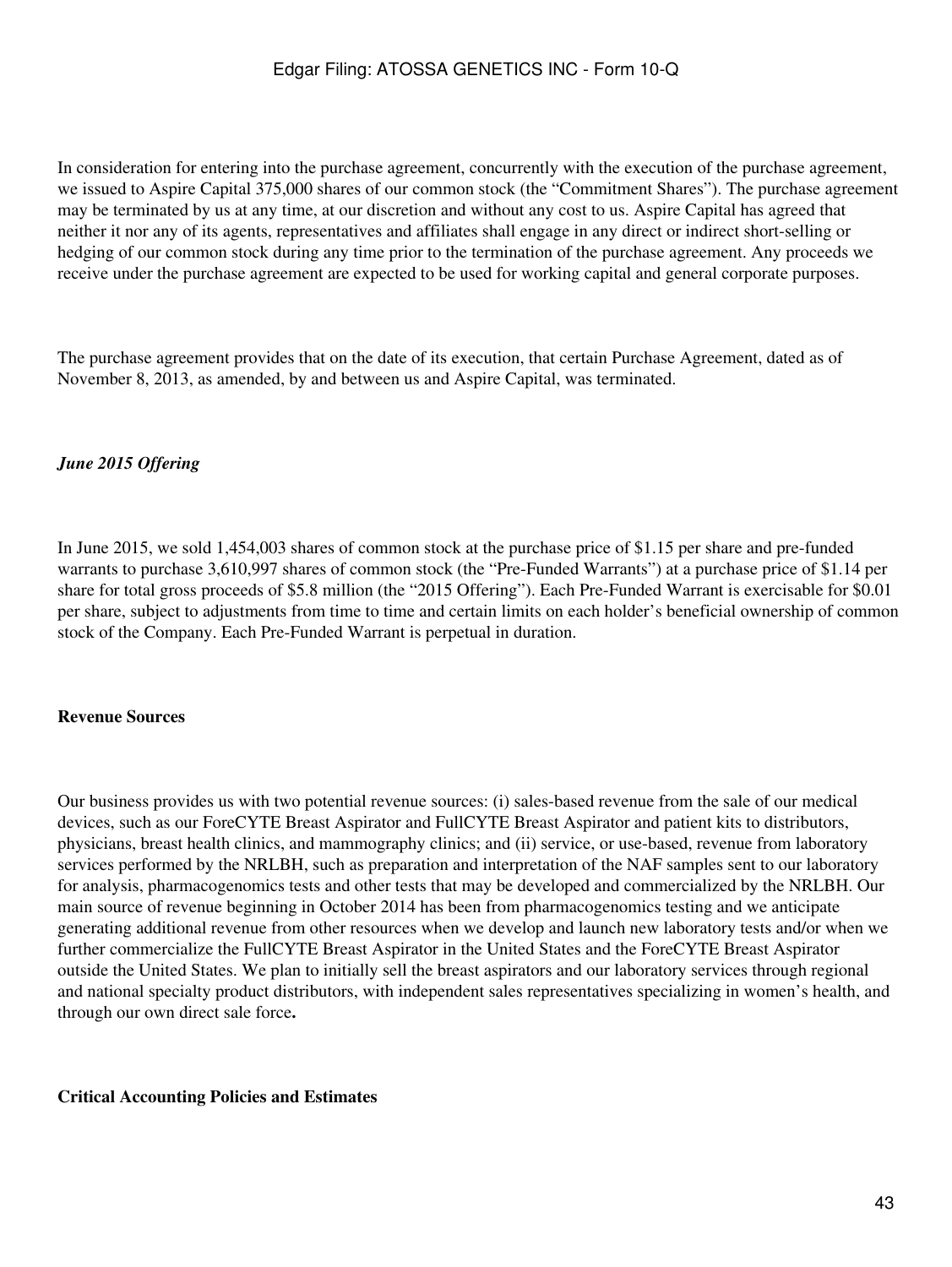In consideration for entering into the purchase agreement, concurrently with the execution of the purchase agreement, we issued to Aspire Capital 375,000 shares of our common stock (the "Commitment Shares"). The purchase agreement may be terminated by us at any time, at our discretion and without any cost to us. Aspire Capital has agreed that neither it nor any of its agents, representatives and affiliates shall engage in any direct or indirect short-selling or hedging of our common stock during any time prior to the termination of the purchase agreement. Any proceeds we receive under the purchase agreement are expected to be used for working capital and general corporate purposes.

The purchase agreement provides that on the date of its execution, that certain Purchase Agreement, dated as of November 8, 2013, as amended, by and between us and Aspire Capital, was terminated.

## *June 2015 Offering*

In June 2015, we sold 1,454,003 shares of common stock at the purchase price of \$1.15 per share and pre-funded warrants to purchase 3,610,997 shares of common stock (the "Pre-Funded Warrants") at a purchase price of \$1.14 per share for total gross proceeds of \$5.8 million (the "2015 Offering"). Each Pre-Funded Warrant is exercisable for \$0.01 per share, subject to adjustments from time to time and certain limits on each holder's beneficial ownership of common stock of the Company. Each Pre-Funded Warrant is perpetual in duration.

### **Revenue Sources**

Our business provides us with two potential revenue sources: (i) sales-based revenue from the sale of our medical devices, such as our ForeCYTE Breast Aspirator and FullCYTE Breast Aspirator and patient kits to distributors, physicians, breast health clinics, and mammography clinics; and (ii) service, or use-based, revenue from laboratory services performed by the NRLBH, such as preparation and interpretation of the NAF samples sent to our laboratory for analysis, pharmacogenomics tests and other tests that may be developed and commercialized by the NRLBH. Our main source of revenue beginning in October 2014 has been from pharmacogenomics testing and we anticipate generating additional revenue from other resources when we develop and launch new laboratory tests and/or when we further commercialize the FullCYTE Breast Aspirator in the United States and the ForeCYTE Breast Aspirator outside the United States. We plan to initially sell the breast aspirators and our laboratory services through regional and national specialty product distributors, with independent sales representatives specializing in women's health, and through our own direct sale force**.**

#### **Critical Accounting Policies and Estimates**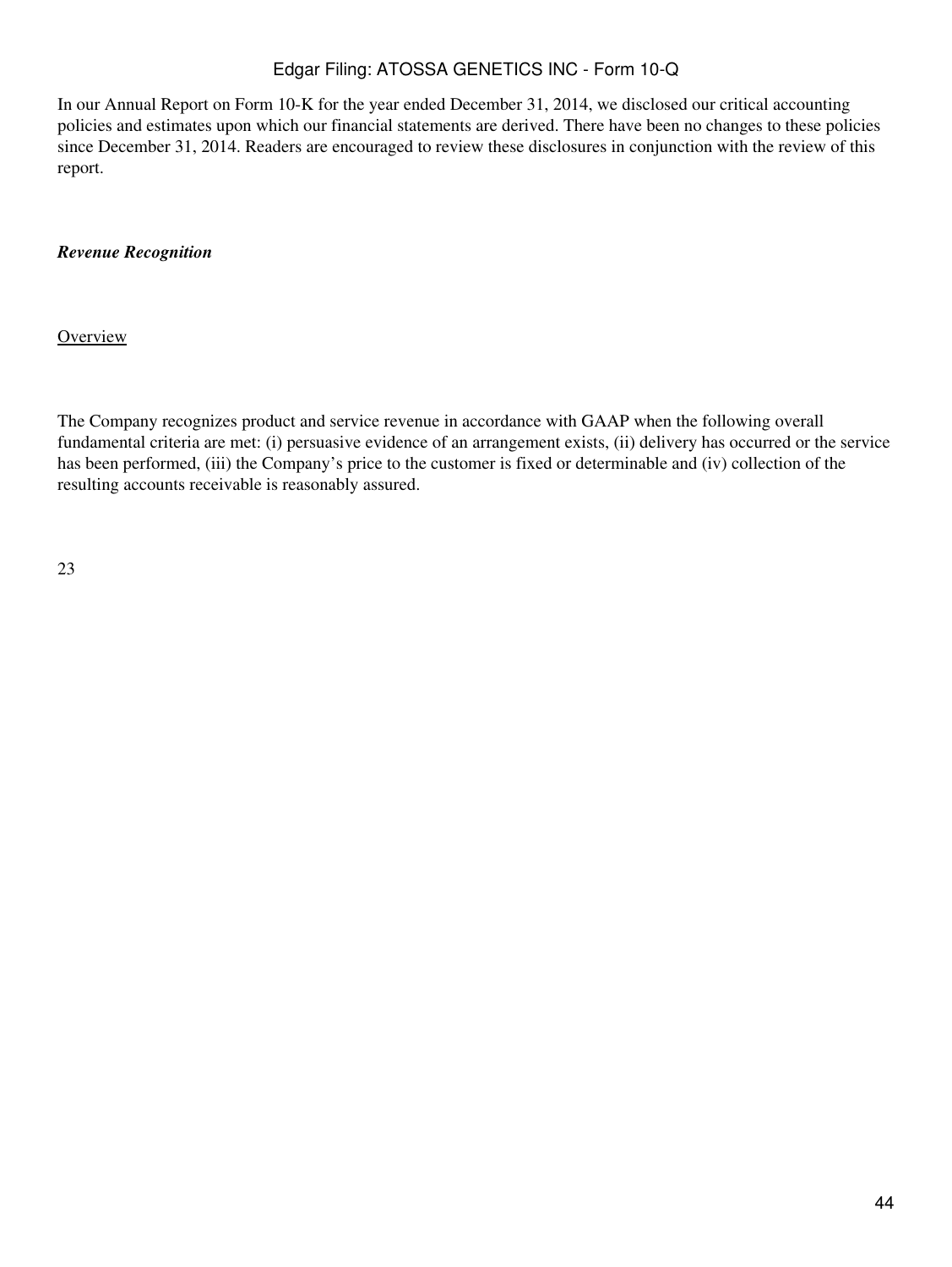In our Annual Report on Form 10-K for the year ended December 31, 2014, we disclosed our critical accounting policies and estimates upon which our financial statements are derived. There have been no changes to these policies since December 31, 2014. Readers are encouraged to review these disclosures in conjunction with the review of this report.

### *Revenue Recognition*

**Overview** 

The Company recognizes product and service revenue in accordance with GAAP when the following overall fundamental criteria are met: (i) persuasive evidence of an arrangement exists, (ii) delivery has occurred or the service has been performed, (iii) the Company's price to the customer is fixed or determinable and (iv) collection of the resulting accounts receivable is reasonably assured.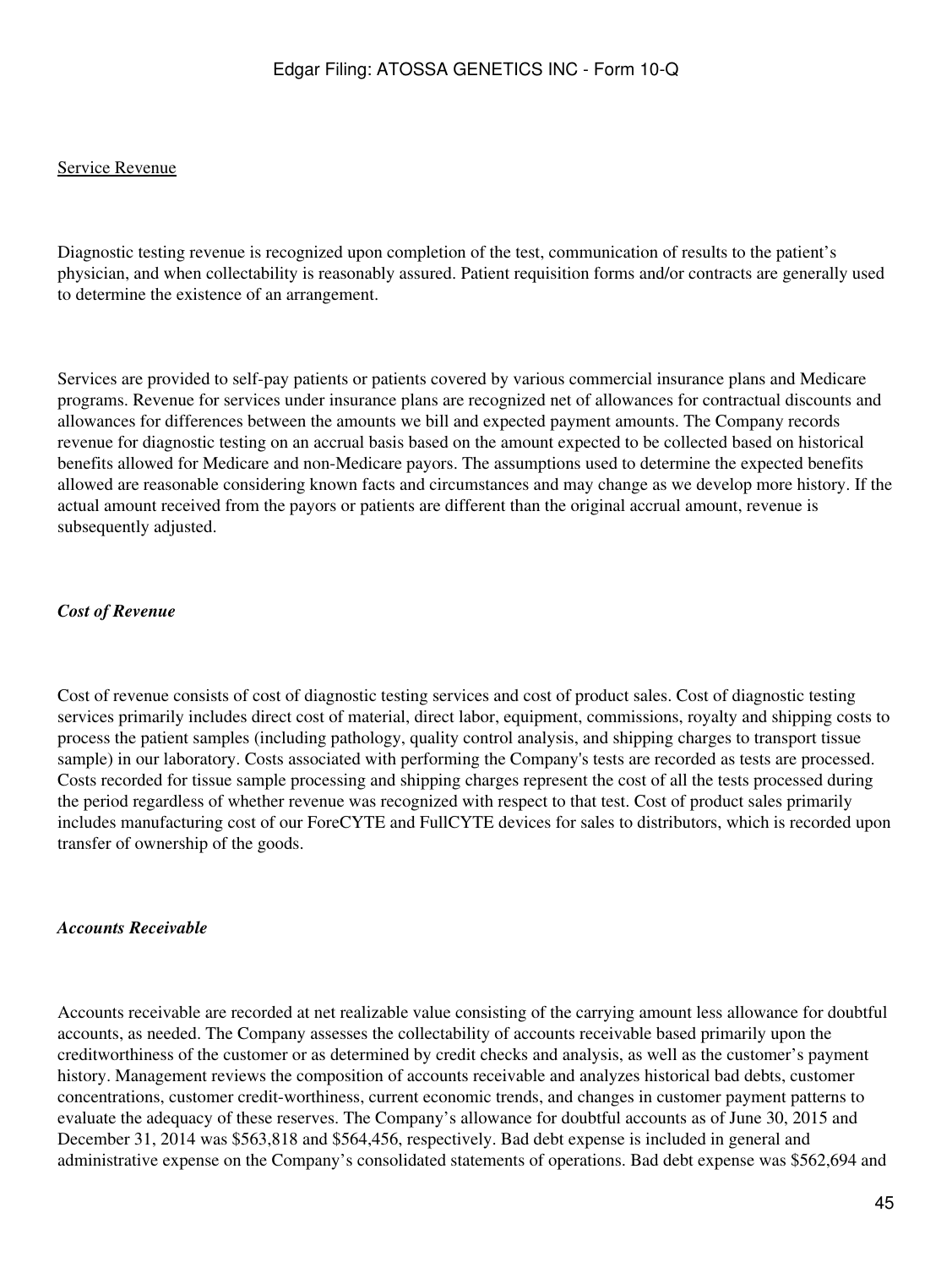#### Service Revenue

Diagnostic testing revenue is recognized upon completion of the test, communication of results to the patient's physician, and when collectability is reasonably assured. Patient requisition forms and/or contracts are generally used to determine the existence of an arrangement.

Services are provided to self-pay patients or patients covered by various commercial insurance plans and Medicare programs. Revenue for services under insurance plans are recognized net of allowances for contractual discounts and allowances for differences between the amounts we bill and expected payment amounts. The Company records revenue for diagnostic testing on an accrual basis based on the amount expected to be collected based on historical benefits allowed for Medicare and non-Medicare payors. The assumptions used to determine the expected benefits allowed are reasonable considering known facts and circumstances and may change as we develop more history. If the actual amount received from the payors or patients are different than the original accrual amount, revenue is subsequently adjusted.

#### *Cost of Revenue*

Cost of revenue consists of cost of diagnostic testing services and cost of product sales. Cost of diagnostic testing services primarily includes direct cost of material, direct labor, equipment, commissions, royalty and shipping costs to process the patient samples (including pathology, quality control analysis, and shipping charges to transport tissue sample) in our laboratory. Costs associated with performing the Company's tests are recorded as tests are processed. Costs recorded for tissue sample processing and shipping charges represent the cost of all the tests processed during the period regardless of whether revenue was recognized with respect to that test. Cost of product sales primarily includes manufacturing cost of our ForeCYTE and FullCYTE devices for sales to distributors, which is recorded upon transfer of ownership of the goods.

#### *Accounts Receivable*

Accounts receivable are recorded at net realizable value consisting of the carrying amount less allowance for doubtful accounts, as needed. The Company assesses the collectability of accounts receivable based primarily upon the creditworthiness of the customer or as determined by credit checks and analysis, as well as the customer's payment history. Management reviews the composition of accounts receivable and analyzes historical bad debts, customer concentrations, customer credit-worthiness, current economic trends, and changes in customer payment patterns to evaluate the adequacy of these reserves. The Company's allowance for doubtful accounts as of June 30, 2015 and December 31, 2014 was \$563,818 and \$564,456, respectively. Bad debt expense is included in general and administrative expense on the Company's consolidated statements of operations. Bad debt expense was \$562,694 and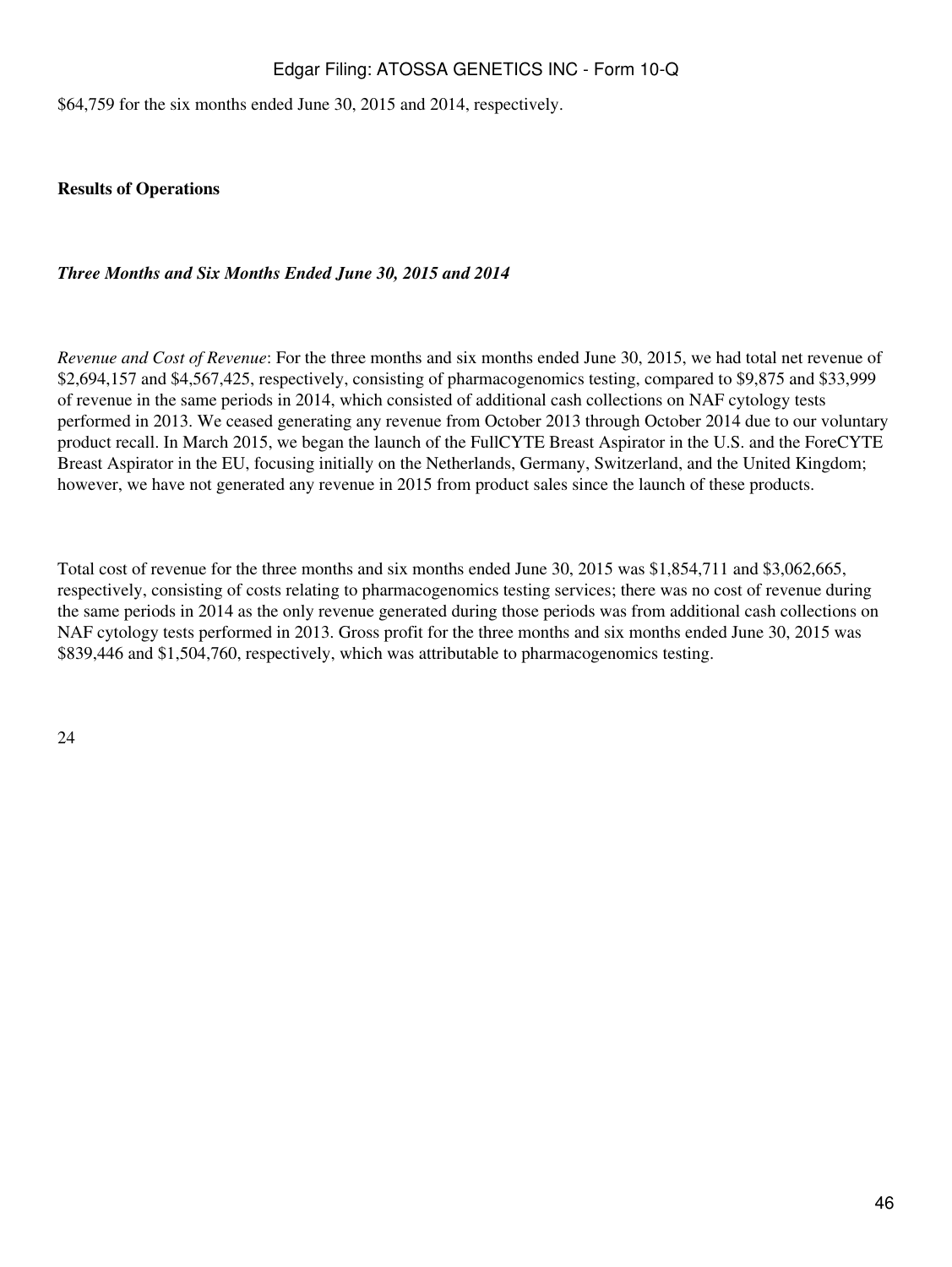\$64,759 for the six months ended June 30, 2015 and 2014, respectively.

**Results of Operations**

### *Three Months and Six Months Ended June 30, 2015 and 2014*

*Revenue and Cost of Revenue*: For the three months and six months ended June 30, 2015, we had total net revenue of \$2,694,157 and \$4,567,425, respectively, consisting of pharmacogenomics testing, compared to \$9,875 and \$33,999 of revenue in the same periods in 2014, which consisted of additional cash collections on NAF cytology tests performed in 2013. We ceased generating any revenue from October 2013 through October 2014 due to our voluntary product recall. In March 2015, we began the launch of the FullCYTE Breast Aspirator in the U.S. and the ForeCYTE Breast Aspirator in the EU, focusing initially on the Netherlands, Germany, Switzerland, and the United Kingdom; however, we have not generated any revenue in 2015 from product sales since the launch of these products.

Total cost of revenue for the three months and six months ended June 30, 2015 was \$1,854,711 and \$3,062,665, respectively, consisting of costs relating to pharmacogenomics testing services; there was no cost of revenue during the same periods in 2014 as the only revenue generated during those periods was from additional cash collections on NAF cytology tests performed in 2013. Gross profit for the three months and six months ended June 30, 2015 was \$839,446 and \$1,504,760, respectively, which was attributable to pharmacogenomics testing.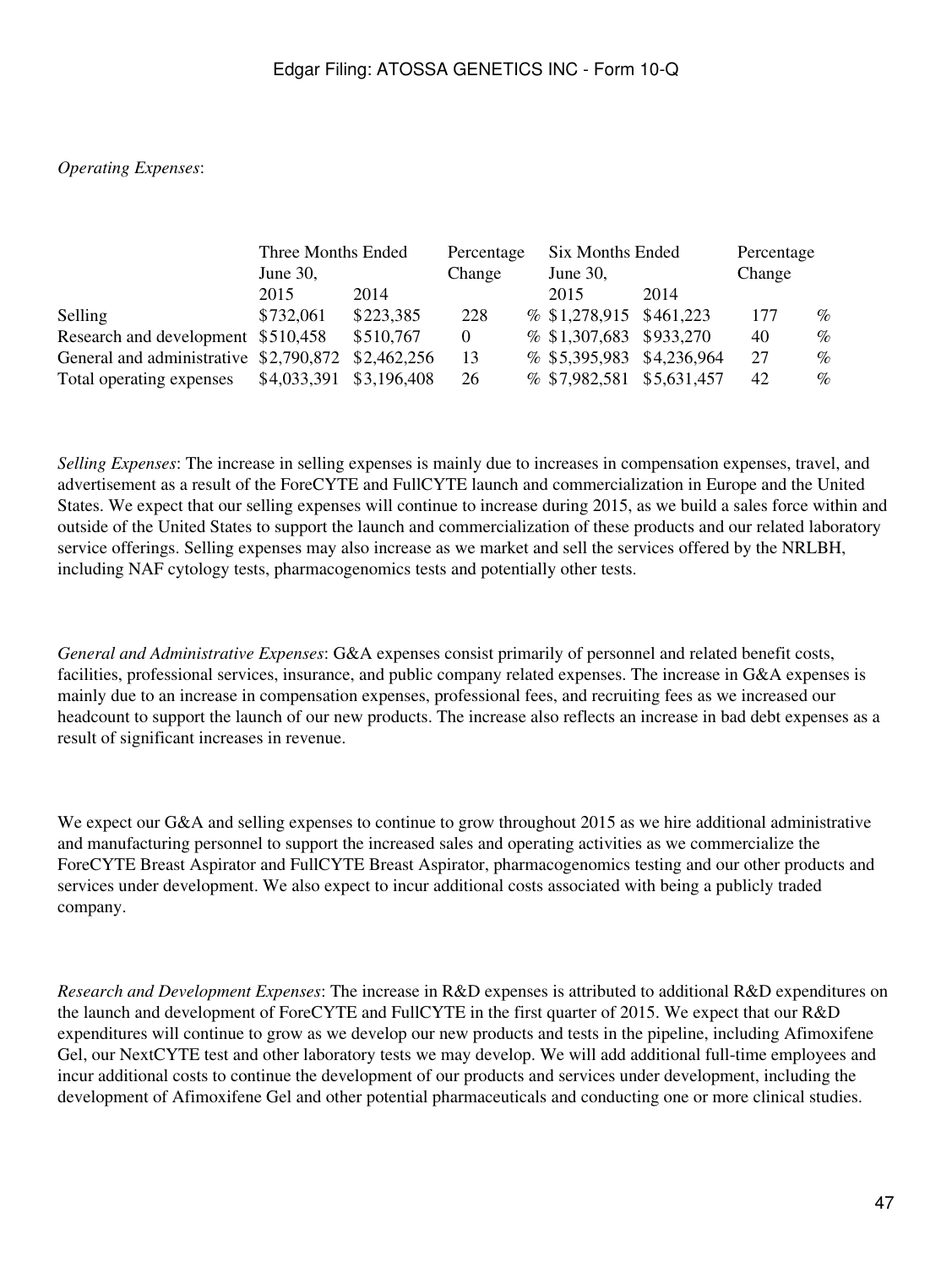## *Operating Expenses*:

|                                                    | Three Months Ended |           | Percentage |  | Six Months Ended          | Percentage |        |      |
|----------------------------------------------------|--------------------|-----------|------------|--|---------------------------|------------|--------|------|
|                                                    | June $30$ ,        |           | Change     |  | June 30,                  |            | Change |      |
|                                                    | 2015               | 2014      |            |  | 2015                      | 2014       |        |      |
| Selling                                            | \$732,061          | \$223,385 | 228        |  | $% $1,278,915$ \$461,223  |            | 177    | $\%$ |
| Research and development \$510,458                 |                    | \$510,767 | $\theta$   |  | % \$1,307,683 \$933,270   |            | 40     | $\%$ |
| General and administrative \$2,790,872 \$2,462,256 |                    |           | 13         |  | % \$5,395,983 \$4,236,964 |            | 27     | $\%$ |
| Total operating expenses \$4,033,391 \$3,196,408   |                    |           | 26         |  | % \$7,982,581 \$5,631,457 |            | 42     | $\%$ |

*Selling Expenses*: The increase in selling expenses is mainly due to increases in compensation expenses, travel, and advertisement as a result of the ForeCYTE and FullCYTE launch and commercialization in Europe and the United States. We expect that our selling expenses will continue to increase during 2015, as we build a sales force within and outside of the United States to support the launch and commercialization of these products and our related laboratory service offerings. Selling expenses may also increase as we market and sell the services offered by the NRLBH, including NAF cytology tests, pharmacogenomics tests and potentially other tests.

*General and Administrative Expenses*: G&A expenses consist primarily of personnel and related benefit costs, facilities, professional services, insurance, and public company related expenses. The increase in G&A expenses is mainly due to an increase in compensation expenses, professional fees, and recruiting fees as we increased our headcount to support the launch of our new products. The increase also reflects an increase in bad debt expenses as a result of significant increases in revenue.

We expect our G&A and selling expenses to continue to grow throughout 2015 as we hire additional administrative and manufacturing personnel to support the increased sales and operating activities as we commercialize the ForeCYTE Breast Aspirator and FullCYTE Breast Aspirator, pharmacogenomics testing and our other products and services under development. We also expect to incur additional costs associated with being a publicly traded company.

*Research and Development Expenses*: The increase in R&D expenses is attributed to additional R&D expenditures on the launch and development of ForeCYTE and FullCYTE in the first quarter of 2015. We expect that our R&D expenditures will continue to grow as we develop our new products and tests in the pipeline, including Afimoxifene Gel, our NextCYTE test and other laboratory tests we may develop. We will add additional full-time employees and incur additional costs to continue the development of our products and services under development, including the development of Afimoxifene Gel and other potential pharmaceuticals and conducting one or more clinical studies.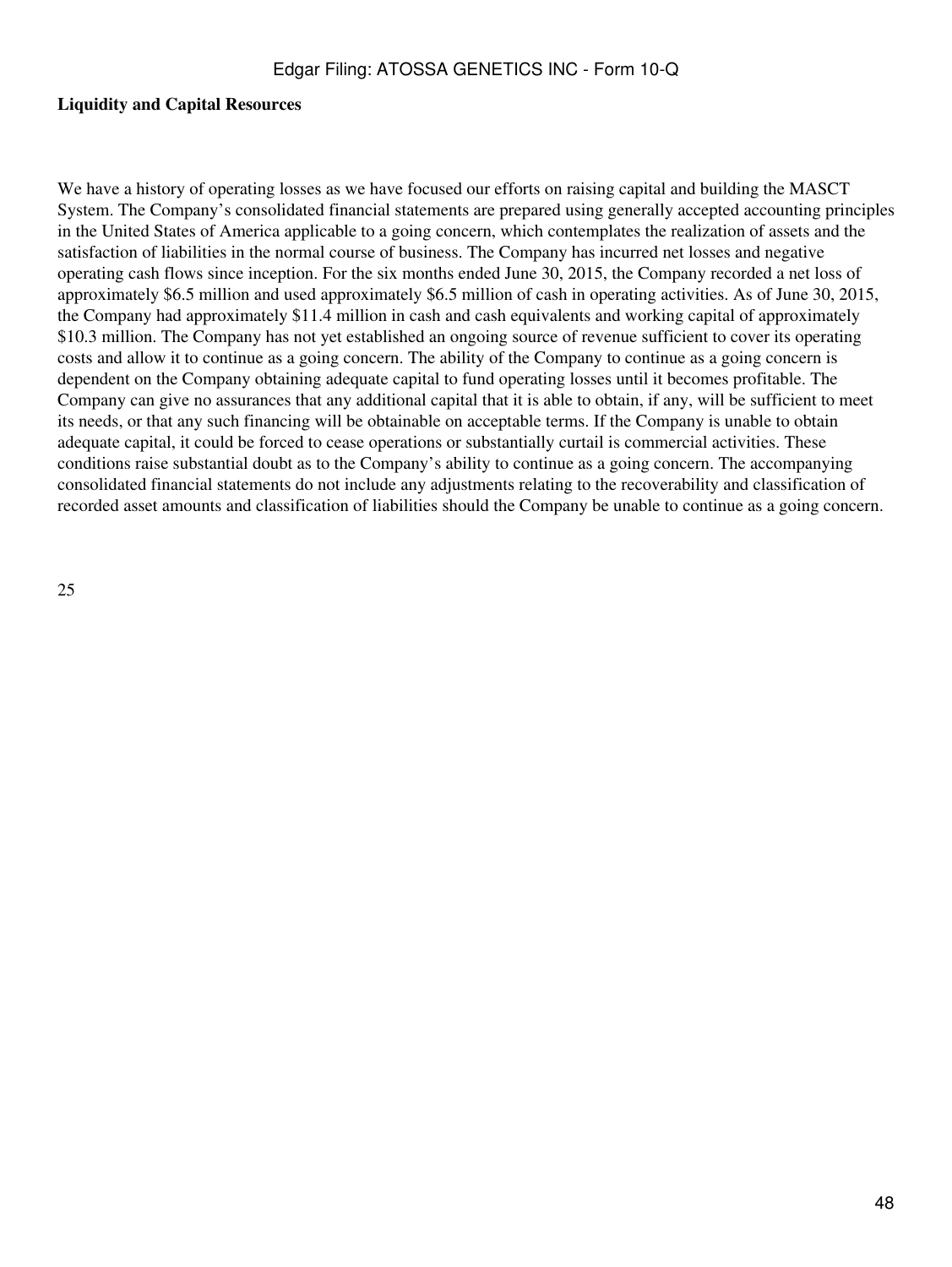### **Liquidity and Capital Resources**

We have a history of operating losses as we have focused our efforts on raising capital and building the MASCT System. The Company's consolidated financial statements are prepared using generally accepted accounting principles in the United States of America applicable to a going concern, which contemplates the realization of assets and the satisfaction of liabilities in the normal course of business. The Company has incurred net losses and negative operating cash flows since inception. For the six months ended June 30, 2015, the Company recorded a net loss of approximately \$6.5 million and used approximately \$6.5 million of cash in operating activities. As of June 30, 2015, the Company had approximately \$11.4 million in cash and cash equivalents and working capital of approximately \$10.3 million. The Company has not yet established an ongoing source of revenue sufficient to cover its operating costs and allow it to continue as a going concern. The ability of the Company to continue as a going concern is dependent on the Company obtaining adequate capital to fund operating losses until it becomes profitable. The Company can give no assurances that any additional capital that it is able to obtain, if any, will be sufficient to meet its needs, or that any such financing will be obtainable on acceptable terms. If the Company is unable to obtain adequate capital, it could be forced to cease operations or substantially curtail is commercial activities. These conditions raise substantial doubt as to the Company's ability to continue as a going concern. The accompanying consolidated financial statements do not include any adjustments relating to the recoverability and classification of recorded asset amounts and classification of liabilities should the Company be unable to continue as a going concern.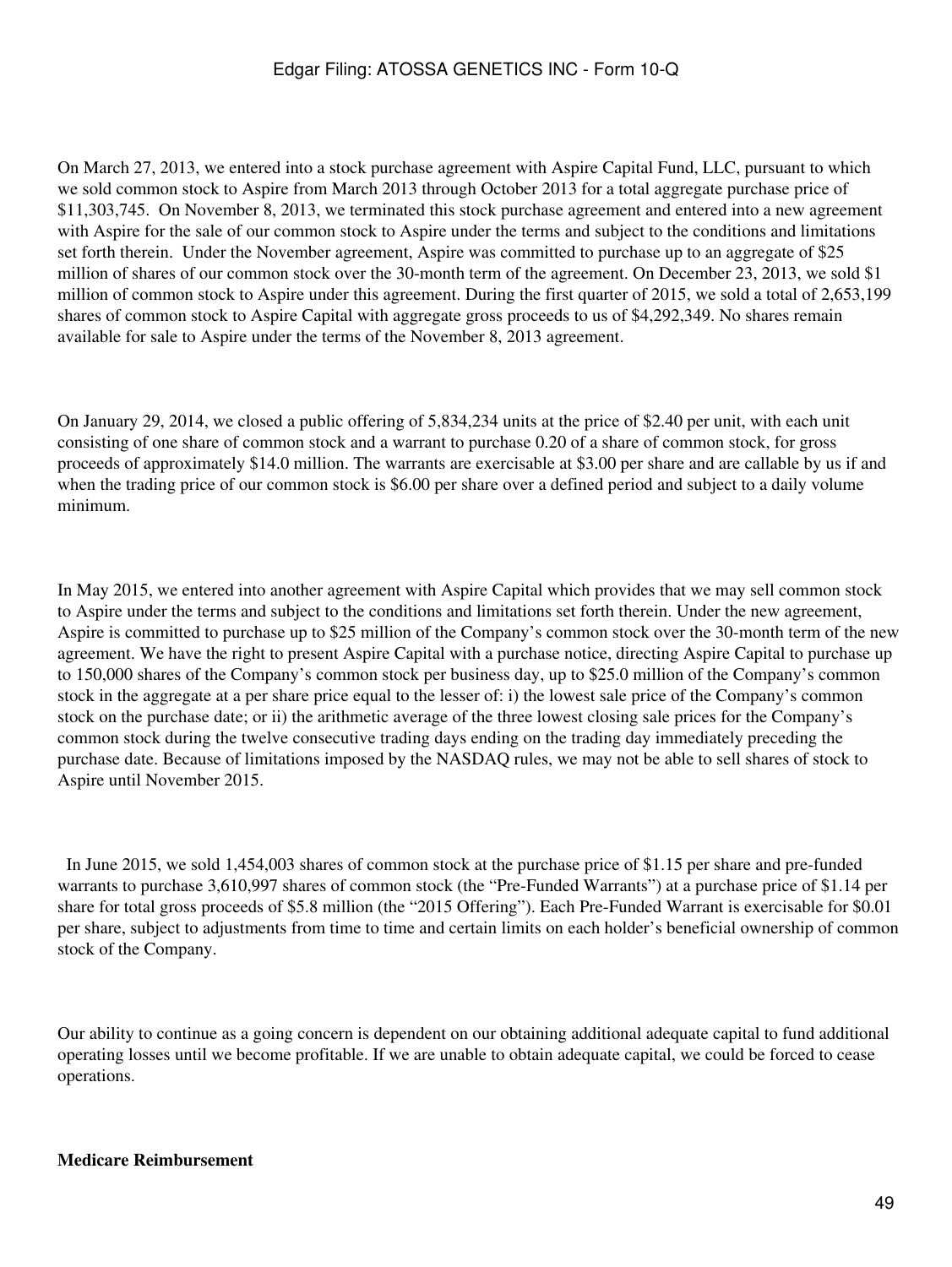On March 27, 2013, we entered into a stock purchase agreement with Aspire Capital Fund, LLC, pursuant to which we sold common stock to Aspire from March 2013 through October 2013 for a total aggregate purchase price of \$11,303,745. On November 8, 2013, we terminated this stock purchase agreement and entered into a new agreement with Aspire for the sale of our common stock to Aspire under the terms and subject to the conditions and limitations set forth therein. Under the November agreement, Aspire was committed to purchase up to an aggregate of \$25 million of shares of our common stock over the 30-month term of the agreement. On December 23, 2013, we sold \$1 million of common stock to Aspire under this agreement. During the first quarter of 2015, we sold a total of 2,653,199 shares of common stock to Aspire Capital with aggregate gross proceeds to us of \$4,292,349. No shares remain available for sale to Aspire under the terms of the November 8, 2013 agreement.

On January 29, 2014, we closed a public offering of 5,834,234 units at the price of \$2.40 per unit, with each unit consisting of one share of common stock and a warrant to purchase 0.20 of a share of common stock, for gross proceeds of approximately \$14.0 million. The warrants are exercisable at \$3.00 per share and are callable by us if and when the trading price of our common stock is \$6.00 per share over a defined period and subject to a daily volume minimum.

In May 2015, we entered into another agreement with Aspire Capital which provides that we may sell common stock to Aspire under the terms and subject to the conditions and limitations set forth therein. Under the new agreement, Aspire is committed to purchase up to \$25 million of the Company's common stock over the 30-month term of the new agreement. We have the right to present Aspire Capital with a purchase notice, directing Aspire Capital to purchase up to 150,000 shares of the Company's common stock per business day, up to \$25.0 million of the Company's common stock in the aggregate at a per share price equal to the lesser of: i) the lowest sale price of the Company's common stock on the purchase date; or ii) the arithmetic average of the three lowest closing sale prices for the Company's common stock during the twelve consecutive trading days ending on the trading day immediately preceding the purchase date. Because of limitations imposed by the NASDAQ rules, we may not be able to sell shares of stock to Aspire until November 2015.

 In June 2015, we sold 1,454,003 shares of common stock at the purchase price of \$1.15 per share and pre-funded warrants to purchase 3,610,997 shares of common stock (the "Pre-Funded Warrants") at a purchase price of \$1.14 per share for total gross proceeds of \$5.8 million (the "2015 Offering"). Each Pre-Funded Warrant is exercisable for \$0.01 per share, subject to adjustments from time to time and certain limits on each holder's beneficial ownership of common stock of the Company.

Our ability to continue as a going concern is dependent on our obtaining additional adequate capital to fund additional operating losses until we become profitable. If we are unable to obtain adequate capital, we could be forced to cease operations.

### **Medicare Reimbursement**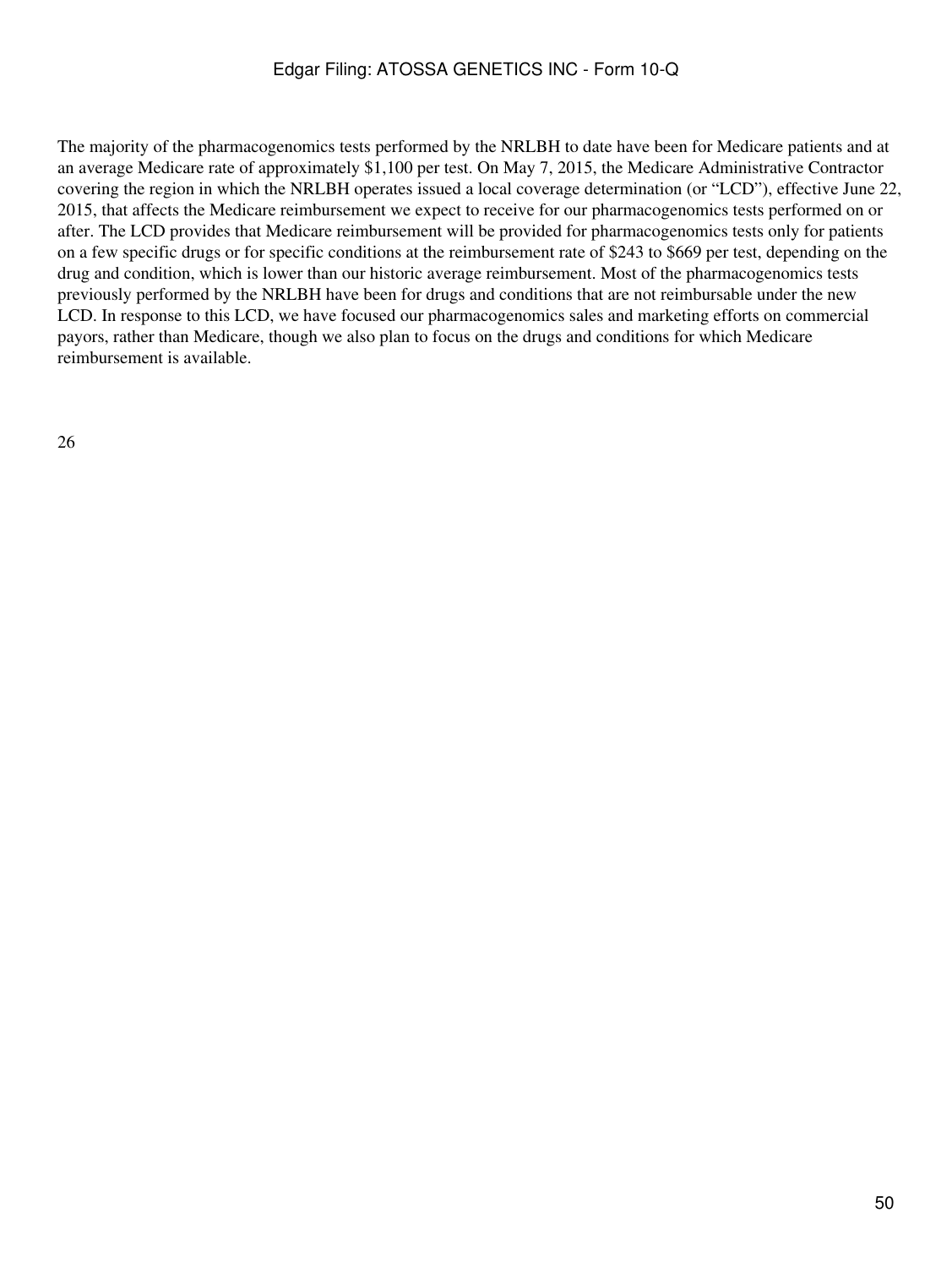The majority of the pharmacogenomics tests performed by the NRLBH to date have been for Medicare patients and at an average Medicare rate of approximately \$1,100 per test. On May 7, 2015, the Medicare Administrative Contractor covering the region in which the NRLBH operates issued a local coverage determination (or "LCD"), effective June 22, 2015, that affects the Medicare reimbursement we expect to receive for our pharmacogenomics tests performed on or after. The LCD provides that Medicare reimbursement will be provided for pharmacogenomics tests only for patients on a few specific drugs or for specific conditions at the reimbursement rate of \$243 to \$669 per test, depending on the drug and condition, which is lower than our historic average reimbursement. Most of the pharmacogenomics tests previously performed by the NRLBH have been for drugs and conditions that are not reimbursable under the new LCD. In response to this LCD, we have focused our pharmacogenomics sales and marketing efforts on commercial payors, rather than Medicare, though we also plan to focus on the drugs and conditions for which Medicare reimbursement is available.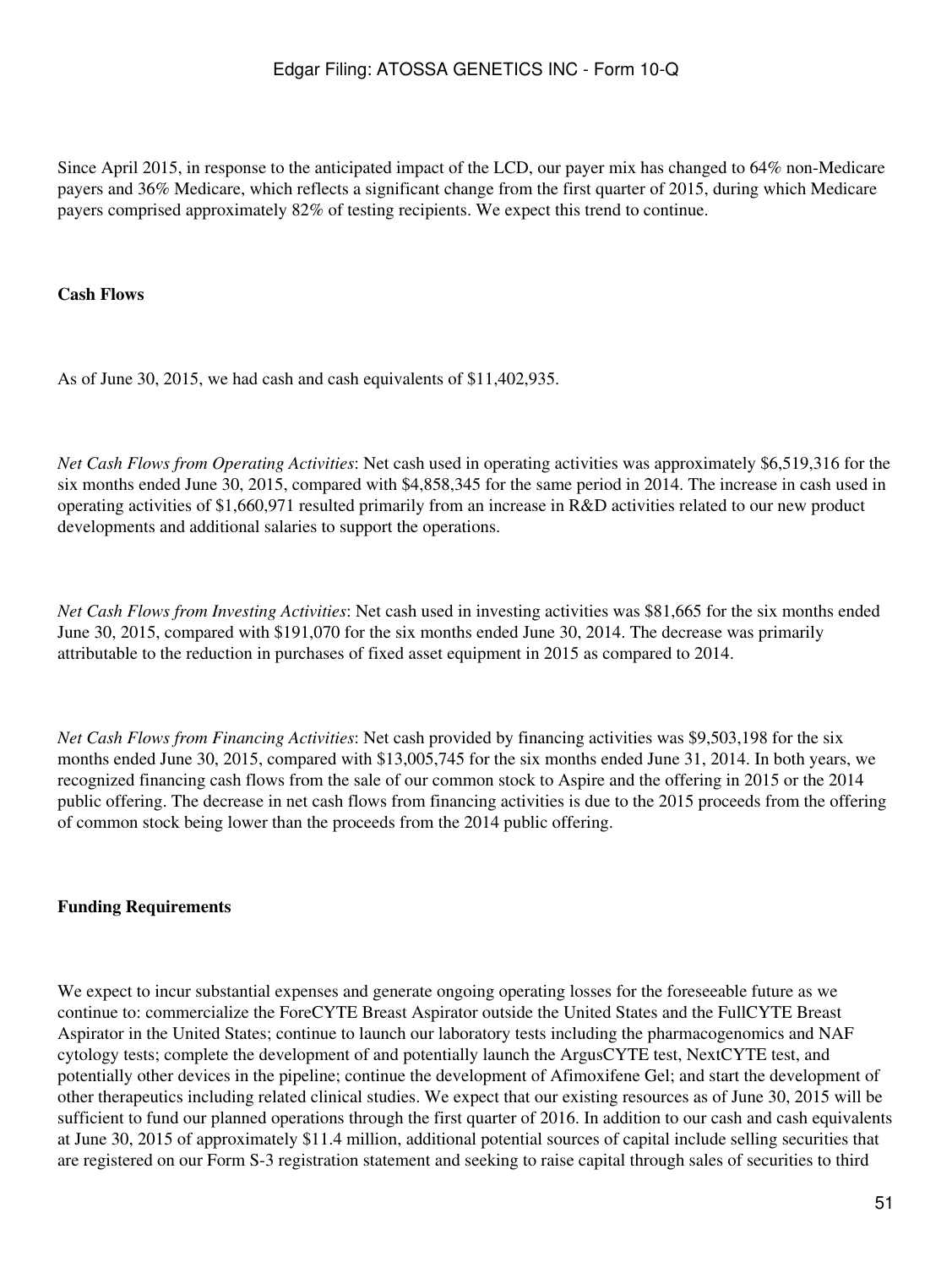Since April 2015, in response to the anticipated impact of the LCD, our payer mix has changed to 64% non-Medicare payers and 36% Medicare, which reflects a significant change from the first quarter of 2015, during which Medicare payers comprised approximately 82% of testing recipients. We expect this trend to continue.

#### **Cash Flows**

As of June 30, 2015, we had cash and cash equivalents of \$11,402,935.

*Net Cash Flows from Operating Activities*: Net cash used in operating activities was approximately \$6,519,316 for the six months ended June 30, 2015, compared with \$4,858,345 for the same period in 2014. The increase in cash used in operating activities of \$1,660,971 resulted primarily from an increase in R&D activities related to our new product developments and additional salaries to support the operations.

*Net Cash Flows from Investing Activities*: Net cash used in investing activities was \$81,665 for the six months ended June 30, 2015, compared with \$191,070 for the six months ended June 30, 2014. The decrease was primarily attributable to the reduction in purchases of fixed asset equipment in 2015 as compared to 2014.

*Net Cash Flows from Financing Activities*: Net cash provided by financing activities was \$9,503,198 for the six months ended June 30, 2015, compared with \$13,005,745 for the six months ended June 31, 2014. In both years, we recognized financing cash flows from the sale of our common stock to Aspire and the offering in 2015 or the 2014 public offering. The decrease in net cash flows from financing activities is due to the 2015 proceeds from the offering of common stock being lower than the proceeds from the 2014 public offering.

#### **Funding Requirements**

We expect to incur substantial expenses and generate ongoing operating losses for the foreseeable future as we continue to: commercialize the ForeCYTE Breast Aspirator outside the United States and the FullCYTE Breast Aspirator in the United States; continue to launch our laboratory tests including the pharmacogenomics and NAF cytology tests; complete the development of and potentially launch the ArgusCYTE test, NextCYTE test, and potentially other devices in the pipeline; continue the development of Afimoxifene Gel; and start the development of other therapeutics including related clinical studies. We expect that our existing resources as of June 30, 2015 will be sufficient to fund our planned operations through the first quarter of 2016. In addition to our cash and cash equivalents at June 30, 2015 of approximately \$11.4 million, additional potential sources of capital include selling securities that are registered on our Form S-3 registration statement and seeking to raise capital through sales of securities to third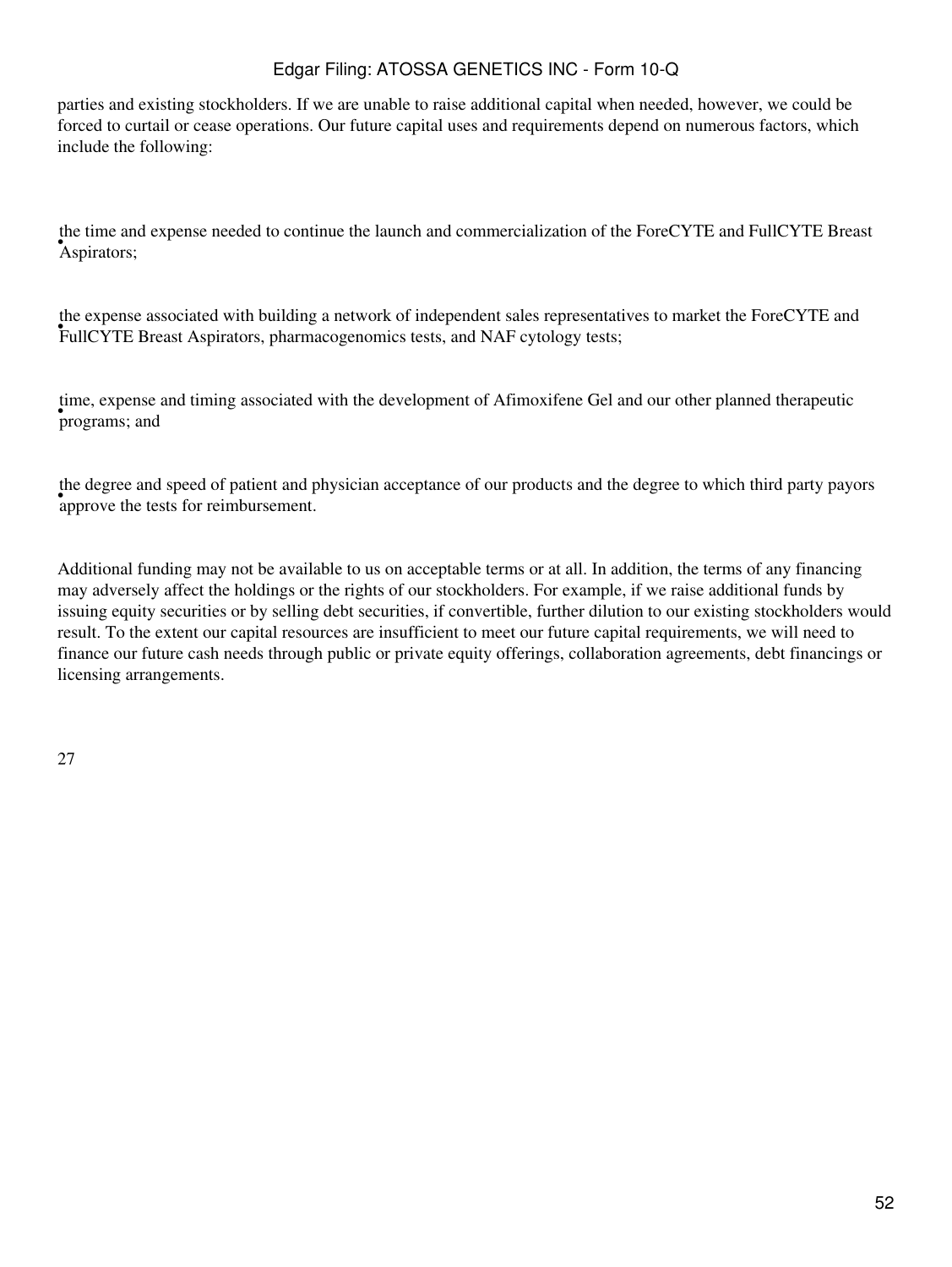parties and existing stockholders. If we are unable to raise additional capital when needed, however, we could be forced to curtail or cease operations. Our future capital uses and requirements depend on numerous factors, which include the following:

• Aspirators; the time and expense needed to continue the launch and commercialization of the ForeCYTE and FullCYTE Breast

FullCYTE Breast Aspirators, pharmacogenomics tests, and NAF cytology tests; the expense associated with building a network of independent sales representatives to market the ForeCYTE and

• programs; and time, expense and timing associated with the development of Afimoxifene Gel and our other planned therapeutic

approve the tests for reimbursement. the degree and speed of patient and physician acceptance of our products and the degree to which third party payors

Additional funding may not be available to us on acceptable terms or at all. In addition, the terms of any financing may adversely affect the holdings or the rights of our stockholders. For example, if we raise additional funds by issuing equity securities or by selling debt securities, if convertible, further dilution to our existing stockholders would result. To the extent our capital resources are insufficient to meet our future capital requirements, we will need to finance our future cash needs through public or private equity offerings, collaboration agreements, debt financings or licensing arrangements.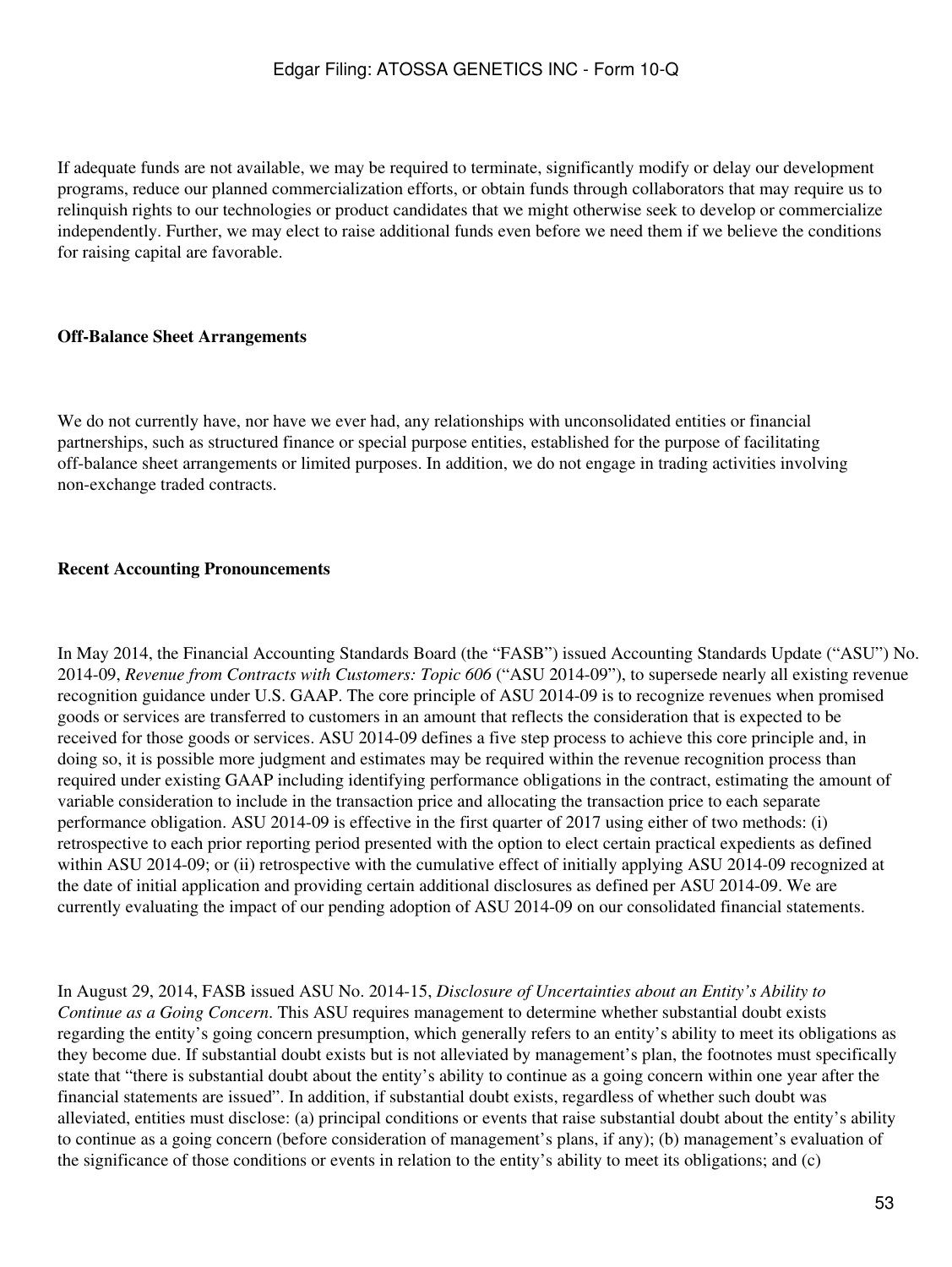If adequate funds are not available, we may be required to terminate, significantly modify or delay our development programs, reduce our planned commercialization efforts, or obtain funds through collaborators that may require us to relinquish rights to our technologies or product candidates that we might otherwise seek to develop or commercialize independently. Further, we may elect to raise additional funds even before we need them if we believe the conditions for raising capital are favorable.

#### **Off-Balance Sheet Arrangements**

We do not currently have, nor have we ever had, any relationships with unconsolidated entities or financial partnerships, such as structured finance or special purpose entities, established for the purpose of facilitating off-balance sheet arrangements or limited purposes. In addition, we do not engage in trading activities involving non-exchange traded contracts.

#### **Recent Accounting Pronouncements**

In May 2014, the Financial Accounting Standards Board (the "FASB") issued Accounting Standards Update ("ASU") No. 2014-09, *Revenue from Contracts with Customers: Topic 606* ("ASU 2014-09"), to supersede nearly all existing revenue recognition guidance under U.S. GAAP. The core principle of ASU 2014-09 is to recognize revenues when promised goods or services are transferred to customers in an amount that reflects the consideration that is expected to be received for those goods or services. ASU 2014-09 defines a five step process to achieve this core principle and, in doing so, it is possible more judgment and estimates may be required within the revenue recognition process than required under existing GAAP including identifying performance obligations in the contract, estimating the amount of variable consideration to include in the transaction price and allocating the transaction price to each separate performance obligation. ASU 2014-09 is effective in the first quarter of 2017 using either of two methods: (i) retrospective to each prior reporting period presented with the option to elect certain practical expedients as defined within ASU 2014-09; or (ii) retrospective with the cumulative effect of initially applying ASU 2014-09 recognized at the date of initial application and providing certain additional disclosures as defined per ASU 2014-09. We are currently evaluating the impact of our pending adoption of ASU 2014-09 on our consolidated financial statements.

In August 29, 2014, FASB issued ASU No. 2014-15, *Disclosure of Uncertainties about an Entity's Ability to Continue as a Going Concern*. This ASU requires management to determine whether substantial doubt exists regarding the entity's going concern presumption, which generally refers to an entity's ability to meet its obligations as they become due. If substantial doubt exists but is not alleviated by management's plan, the footnotes must specifically state that "there is substantial doubt about the entity's ability to continue as a going concern within one year after the financial statements are issued". In addition, if substantial doubt exists, regardless of whether such doubt was alleviated, entities must disclose: (a) principal conditions or events that raise substantial doubt about the entity's ability to continue as a going concern (before consideration of management's plans, if any); (b) management's evaluation of the significance of those conditions or events in relation to the entity's ability to meet its obligations; and (c)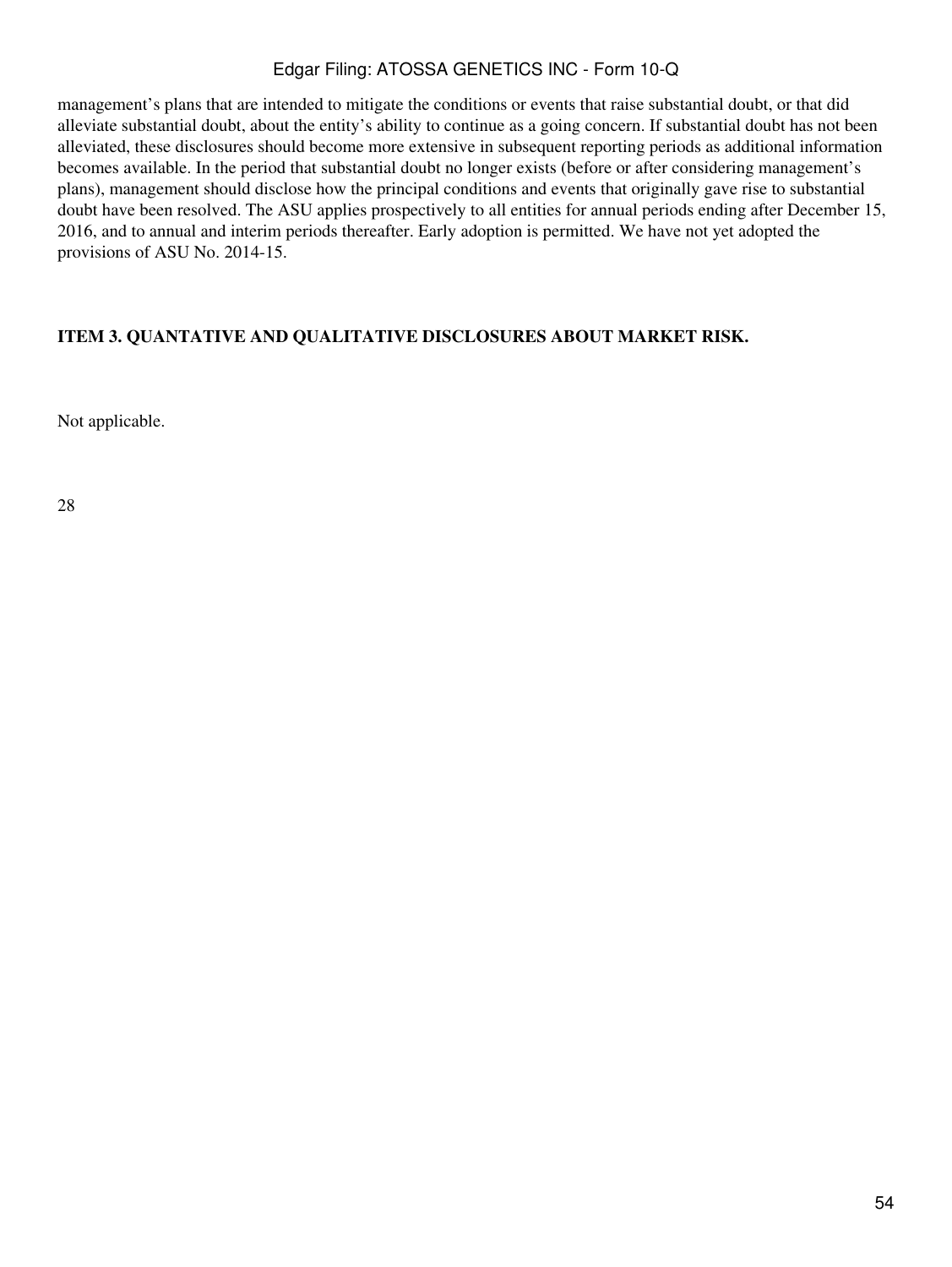management's plans that are intended to mitigate the conditions or events that raise substantial doubt, or that did alleviate substantial doubt, about the entity's ability to continue as a going concern. If substantial doubt has not been alleviated, these disclosures should become more extensive in subsequent reporting periods as additional information becomes available. In the period that substantial doubt no longer exists (before or after considering management's plans), management should disclose how the principal conditions and events that originally gave rise to substantial doubt have been resolved. The ASU applies prospectively to all entities for annual periods ending after December 15, 2016, and to annual and interim periods thereafter. Early adoption is permitted. We have not yet adopted the provisions of ASU No. 2014-15.

## <span id="page-53-0"></span>**ITEM 3. QUANTATIVE AND QUALITATIVE DISCLOSURES ABOUT MARKET RISK.**

Not applicable.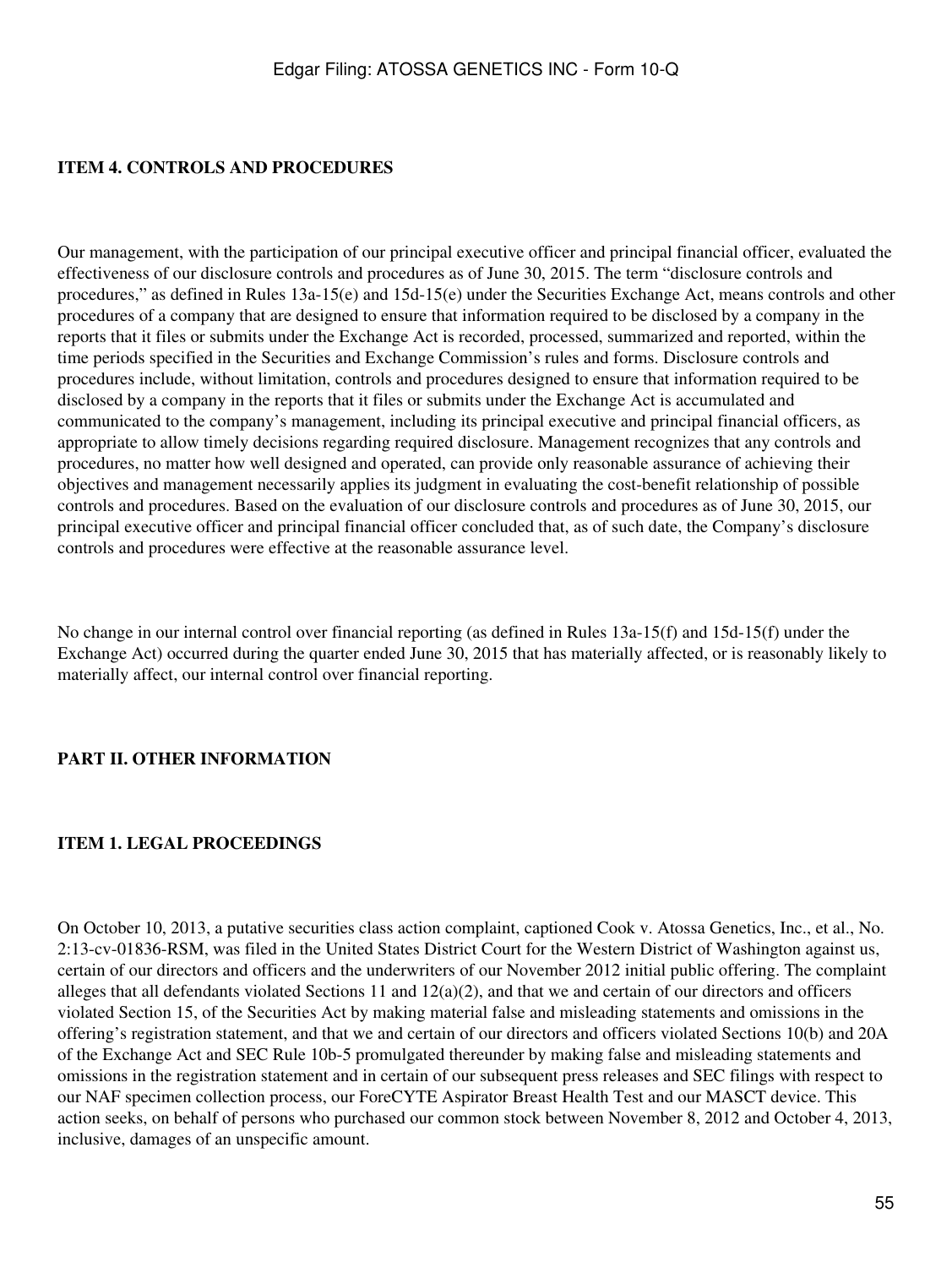### <span id="page-54-0"></span>**ITEM 4. CONTROLS AND PROCEDURES**

Our management, with the participation of our principal executive officer and principal financial officer, evaluated the effectiveness of our disclosure controls and procedures as of June 30, 2015. The term "disclosure controls and procedures," as defined in Rules 13a-15(e) and 15d-15(e) under the Securities Exchange Act, means controls and other procedures of a company that are designed to ensure that information required to be disclosed by a company in the reports that it files or submits under the Exchange Act is recorded, processed, summarized and reported, within the time periods specified in the Securities and Exchange Commission's rules and forms. Disclosure controls and procedures include, without limitation, controls and procedures designed to ensure that information required to be disclosed by a company in the reports that it files or submits under the Exchange Act is accumulated and communicated to the company's management, including its principal executive and principal financial officers, as appropriate to allow timely decisions regarding required disclosure. Management recognizes that any controls and procedures, no matter how well designed and operated, can provide only reasonable assurance of achieving their objectives and management necessarily applies its judgment in evaluating the cost-benefit relationship of possible controls and procedures. Based on the evaluation of our disclosure controls and procedures as of June 30, 2015, our principal executive officer and principal financial officer concluded that, as of such date, the Company's disclosure controls and procedures were effective at the reasonable assurance level.

No change in our internal control over financial reporting (as defined in Rules 13a-15(f) and 15d-15(f) under the Exchange Act) occurred during the quarter ended June 30, 2015 that has materially affected, or is reasonably likely to materially affect, our internal control over financial reporting.

#### <span id="page-54-1"></span>**PART II. OTHER INFORMATION**

#### <span id="page-54-2"></span>**ITEM 1. LEGAL PROCEEDINGS**

On October 10, 2013, a putative securities class action complaint, captioned Cook v. Atossa Genetics, Inc., et al., No. 2:13-cv-01836-RSM, was filed in the United States District Court for the Western District of Washington against us, certain of our directors and officers and the underwriters of our November 2012 initial public offering. The complaint alleges that all defendants violated Sections 11 and  $12(a)(2)$ , and that we and certain of our directors and officers violated Section 15, of the Securities Act by making material false and misleading statements and omissions in the offering's registration statement, and that we and certain of our directors and officers violated Sections 10(b) and 20A of the Exchange Act and SEC Rule 10b-5 promulgated thereunder by making false and misleading statements and omissions in the registration statement and in certain of our subsequent press releases and SEC filings with respect to our NAF specimen collection process, our ForeCYTE Aspirator Breast Health Test and our MASCT device. This action seeks, on behalf of persons who purchased our common stock between November 8, 2012 and October 4, 2013, inclusive, damages of an unspecific amount.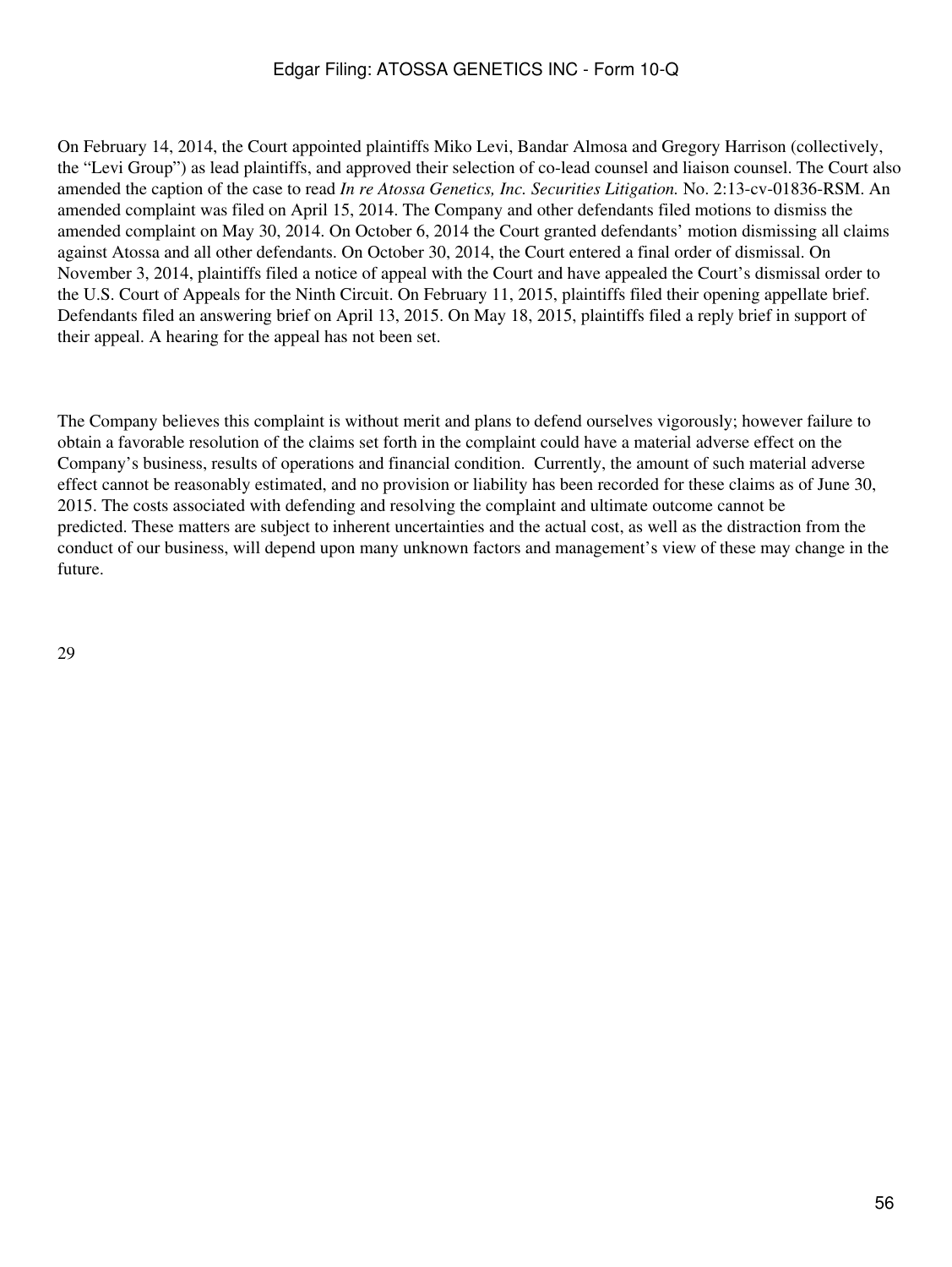On February 14, 2014, the Court appointed plaintiffs Miko Levi, Bandar Almosa and Gregory Harrison (collectively, the "Levi Group") as lead plaintiffs, and approved their selection of co-lead counsel and liaison counsel. The Court also amended the caption of the case to read *In re Atossa Genetics, Inc. Securities Litigation.* No. 2:13-cv-01836-RSM. An amended complaint was filed on April 15, 2014. The Company and other defendants filed motions to dismiss the amended complaint on May 30, 2014. On October 6, 2014 the Court granted defendants' motion dismissing all claims against Atossa and all other defendants. On October 30, 2014, the Court entered a final order of dismissal. On November 3, 2014, plaintiffs filed a notice of appeal with the Court and have appealed the Court's dismissal order to the U.S. Court of Appeals for the Ninth Circuit. On February 11, 2015, plaintiffs filed their opening appellate brief. Defendants filed an answering brief on April 13, 2015. On May 18, 2015, plaintiffs filed a reply brief in support of their appeal. A hearing for the appeal has not been set.

The Company believes this complaint is without merit and plans to defend ourselves vigorously; however failure to obtain a favorable resolution of the claims set forth in the complaint could have a material adverse effect on the Company's business, results of operations and financial condition. Currently, the amount of such material adverse effect cannot be reasonably estimated, and no provision or liability has been recorded for these claims as of June 30, 2015. The costs associated with defending and resolving the complaint and ultimate outcome cannot be predicted. These matters are subject to inherent uncertainties and the actual cost, as well as the distraction from the conduct of our business, will depend upon many unknown factors and management's view of these may change in the future.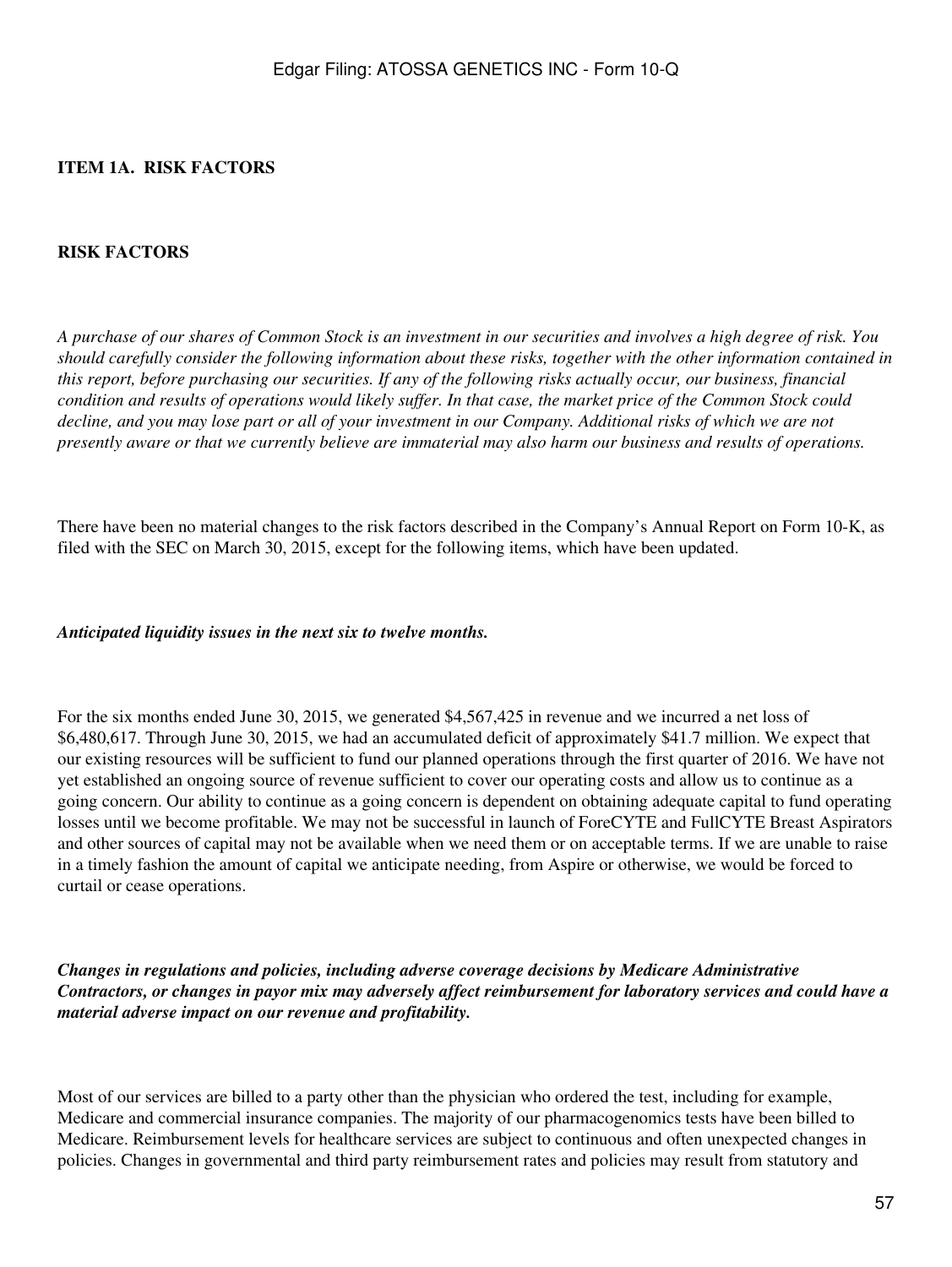### <span id="page-56-0"></span>**ITEM 1A. RISK FACTORS**

#### **RISK FACTORS**

*A purchase of our shares of Common Stock is an investment in our securities and involves a high degree of risk. You should carefully consider the following information about these risks, together with the other information contained in this report, before purchasing our securities. If any of the following risks actually occur, our business, financial condition and results of operations would likely suffer. In that case, the market price of the Common Stock could decline, and you may lose part or all of your investment in our Company. Additional risks of which we are not presently aware or that we currently believe are immaterial may also harm our business and results of operations.*

There have been no material changes to the risk factors described in the Company's Annual Report on Form 10-K, as filed with the SEC on March 30, 2015, except for the following items, which have been updated.

*Anticipated liquidity issues in the next six to twelve months.*

For the six months ended June 30, 2015, we generated \$4,567,425 in revenue and we incurred a net loss of \$6,480,617. Through June 30, 2015, we had an accumulated deficit of approximately \$41.7 million. We expect that our existing resources will be sufficient to fund our planned operations through the first quarter of 2016. We have not yet established an ongoing source of revenue sufficient to cover our operating costs and allow us to continue as a going concern. Our ability to continue as a going concern is dependent on obtaining adequate capital to fund operating losses until we become profitable. We may not be successful in launch of ForeCYTE and FullCYTE Breast Aspirators and other sources of capital may not be available when we need them or on acceptable terms. If we are unable to raise in a timely fashion the amount of capital we anticipate needing, from Aspire or otherwise, we would be forced to curtail or cease operations.

*Changes in regulations and policies, including adverse coverage decisions by Medicare Administrative Contractors, or changes in payor mix may adversely affect reimbursement for laboratory services and could have a material adverse impact on our revenue and profitability.*

Most of our services are billed to a party other than the physician who ordered the test, including for example, Medicare and commercial insurance companies. The majority of our pharmacogenomics tests have been billed to Medicare. Reimbursement levels for healthcare services are subject to continuous and often unexpected changes in policies. Changes in governmental and third party reimbursement rates and policies may result from statutory and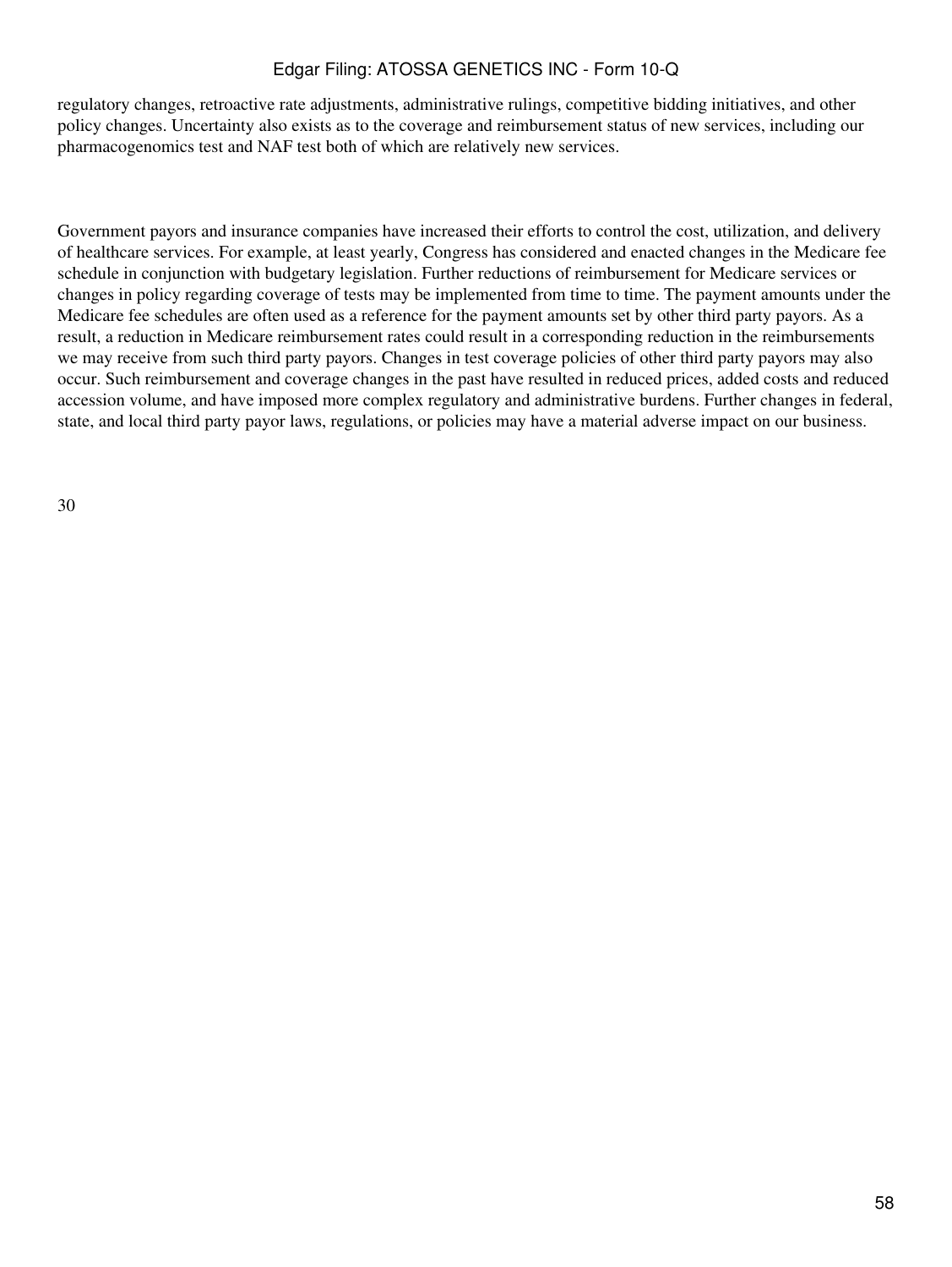regulatory changes, retroactive rate adjustments, administrative rulings, competitive bidding initiatives, and other policy changes. Uncertainty also exists as to the coverage and reimbursement status of new services, including our pharmacogenomics test and NAF test both of which are relatively new services.

Government payors and insurance companies have increased their efforts to control the cost, utilization, and delivery of healthcare services. For example, at least yearly, Congress has considered and enacted changes in the Medicare fee schedule in conjunction with budgetary legislation. Further reductions of reimbursement for Medicare services or changes in policy regarding coverage of tests may be implemented from time to time. The payment amounts under the Medicare fee schedules are often used as a reference for the payment amounts set by other third party payors. As a result, a reduction in Medicare reimbursement rates could result in a corresponding reduction in the reimbursements we may receive from such third party payors. Changes in test coverage policies of other third party payors may also occur. Such reimbursement and coverage changes in the past have resulted in reduced prices, added costs and reduced accession volume, and have imposed more complex regulatory and administrative burdens. Further changes in federal, state, and local third party payor laws, regulations, or policies may have a material adverse impact on our business.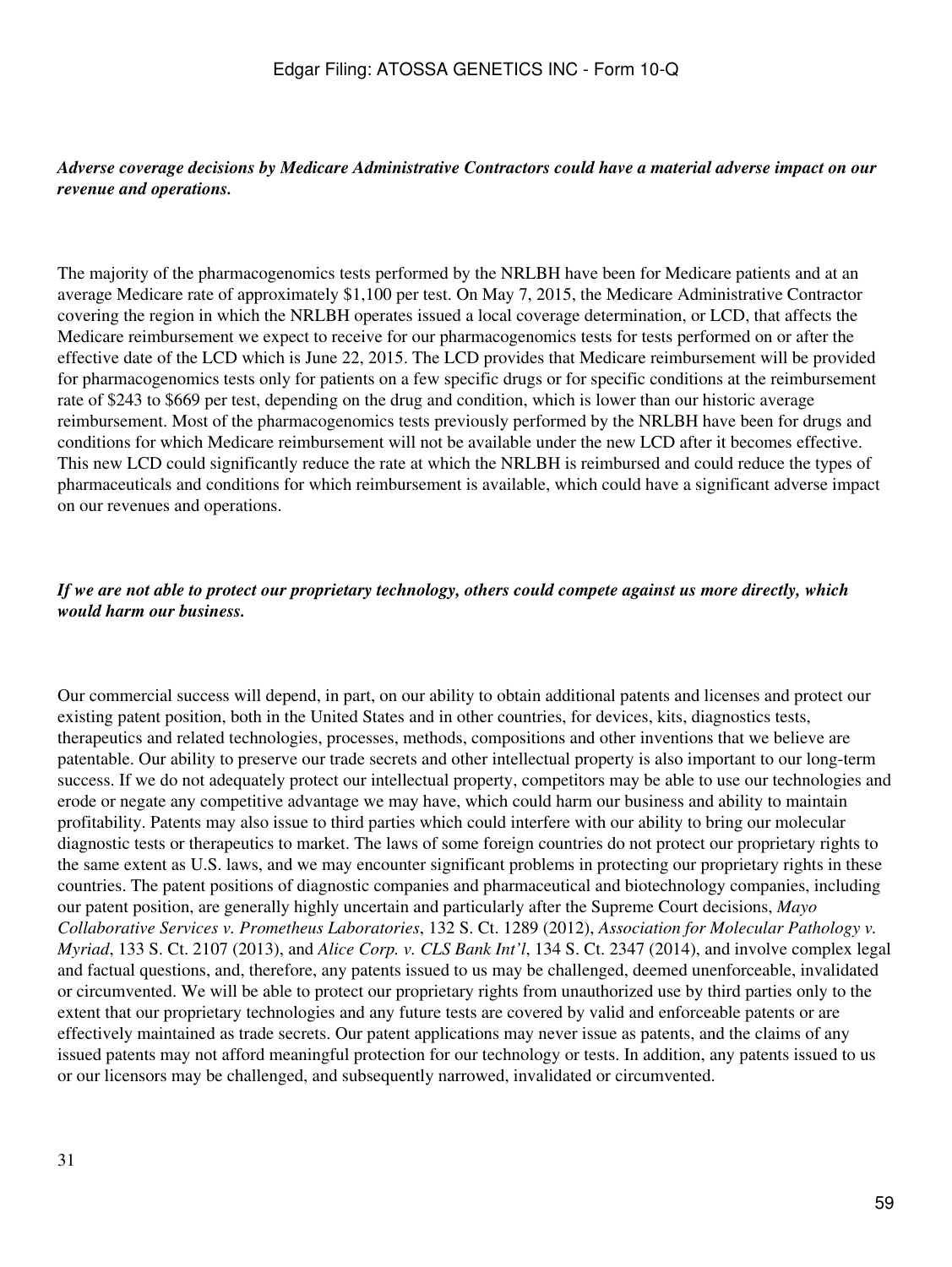#### *Adverse coverage decisions by Medicare Administrative Contractors could have a material adverse impact on our revenue and operations.*

The majority of the pharmacogenomics tests performed by the NRLBH have been for Medicare patients and at an average Medicare rate of approximately \$1,100 per test. On May 7, 2015, the Medicare Administrative Contractor covering the region in which the NRLBH operates issued a local coverage determination, or LCD, that affects the Medicare reimbursement we expect to receive for our pharmacogenomics tests for tests performed on or after the effective date of the LCD which is June 22, 2015. The LCD provides that Medicare reimbursement will be provided for pharmacogenomics tests only for patients on a few specific drugs or for specific conditions at the reimbursement rate of \$243 to \$669 per test, depending on the drug and condition, which is lower than our historic average reimbursement. Most of the pharmacogenomics tests previously performed by the NRLBH have been for drugs and conditions for which Medicare reimbursement will not be available under the new LCD after it becomes effective. This new LCD could significantly reduce the rate at which the NRLBH is reimbursed and could reduce the types of pharmaceuticals and conditions for which reimbursement is available, which could have a significant adverse impact on our revenues and operations.

### *If we are not able to protect our proprietary technology, others could compete against us more directly, which would harm our business.*

Our commercial success will depend, in part, on our ability to obtain additional patents and licenses and protect our existing patent position, both in the United States and in other countries, for devices, kits, diagnostics tests, therapeutics and related technologies, processes, methods, compositions and other inventions that we believe are patentable. Our ability to preserve our trade secrets and other intellectual property is also important to our long-term success. If we do not adequately protect our intellectual property, competitors may be able to use our technologies and erode or negate any competitive advantage we may have, which could harm our business and ability to maintain profitability. Patents may also issue to third parties which could interfere with our ability to bring our molecular diagnostic tests or therapeutics to market. The laws of some foreign countries do not protect our proprietary rights to the same extent as U.S. laws, and we may encounter significant problems in protecting our proprietary rights in these countries. The patent positions of diagnostic companies and pharmaceutical and biotechnology companies, including our patent position, are generally highly uncertain and particularly after the Supreme Court decisions, *Mayo Collaborative Services v. Prometheus Laboratories*, 132 S. Ct. 1289 (2012), *Association for Molecular Pathology v. Myriad*, 133 S. Ct. 2107 (2013), and *Alice Corp. v. CLS Bank Int'l*, 134 S. Ct. 2347 (2014), and involve complex legal and factual questions, and, therefore, any patents issued to us may be challenged, deemed unenforceable, invalidated or circumvented. We will be able to protect our proprietary rights from unauthorized use by third parties only to the extent that our proprietary technologies and any future tests are covered by valid and enforceable patents or are effectively maintained as trade secrets. Our patent applications may never issue as patents, and the claims of any issued patents may not afford meaningful protection for our technology or tests. In addition, any patents issued to us or our licensors may be challenged, and subsequently narrowed, invalidated or circumvented.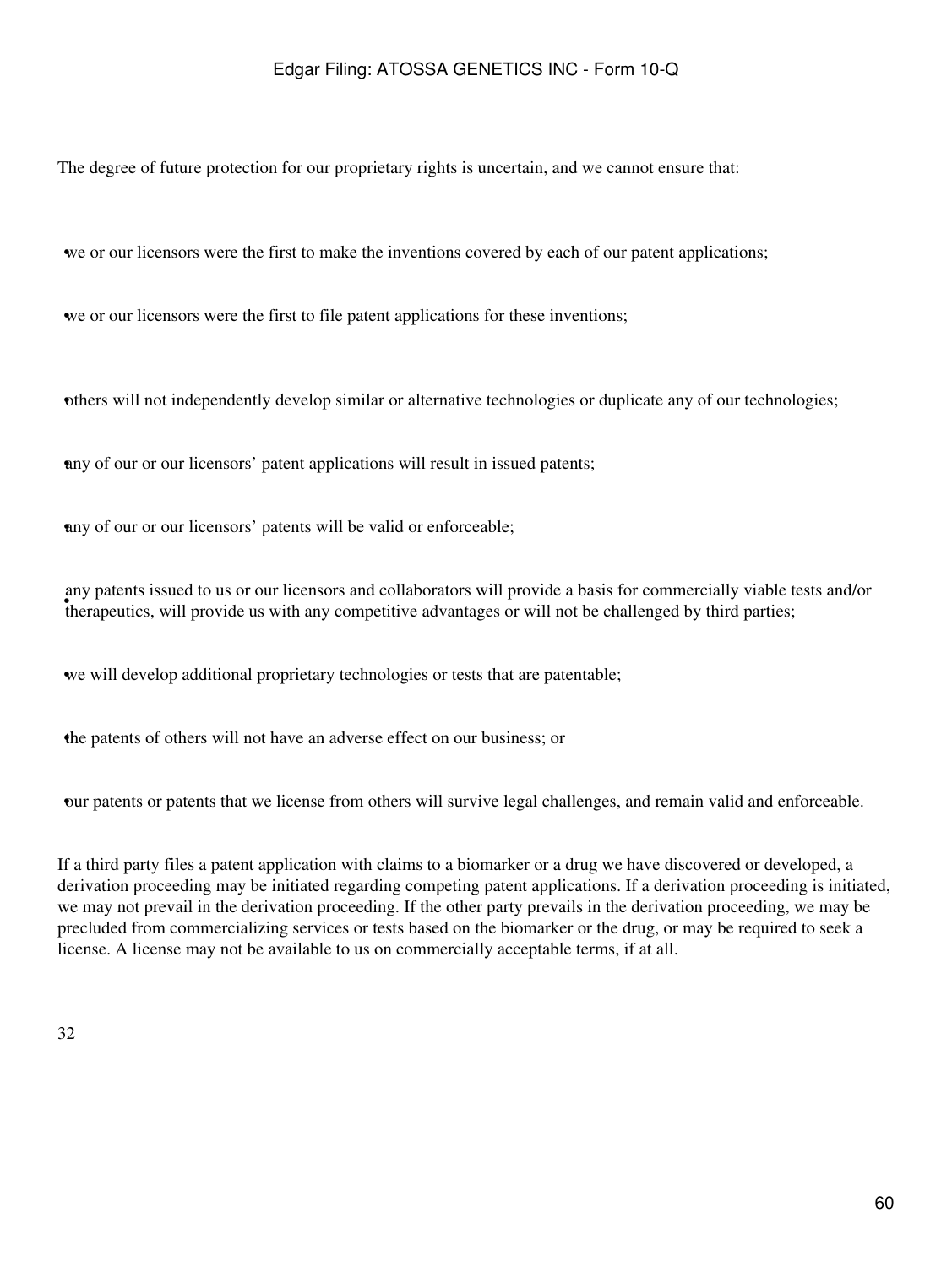The degree of future protection for our proprietary rights is uncertain, and we cannot ensure that:

•we or our licensors were the first to make the inventions covered by each of our patent applications;

we or our licensors were the first to file patent applications for these inventions;

•others will not independently develop similar or alternative technologies or duplicate any of our technologies;

any of our or our licensors' patent applications will result in issued patents;

any of our or our licensors' patents will be valid or enforceable;

therapeutics, will provide us with any competitive advantages or will not be challenged by third parties; any patents issued to us or our licensors and collaborators will provide a basis for commercially viable tests and/or

•we will develop additional proprietary technologies or tests that are patentable;

•the patents of others will not have an adverse effect on our business; or

•our patents or patents that we license from others will survive legal challenges, and remain valid and enforceable.

If a third party files a patent application with claims to a biomarker or a drug we have discovered or developed, a derivation proceeding may be initiated regarding competing patent applications. If a derivation proceeding is initiated, we may not prevail in the derivation proceeding. If the other party prevails in the derivation proceeding, we may be precluded from commercializing services or tests based on the biomarker or the drug, or may be required to seek a license. A license may not be available to us on commercially acceptable terms, if at all.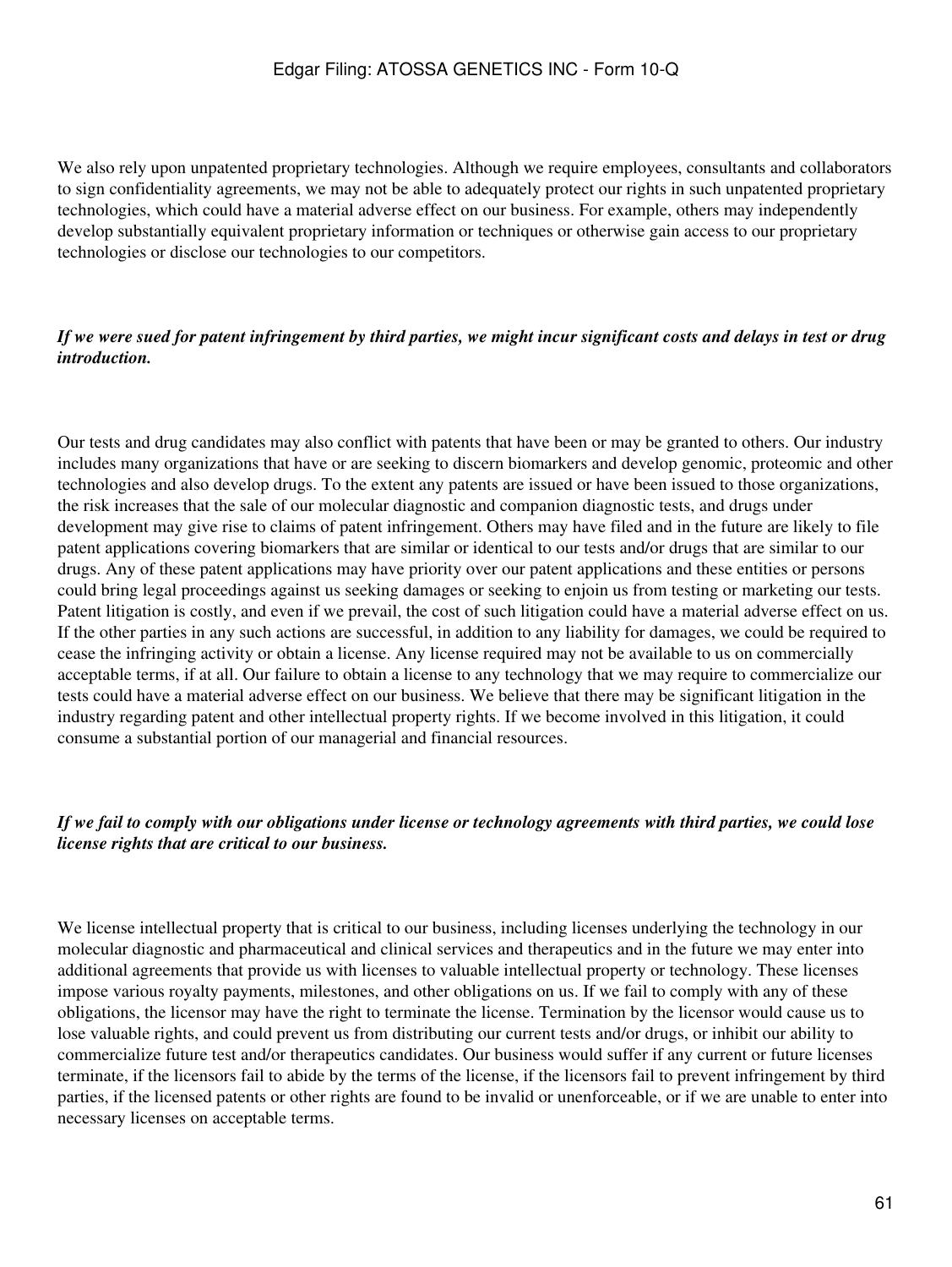We also rely upon unpatented proprietary technologies. Although we require employees, consultants and collaborators to sign confidentiality agreements, we may not be able to adequately protect our rights in such unpatented proprietary technologies, which could have a material adverse effect on our business. For example, others may independently develop substantially equivalent proprietary information or techniques or otherwise gain access to our proprietary technologies or disclose our technologies to our competitors.

### *If we were sued for patent infringement by third parties, we might incur significant costs and delays in test or drug introduction.*

Our tests and drug candidates may also conflict with patents that have been or may be granted to others. Our industry includes many organizations that have or are seeking to discern biomarkers and develop genomic, proteomic and other technologies and also develop drugs. To the extent any patents are issued or have been issued to those organizations, the risk increases that the sale of our molecular diagnostic and companion diagnostic tests, and drugs under development may give rise to claims of patent infringement. Others may have filed and in the future are likely to file patent applications covering biomarkers that are similar or identical to our tests and/or drugs that are similar to our drugs. Any of these patent applications may have priority over our patent applications and these entities or persons could bring legal proceedings against us seeking damages or seeking to enjoin us from testing or marketing our tests. Patent litigation is costly, and even if we prevail, the cost of such litigation could have a material adverse effect on us. If the other parties in any such actions are successful, in addition to any liability for damages, we could be required to cease the infringing activity or obtain a license. Any license required may not be available to us on commercially acceptable terms, if at all. Our failure to obtain a license to any technology that we may require to commercialize our tests could have a material adverse effect on our business. We believe that there may be significant litigation in the industry regarding patent and other intellectual property rights. If we become involved in this litigation, it could consume a substantial portion of our managerial and financial resources.

### *If we fail to comply with our obligations under license or technology agreements with third parties, we could lose license rights that are critical to our business.*

We license intellectual property that is critical to our business, including licenses underlying the technology in our molecular diagnostic and pharmaceutical and clinical services and therapeutics and in the future we may enter into additional agreements that provide us with licenses to valuable intellectual property or technology. These licenses impose various royalty payments, milestones, and other obligations on us. If we fail to comply with any of these obligations, the licensor may have the right to terminate the license. Termination by the licensor would cause us to lose valuable rights, and could prevent us from distributing our current tests and/or drugs, or inhibit our ability to commercialize future test and/or therapeutics candidates. Our business would suffer if any current or future licenses terminate, if the licensors fail to abide by the terms of the license, if the licensors fail to prevent infringement by third parties, if the licensed patents or other rights are found to be invalid or unenforceable, or if we are unable to enter into necessary licenses on acceptable terms.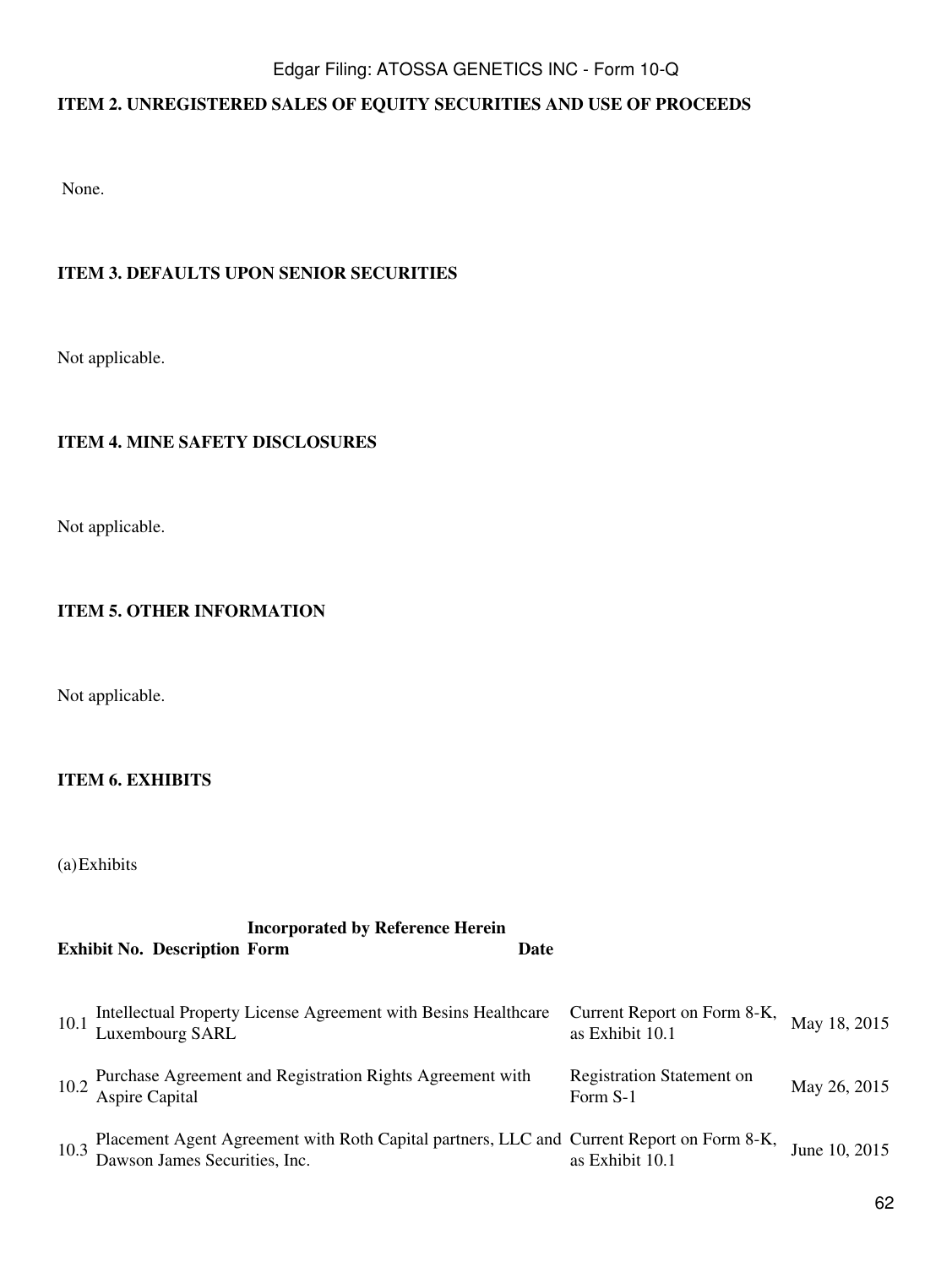# <span id="page-61-0"></span>**ITEM 2. UNREGISTERED SALES OF EQUITY SECURITIES AND USE OF PROCEEDS**

None.

## <span id="page-61-1"></span>**ITEM 3. DEFAULTS UPON SENIOR SECURITIES**

Not applicable.

### <span id="page-61-2"></span>**ITEM 4. MINE SAFETY DISCLOSURES**

Not applicable.

## <span id="page-61-3"></span>**ITEM 5. OTHER INFORMATION**

Not applicable.

### <span id="page-61-4"></span>**ITEM 6. EXHIBITS**

(a)Exhibits

## **Incorporated by Reference Herein Exhibit No. Description Form Date**

| 10.1 | Intellectual Property License Agreement with Besins Healthcare<br>Luxembourg SARL                                          | Current Report on Form 8-K,<br>as Exhibit 10.1 | May 18, 2015  |
|------|----------------------------------------------------------------------------------------------------------------------------|------------------------------------------------|---------------|
|      | 10.2 Purchase Agreement and Registration Rights Agreement with<br>Aspire Capital                                           | <b>Registration Statement on</b><br>Form S-1   | May 26, 2015  |
| 10.3 | Placement Agent Agreement with Roth Capital partners, LLC and Current Report on Form 8-K,<br>Dawson James Securities, Inc. | as Exhibit 10.1                                | June 10, 2015 |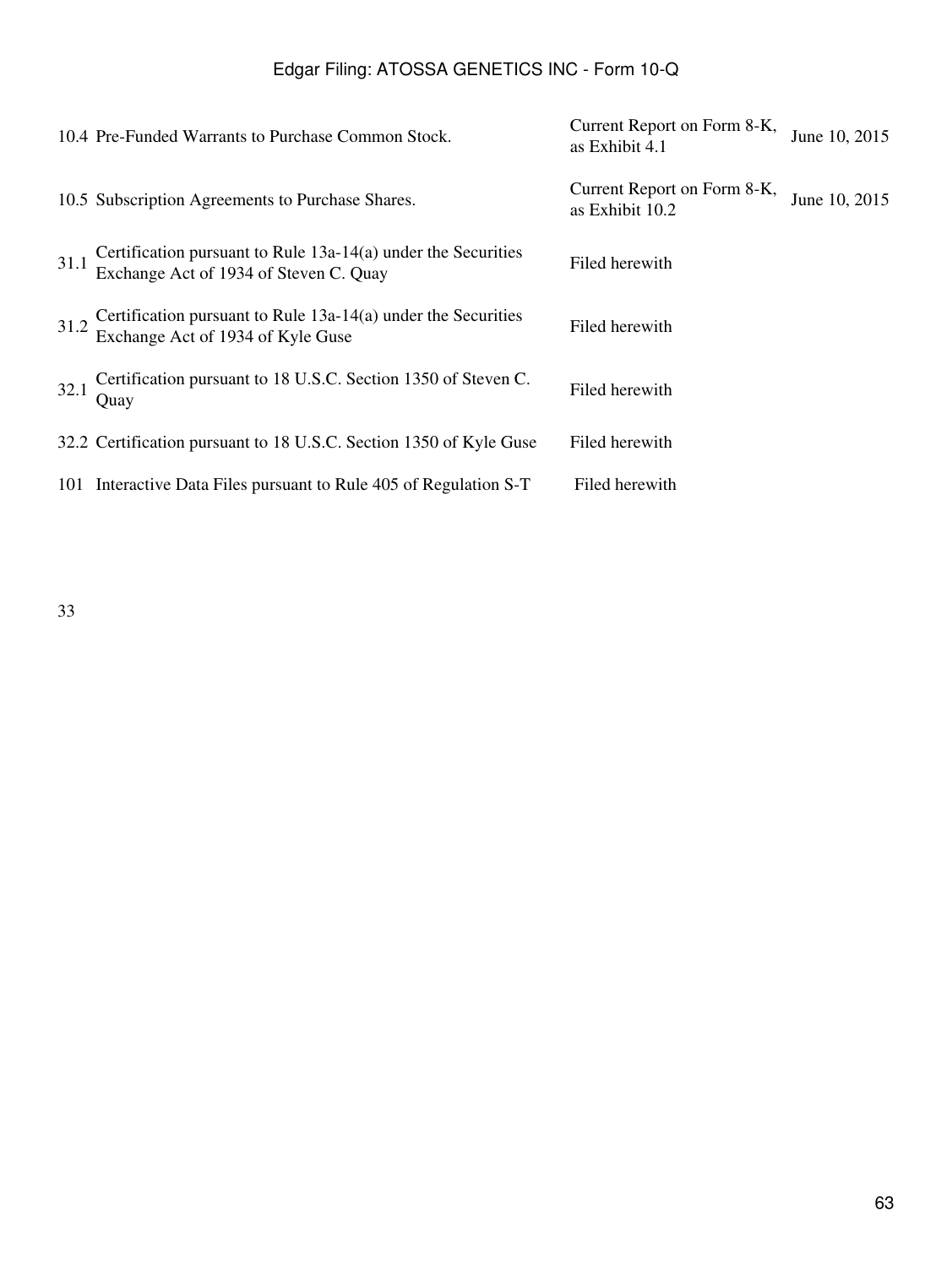|      | 10.4 Pre-Funded Warrants to Purchase Common Stock.                                                      | Current Report on Form 8-K,<br>as Exhibit 4.1  | June 10, 2015 |
|------|---------------------------------------------------------------------------------------------------------|------------------------------------------------|---------------|
|      | 10.5 Subscription Agreements to Purchase Shares.                                                        | Current Report on Form 8-K,<br>as Exhibit 10.2 | June 10, 2015 |
| 31.1 | Certification pursuant to Rule 13a-14(a) under the Securities<br>Exchange Act of 1934 of Steven C. Quay | Filed herewith                                 |               |
| 31.2 | Certification pursuant to Rule $13a-14(a)$ under the Securities<br>Exchange Act of 1934 of Kyle Guse    | Filed herewith                                 |               |
| 32.1 | Certification pursuant to 18 U.S.C. Section 1350 of Steven C.<br>Ouay                                   | Filed herewith                                 |               |
|      | 32.2 Certification pursuant to 18 U.S.C. Section 1350 of Kyle Guse                                      | Filed herewith                                 |               |
|      | 101 Interactive Data Files pursuant to Rule 405 of Regulation S-T                                       | Filed herewith                                 |               |